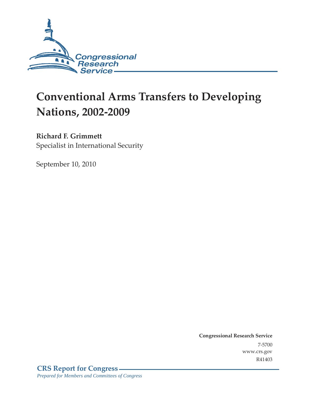

# **Conventional Arms Transfers to Developing Nations, 2002-2009**

# **Richard F. Grimmett**

Specialist in International Security

September 10, 2010

**Congressional Research Service** 7-5700 www.crs.gov R41403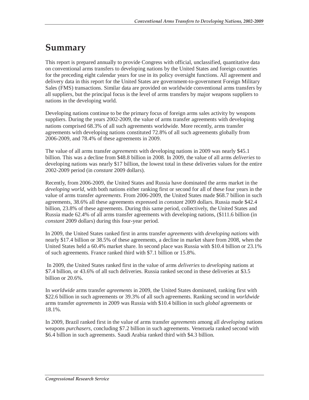# **Summary**

This report is prepared annually to provide Congress with official, unclassified, quantitative data on conventional arms transfers to developing nations by the United States and foreign countries for the preceding eight calendar years for use in its policy oversight functions. All agreement and delivery data in this report for the United States are government-to-government Foreign Military Sales (FMS) transactions. Similar data are provided on worldwide conventional arms transfers by all suppliers, but the principal focus is the level of arms transfers by major weapons suppliers to nations in the developing world.

Developing nations continue to be the primary focus of foreign arms sales activity by weapons suppliers. During the years 2002-2009, the value of arms transfer agreements with developing nations comprised 68.3% of all such agreements worldwide. More recently, arms transfer agreements with developing nations constituted 72.8% of all such agreements globally from 2006-2009, and 78.4% of these agreements in 2009.

The value of all arms transfer *agreements* with developing nations in 2009 was nearly \$45.1 billion. This was a decline from \$48.8 billion in 2008. In 2009, the value of all arms *deliveries* to developing nations was nearly \$17 billion, the lowest total in these deliveries values for the entire 2002-2009 period (in *constant* 2009 dollars).

Recently, from 2006-2009, the United States and Russia have dominated the arms market in the *developing world*, with both nations either ranking first or second for all of these four years in the value of arms transfer *agreements*. From 2006-2009, the United States made \$68.7 billion in such agreements, 38.6% all these agreements expressed in *constant* 2009 dollars. Russia made \$42.4 billion, 23.8% of these agreements. During this same period, collectively, the United States and Russia made 62.4% of all arms transfer agreements with developing nations, (\$111.6 billion (in *constant* 2009 dollars) during this four-year period.

In 2009, the United States ranked first in arms transfer *agreements* with *developing nations* with nearly \$17.4 billion or 38.5% of these agreements, a decline in market share from 2008, when the United States held a 60.4% market share. In second place was Russia with \$10.4 billion or 23.1% of such agreements. France ranked third with \$7.1 billion or 15.8%.

 In 2009, the United States ranked first in the value of arms *deliveries* to *developing* nations at \$7.4 billion, or 43.6% of all such deliveries. Russia ranked second in these deliveries at \$3.5 billion or 20.6%.

In *worldwide* arms transfer *agreements* in 2009, the United States dominated, ranking first with \$22.6 billion in such agreements or 39.3% of all such agreements. Ranking second in *worldwide* arms transfer *agreements* in 2009 was Russia with \$10.4 billion in such *global* agreements or 18.1%.

In 2009, Brazil ranked first in the value of arms transfer *agreements* among all *developing* nations weapons *purchasers*, concluding \$7.2 billion in such agreements. Venezuela ranked second with \$6.4 billion in such agreements. Saudi Arabia ranked third with \$4.3 billion.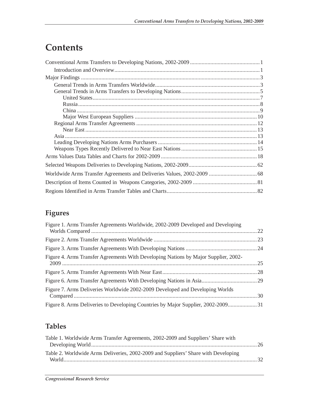# **Contents**

# **Figures**

| Figure 1. Arms Transfer Agreements Worldwide, 2002-2009 Developed and Developing    |  |
|-------------------------------------------------------------------------------------|--|
|                                                                                     |  |
|                                                                                     |  |
| Figure 4. Arms Transfer Agreements With Developing Nations by Major Supplier, 2002- |  |
|                                                                                     |  |
|                                                                                     |  |
| Figure 7. Arms Deliveries Worldwide 2002-2009 Developed and Developing Worlds       |  |
| Figure 8. Arms Deliveries to Developing Countries by Major Supplier, 2002-2009 31   |  |

# **Tables**

| Table 1. Worldwide Arms Transfer Agreements, 2002-2009 and Suppliers' Share with   |  |
|------------------------------------------------------------------------------------|--|
|                                                                                    |  |
| Table 2. Worldwide Arms Deliveries, 2002-2009 and Suppliers' Share with Developing |  |
|                                                                                    |  |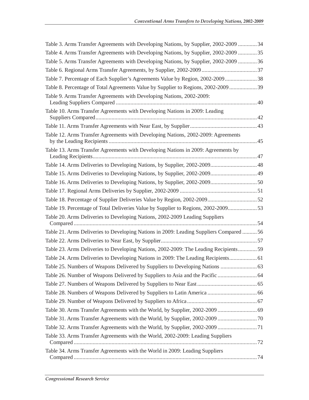| Table 3. Arms Transfer Agreements with Developing Nations, by Supplier, 2002-2009  34   |  |
|-----------------------------------------------------------------------------------------|--|
| Table 4. Arms Transfer Agreements with Developing Nations, by Supplier, 2002-2009  35   |  |
| Table 5. Arms Transfer Agreements with Developing Nations, by Supplier, 2002-2009  36   |  |
|                                                                                         |  |
| Table 7. Percentage of Each Supplier's Agreements Value by Region, 2002-2009 38         |  |
| Table 8. Percentage of Total Agreements Value by Supplier to Regions, 2002-200939       |  |
| Table 9. Arms Transfer Agreements with Developing Nations, 2002-2009:                   |  |
| Table 10. Arms Transfer Agreements with Developing Nations in 2009: Leading             |  |
|                                                                                         |  |
| Table 12. Arms Transfer Agreements with Developing Nations, 2002-2009: Agreements       |  |
| Table 13. Arms Transfer Agreements with Developing Nations in 2009: Agreements by       |  |
| Table 14. Arms Deliveries to Developing Nations, by Supplier, 2002-2009 48              |  |
| Table 15. Arms Deliveries to Developing Nations, by Supplier, 2002-2009 49              |  |
|                                                                                         |  |
|                                                                                         |  |
|                                                                                         |  |
| Table 19. Percentage of Total Deliveries Value by Supplier to Regions, 2002-200953      |  |
| Table 20. Arms Deliveries to Developing Nations, 2002-2009 Leading Suppliers            |  |
| Table 21. Arms Deliveries to Developing Nations in 2009: Leading Suppliers Compared  56 |  |
|                                                                                         |  |
| Table 23. Arms Deliveries to Developing Nations, 2002-2009: The Leading Recipients 59   |  |
| Table 24. Arms Deliveries to Developing Nations in 2009: The Leading Recipients 61      |  |
|                                                                                         |  |
|                                                                                         |  |
|                                                                                         |  |
|                                                                                         |  |
|                                                                                         |  |
|                                                                                         |  |
|                                                                                         |  |
|                                                                                         |  |
| Table 33. Arms Transfer Agreements with the World, 2002-2009: Leading Suppliers         |  |
|                                                                                         |  |
| Table 34. Arms Transfer Agreements with the World in 2009: Leading Suppliers            |  |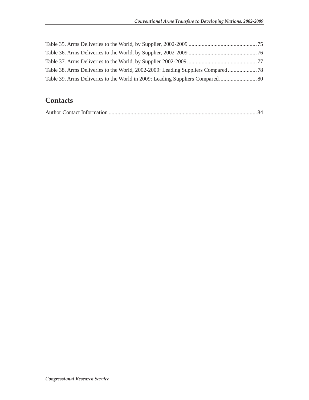| Table 38. Arms Deliveries to the World, 2002-2009: Leading Suppliers Compared |  |
|-------------------------------------------------------------------------------|--|
|                                                                               |  |

## **Contacts**

|--|--|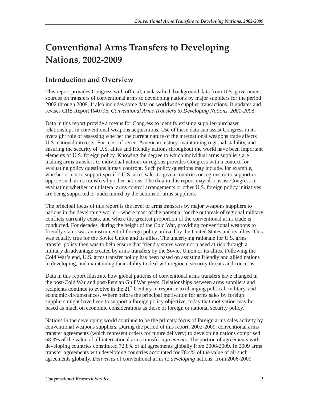# **Conventional Arms Transfers to Developing Nations, 2002-2009**

# **Introduction and Overview**

This report provides Congress with official, unclassified, background data from U.S. government sources on transfers of conventional arms to developing nations by major suppliers for the period 2002 through 2009. It also includes some data on worldwide supplier transactions. It updates and revises CRS Report R40796, *Conventional Arms Transfers to Developing Nations, 2001-200*8.

Data in this report provide a means for Congress to identify existing supplier-purchaser relationships in conventional weapons acquisitions. Use of these data can assist Congress in its oversight role of assessing whether the current nature of the international weapons trade affects U.S. national interests. For most of recent American history, maintaining regional stability, and ensuring the security of U.S. allies and friendly nations throughout the world have been important elements of U.S. foreign policy. Knowing the degree to which individual arms suppliers are making arms transfers to individual nations or regions provides Congress with a context for evaluating policy questions it may confront. Such policy questions may include, for example, whether or not to support specific U.S. arms sales to given countries or regions or to support or oppose such arms transfers by other nations. The data in this report may also assist Congress in evaluating whether multilateral arms control arrangements or other U.S. foreign policy initiatives are being supported or undermined by the actions of arms suppliers.

The principal focus of this report is the level of arms transfers by major weapons suppliers to nations in the developing world—where most of the potential for the outbreak of regional military conflicts currently exists, and where the greatest proportion of the conventional arms trade is conducted. For decades, during the height of the Cold War, providing conventional weapons to friendly states was an instrument of foreign policy utilized by the United States and its allies. This was equally true for the Soviet Union and its allies. The underlying rationale for U.S. arms transfer policy then was to help ensure that friendly states were not placed at risk through a military disadvantage created by arms transfers by the Soviet Union or its allies. Following the Cold War's end, U.S. arms transfer policy has been based on assisting friendly and allied nations in developing, and maintaining their ability to deal with regional security threats and concerns.

Data in this report illustrate how global patterns of conventional arms transfers have changed in the post-Cold War and post-Persian Gulf War years. Relationships between arms suppliers and recipients continue to evolve in the  $21<sup>st</sup>$  Century in response to changing political, military, and economic circumstances. Where before the principal motivation for arms sales by foreign suppliers might have been to support a foreign policy objective, today that motivation may be based as much on economic considerations as those of foreign or national security policy.

Nations in the developing world continue to be the primary focus of foreign arms sales activity by conventional weapons suppliers. During the period of this report, 2002-2009, conventional arms transfer agreements (which represent orders for future delivery) to developing nations comprised 68.3% of the value of all international arms transfer *agreements*. The portion of agreements with developing countries constituted 72.8% of all agreements globally from 2006-2009. In 2009 arms transfer agreements with developing countries accounted for 78.4% of the value of all such agreements globally. *Deliveries* of conventional arms to *developing* nations, from 2006-2009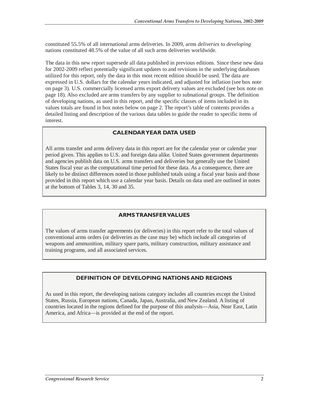constituted 55.5% of all international arms deliveries. In 2009, arms *deliveries* to *developing* nations constituted 48.5% of the value of all such arms deliveries worldwide.

The data in this new report supersede all data published in previous editions. Since these new data for 2002-2009 reflect potentially significant updates to and revisions in the underlying databases utilized for this report, only the data in this most recent edition should be used. The data are expressed in U.S. dollars for the calendar years indicated, and adjusted for inflation (see box note on page 3). U.S. commercially licensed arms export delivery values are excluded (see box note on page 18). Also excluded are arms transfers by any supplier to subnational groups. The definition of developing nations, as used in this report, and the specific classes of items included in its values totals are found in box notes below on page 2. The report's table of contents provides a detailed listing and description of the various data tables to guide the reader to specific items of interest.

#### **CALENDAR YEAR DATA USED**

All arms transfer and arms delivery data in this report are for the calendar year or calendar year period given. This applies to U.S. and foreign data alike. United States government departments and agencies publish data on U.S. arms transfers and deliveries but generally use the United States fiscal year as the computational time period for these data. As a consequence, there are likely to be distinct differences noted in those published totals using a fiscal year basis and those provided in this report which use a calendar year basis. Details on data used are outlined in notes at the bottom of Tables 3, 14, 30 and 35.

### **ARMS TRANSFER VALUES**

The values of arms transfer agreements (or deliveries) in this report refer to the total values of conventional arms orders (or deliveries as the case may be) which include all categories of weapons and ammunition, military spare parts, military construction, military assistance and training programs, and all associated services.

### **DEFINITION OF DEVELOPING NATIONS AND REGIONS**

As used in this report, the developing nations category includes all countries except the United States, Russia, European nations, Canada, Japan, Australia, and New Zealand. A listing of countries located in the regions defined for the purpose of this analysis—Asia, Near East, Latin America, and Africa—is provided at the end of the report.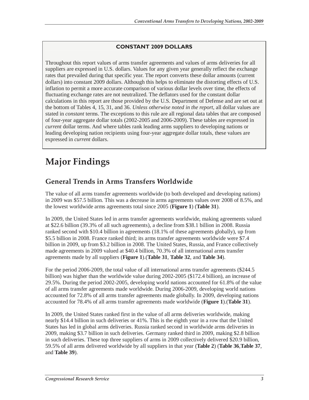### **CONSTANT 2009 DOLLARS**

Throughout this report values of arms transfer agreements and values of arms deliveries for all suppliers are expressed in U.S. dollars. Values for any given year generally reflect the exchange rates that prevailed during that specific year. The report converts these dollar amounts (current dollars) into constant 2009 dollars. Although this helps to eliminate the distorting effects of U.S. inflation to permit a more accurate comparison of various dollar levels over time, the effects of fluctuating exchange rates are not neutralized. The deflators used for the constant dollar calculations in this report are those provided by the U.S. Department of Defense and are set out at the bottom of Tables 4, 15, 31, and 36. *Unless otherwise noted in the report*, all dollar values are stated in *constant* terms. The exceptions to this rule are all regional data tables that are composed of four-year aggregate dollar totals (2002-2005 and 2006-2009). These tables are expressed in *current* dollar terms. And where tables rank leading arms suppliers to developing nations or leading developing nation recipients using four-year aggregate dollar totals, these values are expressed in *current* dollars.

# **Major Findings**

# **General Trends in Arms Transfers Worldwide**

The value of all arms transfer agreements worldwide (to both developed and developing nations) in 2009 was \$57.5 billion. This was a decrease in arms agreements values over 2008 of 8.5%, and the lowest worldwide arms agreements total since 2005 (**Figure 1**) (**Table 31**).

In 2009, the United States led in arms transfer agreements worldwide, making agreements valued at \$22.6 billion (39.3% of all such agreements), a decline from \$38.1 billion in 2008. Russia ranked second with \$10.4 billion in agreements (18.1% of these agreements globally), up from \$5.5 billion in 2008. France ranked third; its arms transfer agreements worldwide were \$7.4 billion in 2009, up from \$3.2 billion in 2008. The United States, Russia, and France collectively made agreements in 2009 valued at \$40.4 billion, 70.3% of all international arms transfer agreements made by all suppliers (**Figure 1**).(**Table 31**, **Table 32**, and **Table 34**).

For the period 2006-2009, the total value of all international arms transfer agreements (\$244.5 billion) was higher than the worldwide value during 2002-2005 (\$172.4 billion), an increase of 29.5%. During the period 2002-2005, developing world nations accounted for 61.8% of the value of all arms transfer agreements made worldwide. During 2006-2009, developing world nations accounted for 72.8% of all arms transfer agreements made globally. In 2009, developing nations accounted for 78.4% of all arms transfer agreements made worldwide (**Figure 1**).(**Table 31**).

In 2009, the United States ranked first in the value of all arms deliveries worldwide, making nearly \$14.4 billion in such deliveries or 41%. This is the eighth year in a row that the United States has led in global arms deliveries. Russia ranked second in worldwide arms deliveries in 2009, making \$3.7 billion in such deliveries. Germany ranked third in 2009, making \$2.8 billion in such deliveries. These top three suppliers of arms in 2009 collectively delivered \$20.9 billion, 59.5% of all arms delivered worldwide by all suppliers in that year (**Table 2**) (**Table 36**,**Table 37**, and **Table 39**).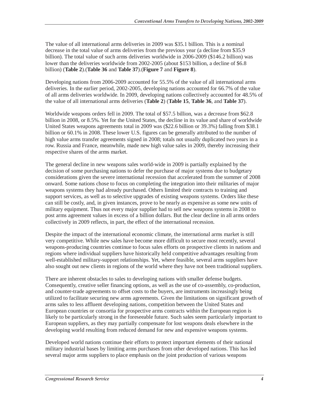The value of all international arms deliveries in 2009 was \$35.1 billion. This is a nominal decrease in the total value of arms deliveries from the previous year (a decline from \$35.9 billion). The total value of such arms deliveries worldwide in 2006-2009 (\$146.2 billion) was lower than the deliveries worldwide from 2002-2005 (about \$153 billion, a decline of \$6.8 billion) (**Table 2**).(**Table 36** and **Table 37**).(**Figure 7** and **Figure 8**).

Developing nations from 2006-2009 accounted for 55.5% of the value of all international arms deliveries. In the earlier period, 2002-2005, developing nations accounted for 66.7% of the value of all arms deliveries worldwide. In 2009, developing nations collectively accounted for 48.5% of the value of all international arms deliveries (**Table 2**) (**Table 15**, **Table 36**, and **Table 37**).

Worldwide weapons orders fell in 2009. The total of \$57.5 billion, was a decrease from \$62.8 billion in 2008, or 8.5%. Yet for the United States, the decline in its value and share of worldwide United States weapons agreements total in 2009 was (\$22.6 billion or 39.3%) falling from \$38.1 billion or 60.1% in 2008. These lower U.S. figures can be generally attributed to the number of high value arms transfer agreements signed in 2008; totals not usually duplicated two years in a row. Russia and France, meanwhile, made new high value sales in 2009, thereby increasing their respective shares of the arms market.

The general decline in new weapons sales world-wide in 2009 is partially explained by the decision of some purchasing nations to defer the purchase of major systems due to budgetary considerations given the severe international recession that accelerated from the summer of 2008 onward. Some nations chose to focus on completing the integration into their militaries of major weapons systems they had already purchased. Others limited their contracts to training and support services, as well as to selective upgrades of existing weapons systems. Orders like these can still be costly, and, in given instances, prove to be nearly as expensive as some new units of military equipment. Thus not every major supplier had to sell new weapons systems in 2008 to post arms agreement values in excess of a billion dollars. But the clear decline in all arms orders collectively in 2009 reflects, in part, the effect of the international recession.

Despite the impact of the international economic climate, the international arms market is still very competitive. While new sales have become more difficult to secure most recently, several weapons-producing countries continue to focus sales efforts on prospective clients in nations and regions where individual suppliers have historically held competitive advantages resulting from well-established military-support relationships. Yet, where feasible, several arms suppliers have also sought out new clients in regions of the world where they have not been traditional suppliers.

There are inherent obstacles to sales to developing nations with smaller defense budgets. Consequently, creative seller financing options, as well as the use of co-assembly, co-production, and counter-trade agreements to offset costs to the buyers, are instruments increasingly being utilized to facilitate securing new arms agreements. Given the limitations on significant growth of arms sales to less affluent developing nations, competition between the United States and European countries or consortia for prospective arms contracts within the European region is likely to be particularly strong in the foreseeable future. Such sales seem particularly important to European suppliers, as they may partially compensate for lost weapons deals elsewhere in the developing world resulting from reduced demand for new and expensive weapons systems.

Developed world nations continue their efforts to protect important elements of their national military industrial bases by limiting arms purchases from other developed nations. This has led several major arms suppliers to place emphasis on the joint production of various weapons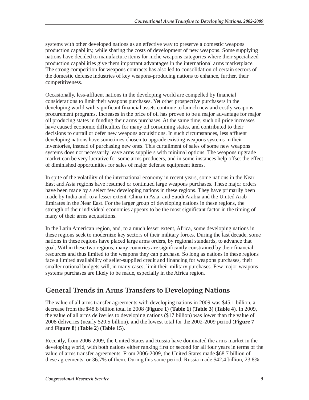systems with other developed nations as an effective way to preserve a domestic weapons production capability, while sharing the costs of development of new weapons. Some supplying nations have decided to manufacture items for niche weapons categories where their specialized production capabilities give them important advantages in the international arms marketplace. The strong competition for weapons contracts has also led to consolidation of certain sectors of the domestic defense industries of key weapons-producing nations to enhance, further, their competitiveness.

Occasionally, less-affluent nations in the developing world are compelled by financial considerations to limit their weapons purchases. Yet other prospective purchasers in the developing world with significant financial assets continue to launch new and costly weaponsprocurement programs. Increases in the price of oil has proven to be a major advantage for major oil producing states in funding their arms purchases. At the same time, such oil price increases have caused economic difficulties for many oil consuming states, and contributed to their decisions to curtail or defer new weapons acquisitions. In such circumstances, less affluent developing nations have sometimes chosen to upgrade existing weapons systems in their inventories, instead of purchasing new ones. This curtailment of sales of some new weapons systems does not necessarily leave arms suppliers with minimal options. The weapons upgrade market can be very lucrative for some arms producers, and in some instances help offset the effect of diminished opportunities for sales of major defense equipment items.

In spite of the volatility of the international economy in recent years, some nations in the Near East and Asia regions have resumed or continued large weapons purchases. These major orders have been made by a select few developing nations in these regions. They have primarily been made by India and, to a lesser extent, China in Asia, and Saudi Arabia and the United Arab Emirates in the Near East. For the larger group of developing nations in these regions, the strength of their individual economies appears to be the most significant factor in the timing of many of their arms acquisitions.

In the Latin American region, and, to a much lesser extent, Africa, some developing nations in these regions seek to modernize key sectors of their military forces. During the last decade, some nations in these regions have placed large arms orders, by regional standards, to advance that goal. Within these two regions, many countries are significantly constrained by their financial resources and thus limited to the weapons they can purchase. So long as nations in these regions face a limited availability of seller-supplied credit and financing for weapons purchases, their smaller national budgets will, in many cases, limit their military purchases. Few major weapons systems purchases are likely to be made, especially in the Africa region.

## **General Trends in Arms Transfers to Developing Nations**

The value of all arms transfer agreements with developing nations in 2009 was \$45.1 billion, a decrease from the \$48.8 billion total in 2008 (**Figure 1**) (**Table 1**) (**Table 3**) (**Table 4**). In 2009, the value of all arms deliveries to developing nations (\$17 billion) was lower than the value of 2008 deliveries (nearly \$20.5 billion), and the lowest total for the 2002-2009 period (**Figure 7** and **Figure 8**) (**Table 2**) (**Table 15**).

Recently, from 2006-2009, the United States and Russia have dominated the arms market in the developing world, with both nations either ranking first or second for all four years in terms of the value of arms transfer agreements. From 2006-2009, the United States made \$68.7 billion of these agreements, or 36.7% of them. During this same period, Russia made \$42.4 billion, 23.8%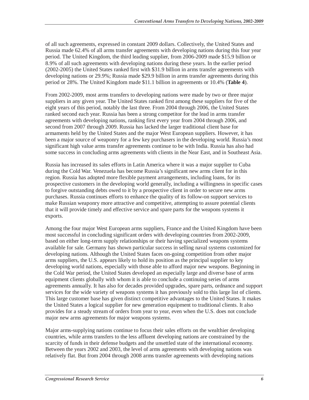of all such agreements, expressed in constant 2009 dollars. Collectively, the United States and Russia made 62.4% of all arms transfer agreements with developing nations during this four year period. The United Kingdom, the third leading supplier, from 2006-2009 made \$15.9 billion or 8.9% of all such agreements with developing nations during these years. In the earlier period (2002-2005) the United States ranked first with \$31.9 billion in arms transfer agreements with developing nations or 29.9%; Russia made \$29.9 billion in arms transfer agreements during this period or 28%. The United Kingdom made \$11.1 billion in agreements or 10.4% (**Table 4**).

From 2002-2009, most arms transfers to developing nations were made by two or three major suppliers in any given year. The United States ranked first among these suppliers for five of the eight years of this period, notably the last three. From 2004 through 2006, the United States ranked second each year. Russia has been a strong competitor for the lead in arms transfer agreements with developing nations, ranking first every year from 2004 through 2006, and second from 2007 through 2009. Russia has lacked the larger traditional client base for armaments held by the United States and the major West European suppliers. However, it has been a major source of weaponry for a few key purchasers in the developing world. Russia's most significant high value arms transfer agreements continue to be with India. Russia has also had some success in concluding arms agreements with clients in the Near East, and in Southeast Asia.

Russia has increased its sales efforts in Latin America where it was a major supplier to Cuba during the Cold War. Venezuela has become Russia's significant new arms client for in this region. Russia has adopted more flexible payment arrangements, including loans, for its prospective customers in the developing world generally, including a willingness in specific cases to forgive outstanding debts owed to it by a prospective client in order to secure new arms purchases. Russia continues efforts to enhance the quality of its follow-on support services to make Russian weaponry more attractive and competitive, attempting to assure potential clients that it will provide timely and effective service and spare parts for the weapons systems it exports.

Among the four major West European arms suppliers, France and the United Kingdom have been most successful in concluding significant orders with developing countries from 2002-2009, based on either long-term supply relationships or their having specialized weapons systems available for sale. Germany has shown particular success in selling naval systems customized for developing nations. Although the United States faces on-going competition from other major arms suppliers, the U.S. appears likely to hold its position as the principal supplier to key developing world nations, especially with those able to afford major new weapons. Beginning in the Cold War period, the United States developed an especially large and diverse base of arms equipment clients globally with whom it is able to conclude a continuing series of arms agreements annually. It has also for decades provided upgrades, spare parts, ordnance and support services for the wide variety of weapons systems it has previously sold to this large list of clients. This large customer base has given distinct competitive advantages to the United States. It makes the United States a logical supplier for new generation equipment to traditional clients. It also provides for a steady stream of orders from year to year, even when the U.S. does not conclude major new arms agreements for major weapons systems.

Major arms-supplying nations continue to focus their sales efforts on the wealthier developing countries, while arms transfers to the less affluent developing nations are constrained by the scarcity of funds in their defense budgets and the unsettled state of the international economy. Between the years 2002 and 2003, the level of arms agreements with developing nations was relatively flat. But from 2004 through 2008 arms transfer agreements with developing nations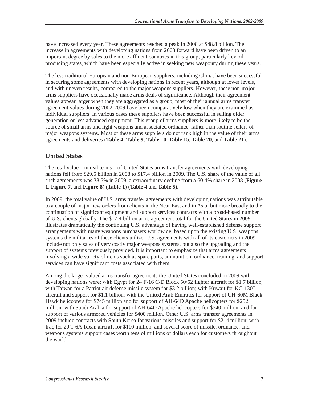have increased every year. These agreements reached a peak in 2008 at \$48.8 billion. The increase in agreements with developing nations from 2003 forward have been driven to an important degree by sales to the more affluent countries in this group, particularly key oil producing states, which have been especially active in seeking new weaponry during these years.

The less traditional European and non-European suppliers, including China, have been successful in securing some agreements with developing nations in recent years, although at lower levels, and with uneven results, compared to the major weapons suppliers. However, these non-major arms suppliers have occasionally made arms deals of significance. Although their agreement values appear larger when they are aggregated as a group, most of their annual arms transfer agreement values during 2002-2009 have been comparatively low when they are examined as individual suppliers. In various cases these suppliers have been successful in selling older generation or less advanced equipment. This group of arms suppliers is more likely to be the source of small arms and light weapons and associated ordnance, rather than routine sellers of major weapons systems. Most of these arms suppliers do not rank high in the value of their arms agreements and deliveries (**Table 4**, **Table 9**, **Table 10**, **Table 15**, **Table 20**, and **Table 21**).

## **United States**

The total value—in real terms—of United States arms transfer agreements with developing nations fell from \$29.5 billion in 2008 to \$17.4 billion in 2009. The U.S. share of the value of all such agreements was 38.5% in 2009, a extraordinary decline from a 60.4% share in 2008 (**Figure 1**, **Figure 7**, and **Figure 8**) (**Table 1**) (**Table 4** and **Table 5**).

In 2009, the total value of U.S. arms transfer agreements with developing nations was attributable to a couple of major new orders from clients in the Near East and in Asia, but more broadly to the continuation of significant equipment and support services contracts with a broad-based number of U.S. clients globally. The \$17.4 billion arms agreement total for the United States in 2009 illustrates dramatically the continuing U.S. advantage of having well-established defense support arrangements with many weapons purchasers worldwide, based upon the existing U.S. weapons systems the militaries of these clients utilize. U.S. agreements with all of its customers in 2009 include not only sales of very costly major weapons systems, but also the upgrading and the support of systems previously provided. It is important to emphasize that arms agreements involving a wide variety of items such as spare parts, ammunition, ordnance, training, and support services can have significant costs associated with them.

Among the larger valued arms transfer agreements the United States concluded in 2009 with developing nations were: with Egypt for 24 F-16 C/D Block 50/52 fighter aircraft for \$1.7 billion; with Taiwan for a Patriot air defense missile system for \$3.2 billion; with Kuwait for KC-130J aircraft and support for \$1.1 billion; with the United Arab Emirates for support of UH-60M Black Hawk helicopters for \$745 million and for support of AH-64D Apache helicopters for \$252 million; with Saudi Arabia for support of AH-64D Apache helicopters for \$540 million, and for support of various armored vehicles for \$400 million. Other U.S. arms transfer agreements in 2009 include contracts with South Korea for various missiles and support for \$214 million; with Iraq for 20 T-6A Texan aircraft for \$110 million; and several score of missile, ordnance, and weapons systems support cases worth tens of millions of dollars each for customers throughout the world.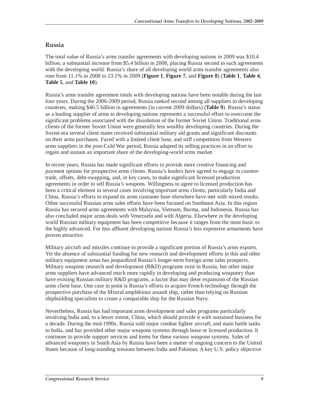### **Russia**

The total value of Russia's arms transfer agreements with developing nations in 2009 was \$10.4 billion, a substantial increase from \$5.4 billion in 2008, placing Russia second in such agreements with the developing world. Russia's share of all developing world arms transfer agreements also rose from 11.1% in 2008 to 23.1% in 2009 (**Figure 1**, **Figure 7**, and **Figure 8**) (**Table 1**, **Table 4**, **Table 5**, and **Table 10**).

Russia's arms transfer agreement totals with developing nations have been notable during the last four years. During the 2006-2009 period, Russia ranked second among all suppliers to developing countries, making \$40.5 billion in agreements (in current 2009 dollars) (**Table 9**). Russia's status as a leading supplier of arms to developing nations represents a successful effort to overcome the significant problems associated with the dissolution of the former Soviet Union. Traditional arms clients of the former Soviet Union were generally less wealthy developing countries. During the Soviet-era several client states received substantial military aid grants and significant discounts on their arms purchases. Faced with a limited client base, and stiff competition from Western arms suppliers in the post-Cold War period, Russia adapted its selling practices in an effort to regain and sustain an important share of the developing-world arms market.

In recent years, Russia has made significant efforts to provide more creative financing and payment options for prospective arms clients. Russia's leaders have agreed to engage in countertrade, offsets, debt-swapping, and, in key cases, to make significant licensed production agreements in order to sell Russia's weapons. Willingness to agree to licensed production has been a critical element in several cases involving important arms clients, particularly India and China. Russia's efforts to expand its arms customer base elsewhere have met with mixed results. Other successful Russian arms sales efforts have been focused on Southeast Asia. In this region Russia has secured arms agreements with Malaysia, Vietnam, Burma, and Indonesia. Russia has also concluded major arms deals with Venezuela and with Algeria. Elsewhere in the developing world Russian military equipment has been competitive because it ranges from the most basic to the highly advanced. For less affluent developing nations Russia's less expensive armaments have proven attractive.

Military aircraft and missiles continue to provide a significant portion of Russia's arms exports. Yet the absence of substantial funding for new research and development efforts in this and other military equipment areas has jeopardized Russia's longer-term foreign arms sales prospects. Military weapons research and development (R&D) programs exist in Russia, but other major arms suppliers have advanced much more rapidly in developing and producing weaponry than have existing Russian military R&D programs, a factor that may deter expansion of the Russian arms client base. One case in point is Russia's efforts to acquire French technology through the prospective purchase of the Mistral amphibious assault ship, rather than relying on Russian shipbuilding specialists to create a comparable ship for the Russian Navy.

Nevertheless, Russia has had important arms development and sales programs particularly involving India and, to a lesser extent, China, which should provide it with sustained business for a decade. During the mid-1990s, Russia sold major combat fighter aircraft, and main battle tanks to India, and has provided other major weapons systems through lease or licensed production. It continues to provide support services and items for these various weapons systems. Sales of advanced weaponry in South Asia by Russia have been a matter of ongoing concern to the United States because of long-standing tensions between India and Pakistan. A key U.S. policy objective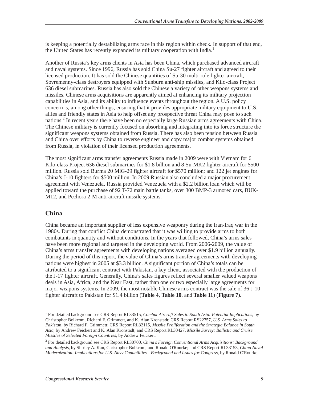is keeping a potentially destabilizing arms race in this region within check. In support of that end, the United States has recently expanded its military cooperation with India.<sup>1</sup>

Another of Russia's key arms clients in Asia has been China, which purchased advanced aircraft and naval systems. Since 1996, Russia has sold China Su-27 fighter aircraft and agreed to their licensed production. It has sold the Chinese quantities of Su-30 multi-role fighter aircraft, Sovremenny-class destroyers equipped with Sunburn anti-ship missiles, and Kilo-class Project 636 diesel submarines. Russia has also sold the Chinese a variety of other weapons systems and missiles. Chinese arms acquisitions are apparently aimed at enhancing its military projection capabilities in Asia, and its ability to influence events throughout the region. A U.S. policy concern is, among other things, ensuring that it provides appropriate military equipment to U.S. allies and friendly states in Asia to help offset any prospective threat China may pose to such nations.<sup>2</sup> In recent years there have been no especially large Russian arms agreements with China. The Chinese military is currently focused on absorbing and integrating into its force structure the significant weapons systems obtained from Russia. There has also been tension between Russia and China over efforts by China to reverse engineer and copy major combat systems obtained from Russia, in violation of their licensed production agreements.

The most significant arms transfer agreements Russia made in 2009 were with Vietnam for 6 Kilo-class Project 636 diesel submarines for \$1.8 billion and 8 Su-MK2 fighter aircraft for \$500 million. Russia sold Burma 20 MiG-29 fighter aircraft for \$570 million; and 122 jet engines for China's J-10 fighters for \$500 million. In 2009 Russian also concluded a major procurement agreement with Venezuela. Russia provided Venezuela with a \$2.2 billion loan which will be applied toward the purchase of 92 T-72 main battle tanks, over 300 BMP-3 armored cars, BUK-M12, and Pechora 2-M anti-aircraft missile systems.

#### **China**

China became an important supplier of less expensive weaponry during the Iran-Iraq war in the 1980s. During that conflict China demonstrated that it was willing to provide arms to both combatants in quantity and without conditions. In the years that followed, China's arms sales have been more regional and targeted in the developing world. From 2006-2009, the value of China's arms transfer agreements with developing nations averaged over \$1.9 billion annually. During the period of this report, the value of China's arms transfer agreements with developing nations were highest in 2005 at \$3.3 billion. A significant portion of China's totals can be attributed to a significant contract with Pakistan, a key client, associated with the production of the J-17 fighter aircraft. Generally, China's sales figures reflect several smaller valued weapons deals in Asia, Africa, and the Near East, rather than one or two especially large agreements for major weapons systems. In 2009, the most notable Chinese arms contract was the sale of 36 J-10 fighter aircraft to Pakistan for \$1.4 billion (**Table 4**, **Table 10**, and **Table 11**) (**Figure 7**).

 1 For detailed background see CRS Report RL33515, *Combat Aircraft Sales to South Asia: Potential Implications*, by Christopher Bolkcom, Richard F. Grimmett, and K. Alan Kronstadt; CRS Report RS22757, *U.S. Arms Sales to Pakistan*, by Richard F. Grimmett; CRS Report RL32115, *Missile Proliferation and the Strategic Balance in South Asia*, by Andrew Feickert and K. Alan Kronstadt; and CRS Report RL30427, *Missile Survey: Ballistic and Cruise Missiles of Selected Foreign Countries*, by Andrew Feickert.

<sup>2</sup> For detailed background see CRS Report RL30700, *China's Foreign Conventional Arms Acquisitions: Background and Analysis*, by Shirley A. Kan, Christopher Bolkcom, and Ronald O'Rourke; and CRS Report RL33153, *China Naval Modernization: Implications for U.S. Navy Capabilities—Background and Issues for Congress*, by Ronald O'Rourke.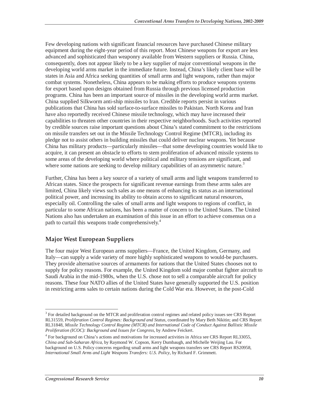Few developing nations with significant financial resources have purchased Chinese military equipment during the eight-year period of this report. Most Chinese weapons for export are less advanced and sophisticated than weaponry available from Western suppliers or Russia. China, consequently, does not appear likely to be a key supplier of major conventional weapons in the developing world arms market in the immediate future. Instead, China's likely client base will be states in Asia and Africa seeking quantities of small arms and light weapons, rather than major combat systems. Nonetheless, China appears to be making efforts to produce weapons systems for export based upon designs obtained from Russia through previous licensed production programs. China has been an important source of missiles in the developing world arms market. China supplied Silkworm anti-ship missiles to Iran. Credible reports persist in various publications that China has sold surface-to-surface missiles to Pakistan. North Korea and Iran have also reportedly received Chinese missile technology, which may have increased their capabilities to threaten other countries in their respective neighborhoods. Such activities reported by credible sources raise important questions about China's stated commitment to the restrictions on missile transfers set out in the Missile Technology Control Regime (MTCR), including its pledge not to assist others in building missiles that could deliver nuclear weapons. Yet because China has military products—particularly missiles—that some developing countries would like to acquire, it can present an obstacle to efforts to stem proliferation of advanced missile systems to some areas of the developing world where political and military tensions are significant, and where some nations are seeking to develop military capabilities of an asymmetric nature.<sup>3</sup>

Further, China has been a key source of a variety of small arms and light weapons transferred to African states. Since the prospects for significant revenue earnings from these arms sales are limited, China likely views such sales as one means of enhancing its status as an international political power, and increasing its ability to obtain access to significant natural resources, especially oil. Controlling the sales of small arms and light weapons to regions of conflict, in particular to some African nations, has been a matter of concern to the United States. The United Nations also has undertaken an examination of this issue in an effort to achieve consensus on a path to curtail this weapons trade comprehensively.<sup>4</sup>

## **Major West European Suppliers**

The four major West European arms suppliers—France, the United Kingdom, Germany, and Italy—can supply a wide variety of more highly sophisticated weapons to would-be purchasers. They provide alternative sources of armaments for nations that the United States chooses not to supply for policy reasons. For example, the United Kingdom sold major combat fighter aircraft to Saudi Arabia in the mid-1980s, when the U.S. chose not to sell a comparable aircraft for policy reasons. These four NATO allies of the United States have generally supported the U.S. position in restricting arms sales to certain nations during the Cold War era. However, in the post-Cold

<sup>&</sup>lt;sup>3</sup> For detailed background on the MTCR and proliferation control regimes and related policy issues see CRS Report RL31559, *Proliferation Control Regimes: Background and Status*, coordinated by Mary Beth Nikitin; and CRS Report RL31848, *Missile Technology Control Regime (MTCR) and International Code of Conduct Against Ballistic Missile Proliferation (ICOC): Background and Issues for Congress*, by Andrew Feickert.

<sup>&</sup>lt;sup>4</sup> For background on China's actions and motivations for increased activities in Africa see CRS Report RL33055, *China and Sub-Saharan Africa*, by Raymond W. Copson, Kerry Dumbaugh, and Michelle Weijing Lau. For background on U.S. Policy concerns regarding small arms and light weapons transfers see CRS Report RS20958, *International Small Arms and Light Weapons Transfers: U.S. Policy*, by Richard F. Grimmett.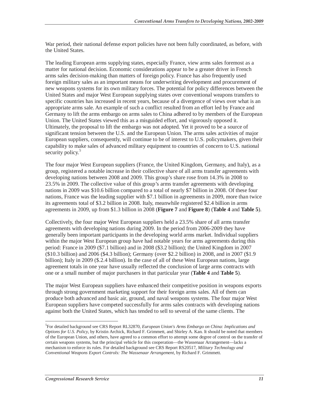War period, their national defense export policies have not been fully coordinated, as before, with the United States.

The leading European arms supplying states, especially France, view arms sales foremost as a matter for national decision. Economic considerations appear to be a greater driver in French arms sales decision-making than matters of foreign policy. France has also frequently used foreign military sales as an important means for underwriting development and procurement of new weapons systems for its own military forces. The potential for policy differences between the United States and major West European supplying states over conventional weapons transfers to specific countries has increased in recent years, because of a divergence of views over what is an appropriate arms sale. An example of such a conflict resulted from an effort led by France and Germany to lift the arms embargo on arms sales to China adhered to by members of the European Union. The United States viewed this as a misguided effort, and vigorously opposed it. Ultimately, the proposal to lift the embargo was not adopted. Yet it proved to be a source of significant tension between the U.S. and the European Union. The arms sales activities of major European suppliers, consequently, will continue to be of interest to U.S. policymakers, given their capability to make sales of advanced military equipment to countries of concern to U.S. national security policy.<sup>5</sup>

The four major West European suppliers (France, the United Kingdom, Germany, and Italy), as a group, registered a notable increase in their collective share of all arms transfer agreements with developing nations between 2008 and 2009. This group's share rose from 14.3% in 2008 to 23.5% in 2009. The collective value of this group's arms transfer agreements with developing nations in 2009 was \$10.6 billion compared to a total of nearly \$7 billion in 2008. Of these four nations, France was the leading supplier with \$7.1 billion in agreements in 2009, more than twice its agreements total of \$3.2 billion in 2008. Italy, meanwhile registered \$2.4 billion in arms agreements in 2009, up from \$1.3 billion in 2008 (**Figure 7** and **Figure 8**) (**Table 4** and **Table 5**).

Collectively, the four major West European suppliers held a 23.5% share of all arms transfer agreements with developing nations during 2009. In the period from 2006-2009 they have generally been important participants in the developing world arms market. Individual suppliers within the major West European group have had notable years for arms agreements during this period: France in 2009 (\$7.1 billion) and in 2008 (\$3.2 billion); the United Kingdom in 2007 (\$10.3 billion) and 2006 (\$4.3 billion); Germany (over \$2.2 billion) in 2008, and in 2007 (\$1.9 billion); Italy in 2009 (\$.2.4 billion). In the case of all of these West European nations, large agreement totals in one year have usually reflected the conclusion of large arms contracts with one or a small number of major purchasers in that particular year (**Table 4** and **Table 5**).

The major West European suppliers have enhanced their competitive position in weapons exports through strong government marketing support for their foreign arms sales. All of them can produce both advanced and basic air, ground, and naval weapons systems. The four major West European suppliers have competed successfully for arms sales contracts with developing nations against both the United States, which has tended to sell to several of the same clients. The

-

<sup>5</sup> For detailed background see CRS Report RL32870, *European Union's Arms Embargo on China: Implications and Options for U.S. Policy*, by Kristin Archick, Richard F. Grimmett, and Shirley A. Kan. It should be noted that members of the European Union, and others, have agreed to a common effort to attempt some degree of control on the transfer of certain weapons systems, but the principal vehicle for this cooperation—the Wassenaar Arrangement—lacks a mechanism to enforce its rules. For detailed background see CRS Report RS20517, *Military Technology and Conventional Weapons Export Controls: The Wassenaar Arrangement*, by Richard F. Grimmett.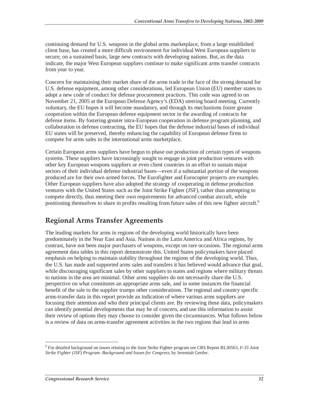continuing demand for U.S. weapons in the global arms marketplace, from a large established client base, has created a more difficult environment for individual West European suppliers to secure, on a sustained basis, large new contracts with developing nations. But, as the data indicate, the major West European suppliers continue to make significant arms transfer contracts from year to year.

Concern for maintaining their market share of the arms trade in the face of the strong demand for U.S. defense equipment, among other considerations, led European Union (EU) member states to adopt a new code of conduct for defense procurement practices. This code was agreed to on November 21, 2005 at the European Defense Agency's (EDA) steering board meeting. Currently voluntary, the EU hopes it will become mandatory, and through its mechanisms foster greater cooperation within the European defense equipment sector in the awarding of contracts for defense items. By fostering greater intra-European cooperation in defense program planning, and collaboration in defense contracting, the EU hopes that the defense industrial bases of individual EU states will be preserved, thereby enhancing the capability of European defense firms to compete for arms sales in the international arms marketplace.

Certain European arms suppliers have begun to phase out production of certain types of weapons systems. These suppliers have increasingly sought to engage in joint production ventures with other key European weapons suppliers or even client countries in an effort to sustain major sectors of their individual defense industrial bases—even if a substantial portion of the weapons produced are for their own armed forces. The Eurofighter and Eurocopter projects are examples. Other European suppliers have also adopted the strategy of cooperating in defense production ventures with the United States such as the Joint Strike Fighter (JSF), rather than attempting to compete directly, thus meeting their own requirements for advanced combat aircraft, while positioning themselves to share in profits resulting from future sales of this new fighter aircraft.<sup>6</sup>

## **Regional Arms Transfer Agreements**

The leading markets for arms in regions of the developing world historically have been predominately in the Near East and Asia. Nations in the Latin America and Africa regions, by contrast, have not been major purchasers of weapons, except on rare occasions. The regional arms agreement data tables in this report demonstrate this. United States policymakers have placed emphasis on helping to maintain stability throughout the regions of the developing world. Thus, the U.S. has made and supported arms sales and transfers it has believed would advance that goal, while discouraging significant sales by other suppliers to states and regions where military threats to nations in the area are minimal. Other arms suppliers do not necessarily share the U.S. perspective on what constitutes an appropriate arms sale, and in some instances the financial benefit of the sale to the supplier trumps other considerations. The regional and country specific arms-transfer data in this report provide an indication of where various arms suppliers are focusing their attention and who their principal clients are. By reviewing these data, policymakers can identify potential developments that may be of concern, and use this information to assist their review of options they may choose to consider given the circumstances. What follows below is a review of data on arms-transfer agreement activities in the two regions that lead in arms

-

<sup>6</sup> For detailed background on issues relating to the Joint Strike Fighter program see CRS Report RL30563, *F-35 Joint Strike Fighter (JSF) Program: Background and Issues for Congress*, by Jeremiah Gertler.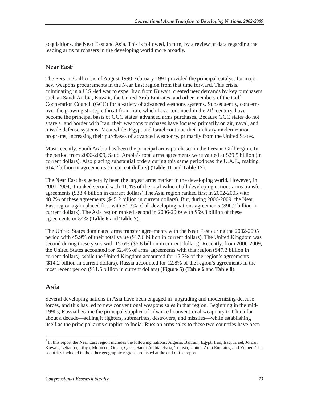acquisitions, the Near East and Asia. This is followed, in turn, by a review of data regarding the leading arms purchasers in the developing world more broadly.

### **Near East7**

The Persian Gulf crisis of August 1990-February 1991 provided the principal catalyst for major new weapons procurements in the Near East region from that time forward. This crisis, culminating in a U.S.-led war to expel Iraq from Kuwait, created new demands by key purchasers such as Saudi Arabia, Kuwait, the United Arab Emirates, and other members of the Gulf Cooperation Council (GCC) for a variety of advanced weapons systems. Subsequently, concerns over the growing strategic threat from Iran, which have continued in the  $21<sup>st</sup>$  century, have become the principal basis of GCC states' advanced arms purchases. Because GCC states do not share a land border with Iran, their weapons purchases have focused primarily on air, naval, and missile defense systems. Meanwhile, Egypt and Israel continue their military modernization programs, increasing their purchases of advanced weaponry, primarily from the United States.

Most recently, Saudi Arabia has been the principal arms purchaser in the Persian Gulf region. In the period from 2006-2009, Saudi Arabia's total arms agreements were valued at \$29.5 billion (in current dollars). Also placing substantial orders during this same period was the U.A.E., making \$14.2 billion in agreements (in current dollars) (**Table 11** and **Table 12**).

The Near East has generally been the largest arms market in the developing world. However, in 2001-2004, it ranked second with 41.4% of the total value of all developing nations arms transfer agreements (\$38.4 billion in current dollars).The Asia region ranked first in 2002-2005 with 48.7% of these agreements (\$45.2 billion in current dollars). But, during 2006-2009, the Near East region again placed first with 51.3% of all developing nations agreements (\$90.2 billion in current dollars). The Asia region ranked second in 2006-2009 with \$59.8 billion of these agreements or 34% (**Table 6** and **Table 7**).

The United States dominated arms transfer agreements with the Near East during the 2002-2005 period with 45.9% of their total value (\$17.6 billion in current dollars). The United Kingdom was second during these years with 15.6% (\$6.8 billion in current dollars). Recently, from 2006-2009, the United States accounted for 52.4% of arms agreements with this region (\$47.3 billion in current dollars), while the United Kingdom accounted for 15.7% of the region's agreements (\$14.2 billion in current dollars). Russia accounted for 12.8% of the region's agreements in the most recent period (\$11.5 billion in current dollars) (**Figure 5**) (**Table 6** and **Table 8**).

## **Asia**

Several developing nations in Asia have been engaged in upgrading and modernizing defense forces, and this has led to new conventional weapons sales in that region. Beginning in the mid-1990s, Russia became the principal supplier of advanced conventional weaponry to China for about a decade—selling it fighters, submarines, destroyers, and missiles—while establishing itself as the principal arms supplier to India. Russian arms sales to these two countries have been

<sup>-</sup> $^7$  In this report the Near East region includes the following nations: Algeria, Bahrain, Egypt, Iran, Iraq, Israel, Jordan, Kuwait, Lebanon, Libya, Morocco, Oman, Qatar, Saudi Arabia, Syria, Tunisia, United Arab Emirates, and Yemen. The countries included in the other geographic regions are listed at the end of the report.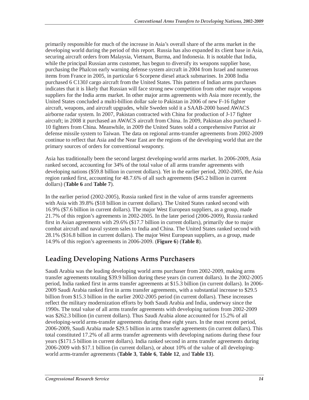primarily responsible for much of the increase in Asia's overall share of the arms market in the developing world during the period of this report. Russia has also expanded its client base in Asia, securing aircraft orders from Malaysia, Vietnam, Burma, and Indonesia. It is notable that India, while the principal Russian arms customer, has begun to diversify its weapons supplier base, purchasing the Phalcon early warning defense system aircraft in 2004 from Israel and numerous items from France in 2005, in particular 6 Scorpene diesel attack submarines. In 2008 India purchased 6 C130J cargo aircraft from the United States. This pattern of Indian arms purchases indicates that it is likely that Russian will face strong new competition from other major weapons suppliers for the India arms market. In other major arms agreements with Asia more recently, the United States concluded a multi-billion dollar sale to Pakistan in 2006 of new F-16 fighter aircraft, weapons, and aircraft upgrades, while Sweden sold it a SAAB-2000 based AWACS airborne radar system. In 2007, Pakistan contracted with China for production of J-17 fighter aircraft; in 2008 it purchased an AWACS aircraft from China. In 2009, Pakistan also purchased J-10 fighters from China. Meanwhile, in 2009 the United States sold a comprehensive Patriot air defense missile system to Taiwan. The data on regional arms-transfer agreements from 2002-2009 continue to reflect that Asia and the Near East are the regions of the developing world that are the primary sources of orders for conventional weaponry.

Asia has traditionally been the second largest developing-world arms market. In 2006-2009, Asia ranked second, accounting for 34% of the total value of all arms transfer agreements with developing nations (\$59.8 billion in current dollars). Yet in the earlier period, 2002-2005, the Asia region ranked first, accounting for 48.7.6% of all such agreements (\$45.2 billion in current dollars) (**Table 6** and **Table 7**).

In the earlier period (2002-2005), Russia ranked first in the value of arms transfer agreements with Asia with 39.8% (\$18 billion in current dollars). The United States ranked second with 16.9% (\$7.6 billion in current dollars). The major West European suppliers, as a group, made 21.7% of this region's agreements in 2002-2005. In the later period (2006-2009), Russia ranked first in Asian agreements with 29.6% (\$17.7 billion in current dollars), primarily due to major combat aircraft and naval system sales to India and China. The United States ranked second with 28.1% (\$16.8 billion in current dollars). The major West European suppliers, as a group, made 14.9% of this region's agreements in 2006-2009. (**Figure 6**) (**Table 8**).

# **Leading Developing Nations Arms Purchasers**

Saudi Arabia was the leading developing world arms purchaser from 2002-2009, making arms transfer agreements totaling \$39.9 billion during these years (in current dollars). In the 2002-2005 period, India ranked first in arms transfer agreements at \$15.3 billion (in current dollars). In 2006- 2009 Saudi Arabia ranked first in arms transfer agreements, with a substantial increase to \$29.5 billion from \$15.3 billion in the earlier 2002-2005 period (in current dollars). These increases reflect the military modernization efforts by both Saudi Arabia and India, underway since the 1990s. The total value of all arms transfer agreements with developing nations from 2002-2009 was \$262.3 billion (in current dollars). Thus Saudi Arabia alone accounted for 15.2% of all developing-world arms-transfer agreements during these eight years. In the most recent period, 2006-2009, Saudi Arabia made \$29.5 billion in arms transfer agreements (in current dollars). This total constituted 17.2% of all arms transfer agreements with developing nations during these four years (\$171.5 billion in current dollars). India ranked second in arms transfer agreements during 2006-2009 with \$17.1 billion (in current dollars), or about 10% of the value of all developingworld arms-transfer agreements (**Table 3**, **Table 6**, **Table 12**, and **Table 13**).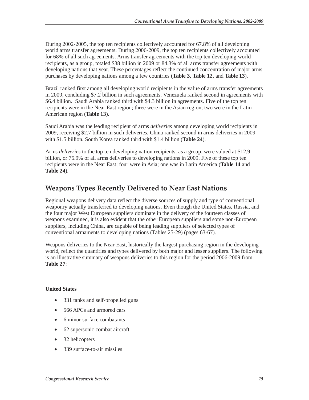During 2002-2005, the top ten recipients collectively accounted for 67.8% of all developing world arms transfer agreements. During 2006-2009, the top ten recipients collectively accounted for 68% of all such agreements. Arms transfer agreements with the top ten developing world recipients, as a group, totaled \$38 billion in 2009 or 84.3% of all arms transfer agreements with developing nations that year. These percentages reflect the continued concentration of major arms purchases by developing nations among a few countries (**Table 3**, **Table 12**, and **Table 13**).

Brazil ranked first among all developing world recipients in the value of arms transfer agreements in 2009, concluding \$7.2 billion in such agreements. Venezuela ranked second in agreements with \$6.4 billion. Saudi Arabia ranked third with \$4.3 billion in agreements. Five of the top ten recipients were in the Near East region; three were in the Asian region; two were in the Latin American region (**Table 13**).

Saudi Arabia was the leading recipient of arms *deliveries* among developing world recipients in 2009, receiving \$2.7 billion in such deliveries. China ranked second in arms deliveries in 2009 with \$1.5 billion. South Korea ranked third with \$1.4 billion (**Table 24**).

Arms *deliveries* to the top ten developing nation recipients, as a group, were valued at \$12.9 billion, or 75.9% of all arms deliveries to developing nations in 2009. Five of these top ten recipients were in the Near East; four were in Asia; one was in Latin America.(**Table 14** and **Table 24**).

# **Weapons Types Recently Delivered to Near East Nations**

Regional weapons delivery data reflect the diverse sources of supply and type of conventional weaponry actually transferred to developing nations. Even though the United States, Russia, and the four major West European suppliers dominate in the delivery of the fourteen classes of weapons examined, it is also evident that the other European suppliers and some non-European suppliers, including China, are capable of being leading suppliers of selected types of conventional armaments to developing nations (Tables 25-29) (pages 63-67).

Weapons deliveries to the Near East, historically the largest purchasing region in the developing world, reflect the quantities and types delivered by both major and lesser suppliers. The following is an illustrative summary of weapons deliveries to this region for the period 2006-2009 from **Table 27**:

#### **United States**

- 331 tanks and self-propelled guns
- 566 APCs and armored cars
- 6 minor surface combatants
- 62 supersonic combat aircraft
- 32 helicopters
- 339 surface-to-air missiles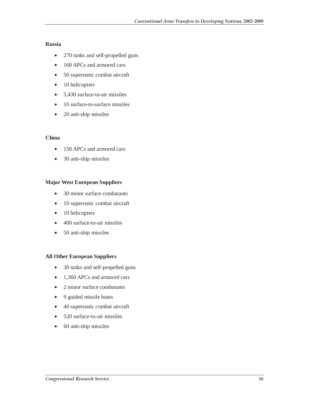#### **Russia**

- 270 tanks and self-propelled guns
- 160 APCs and armored cars
- 50 supersonic combat aircraft
- 10 helicopters
- 5,430 surface-to-air missiles
- 10 surface-to-surface missiles
- 20 anti-ship missiles

#### **China**

- 150 APCs and armored cars
- 30 anti-ship missiles

#### **Major West European Suppliers**

- 30 minor surface combatants
- 10 supersonic combat aircraft
- 10 helicopters
- 400 surface-to-air missiles
- 50 anti-ship missiles

#### **All Other European Suppliers**

- 30 tanks and self-propelled guns
- 1,360 APCs and armored cars
- 2 minor surface combatants
- 9 guided missile boats
- 40 supersonic combat aircraft
- 520 surface-to-air missiles
- 60 anti-ship missiles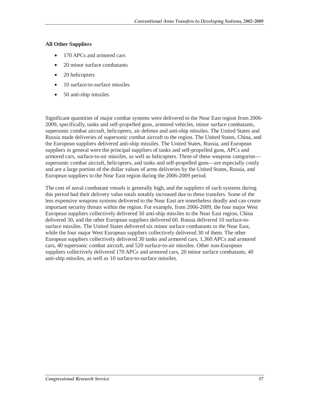#### **All Other Suppliers**

- 170 APCs and armored cars
- 20 minor surface combatants
- 20 helicopters
- 10 surface-to-surface missiles
- 50 anti-ship missiles

Significant quantities of major combat systems were delivered to the Near East region from 2006- 2009, specifically, tanks and self-propelled guns, armored vehicles, minor surface combatants, supersonic combat aircraft, helicopters, air defense and anti-ship missiles. The United States and Russia made deliveries of supersonic combat aircraft to the region. The United States, China, and the European suppliers delivered anti-ship missiles. The United States, Russia, and European suppliers in general were the principal suppliers of tanks and self-propelled guns, APCs and armored cars, surface-to-air missiles, as well as helicopters. Three of these weapons categories supersonic combat aircraft, helicopters, and tanks and self-propelled guns—are especially costly and are a large portion of the dollar values of arms deliveries by the United States, Russia, and European suppliers to the Near East region during the 2006-2009 period.

The cost of naval combatant vessels is generally high, and the suppliers of such systems during this period had their delivery value totals notably increased due to these transfers. Some of the less expensive weapons systems delivered to the Near East are nonetheless deadly and can create important security threats within the region. For example, from 2006-2009, the four major West European suppliers collectively delivered 50 anti-ship missiles to the Near East region, China delivered 30, and the other European suppliers delivered 60. Russia delivered 10 surface-tosurface missiles. The United States delivered six minor surface combatants to the Near East, while the four major West European suppliers collectively delivered 30 of them. The other European suppliers collectively delivered 30 tanks and armored cars, 1,360 APCs and armored cars, 40 supersonic combat aircraft, and 520 surface-to-air missiles. Other non-European suppliers collectively delivered 170 APCs and armored cars, 20 minor surface combatants, 40 anti-ship missiles, as well as 10 surface-to-surface missiles.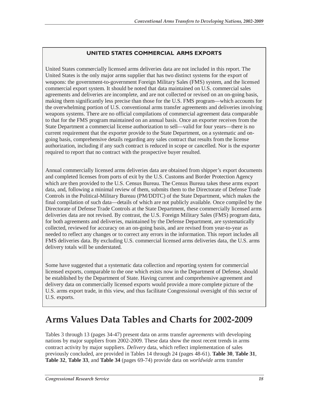### **UNITED STATES COMMERCIAL ARMS EXPORTS**

United States commercially licensed arms deliveries data are not included in this report. The United States is the only major arms supplier that has two distinct systems for the export of weapons: the government-to-government Foreign Military Sales (FMS) system, and the licensed commercial export system. It should be noted that data maintained on U.S. commercial sales agreements and deliveries are incomplete, and are not collected or revised on an on-going basis, making them significantly less precise than those for the U.S. FMS program—which accounts for the overwhelming portion of U.S. conventional arms transfer agreements and deliveries involving weapons systems. There are no official compilations of commercial agreement data comparable to that for the FMS program maintained on an annual basis. Once an exporter receives from the State Department a commercial license authorization to sell—valid for four years—there is no current requirement that the exporter provide to the State Department, on a systematic and ongoing basis, comprehensive details regarding any sales contract that results from the license authorization, including if any such contract is reduced in scope or cancelled. Nor is the exporter required to report that no contract with the prospective buyer resulted.

Annual commercially licensed arms deliveries data are obtained from shipper's export documents and completed licenses from ports of exit by the U.S. Customs and Border Protection Agency which are then provided to the U.S. Census Bureau. The Census Bureau takes these arms export data, and, following a minimal review of them, submits them to the Directorate of Defense Trade Controls in the Political-Military Bureau (PM/DDTC) of the State Department, which makes the final compilation of such data—details of which are not publicly available. Once compiled by the Directorate of Defense Trade Controls at the State Department, these commercially licensed arms deliveries data are not revised. By contrast, the U.S. Foreign Military Sales (FMS) program data, for both agreements and deliveries, maintained by the Defense Department, are systematically collected, reviewed for accuracy on an on-going basis, and are revised from year-to-year as needed to reflect any changes or to correct any errors in the information. This report includes all FMS deliveries data. By excluding U.S. commercial licensed arms deliveries data, the U.S. arms delivery totals will be understated.

Some have suggested that a systematic data collection and reporting system for commercial licensed exports, comparable to the one which exists now in the Department of Defense, should be established by the Department of State. Having current and comprehensive agreement and delivery data on commercially licensed exports would provide a more complete picture of the U.S. arms export trade, in this view, and thus facilitate Congressional oversight of this sector of U.S. exports.

# **Arms Values Data Tables and Charts for 2002-2009**

Tables 3 through 13 (pages 34-47) present data on arms transfer *agreements* with developing nations by major suppliers from 2002-2009. These data show the most recent trends in arms contract activity by major suppliers. *Delivery* data, which reflect implementation of sales previously concluded, are provided in Tables 14 through 24 (pages 48-61). **Table 30**, **Table 31**, **Table 32**, **Table 33**, and **Table 34** (pages 69-74) provide data on *worldwide* arms transfer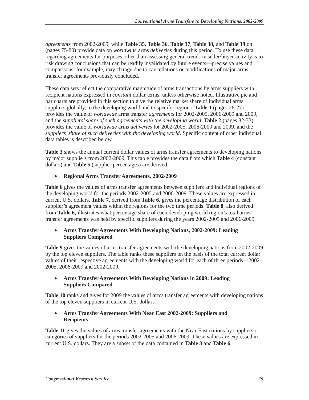*agreements* from 2002-2009, while **Table 35**, **Table 36**, **Table 37**, **Table 38**, and **Table 39** on (pages 75-80) provide data on *worldwide* arms *deliveries* during this period. To use these data regarding agreements for purposes other than assessing general trends in seller/buyer activity is to risk drawing conclusions that can be readily invalidated by future events—precise values and comparisons, for example, may change due to cancellations or modifications of major arms transfer agreements previously concluded.

These data sets reflect the comparative magnitude of arms transactions by arms suppliers with recipient nations expressed in *constant* dollar terms, unless otherwise noted. Illustrative pie and bar charts are provided in this section to give the relative market share of individual arms suppliers globally, to the developing world and to specific regions. **Table 1** (pages 26-27) provides the value of *worldwide* arms transfer *agreements* for 2002-2005. 2006-2009 and 2009, and the *suppliers' share of such agreements with the developing world*. **Table 2** (pages 32-33) provides the value of *worldwide* arms *deliveries* for 2002-2005, 2006-2009 and 2009, and the *suppliers' share of such deliveries with the developing world*. Specific content of other individual data tables is described below.

**Table 3** shows the annual current dollar values of arms transfer agreements to developing nations by major suppliers from 2002-2009. This table provides the data from which **Table 4** (constant dollars) and **Table 5** (supplier percentages) are derived.

### • **Regional Arms Transfer Agreements, 2002-2009**

**Table 6** gives the values of arms transfer agreements between suppliers and individual regions of the developing world for the periods 2002-2005 and 2006-2009. These values are expressed in current U.S. dollars. **Table 7**, derived from **Table 6**, gives the percentage distribution of each supplier's agreement values within the regions for the two time periods. **Table 8**, also derived from **Table 6**, illustrates what percentage share of each developing world region's total arms transfer agreements was held by specific suppliers during the years 2002-2005 and 2006-2009.

#### • **Arms Transfer Agreements With Developing Nations, 2002-2009: Leading Suppliers Compared**

**Table 9** gives the values of arms transfer agreements with the developing nations from 2002-2009 by the top eleven suppliers. The table ranks these suppliers on the basis of the total current dollar values of their respective agreements with the developing world for each of three periods—2002- 2005, 2006-2009 and 2002-2009.

#### • **Arms Transfer Agreements With Developing Nations in 2009: Leading Suppliers Compared**

**Table 10** ranks and gives for 2009 the values of arms transfer agreements with developing nations of the top eleven suppliers in current U.S. dollars.

#### • **Arms Transfer Agreements With Near East 2002-2009: Suppliers and Recipients**

**Table 11** gives the values of arms transfer agreements with the Near East nations by suppliers or categories of suppliers for the periods 2002-2005 and 2006-2009. These values are expressed in current U.S. dollars. They are a subset of the data contained in **Table 3** and **Table 6**.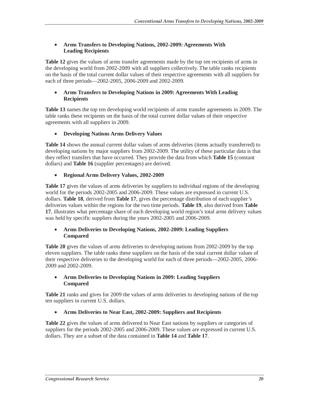#### • **Arms Transfers to Developing Nations, 2002-2009: Agreements With Leading Recipients**

**Table 12** gives the values of arms transfer agreements made by the top ten recipients of arms in the developing world from 2002-2009 with all suppliers collectively. The table ranks recipients on the basis of the total current dollar values of their respective agreements with all suppliers for each of three periods—2002-2005, 2006-2009 and 2002-2009.

#### • **Arms Transfers to Developing Nations in 2009: Agreements With Leading Recipients**

**Table 13** names the top ten developing world recipients of arms transfer agreements in 2009. The table ranks these recipients on the basis of the total current dollar values of their respective agreements with all suppliers in 2009.

### • **Developing Nations Arms Delivery Values**

**Table 14** shows the annual current dollar values of arms deliveries (items actually transferred) to developing nations by major suppliers from 2002-2009. The utility of these particular data is that they reflect transfers that have occurred. They provide the data from which **Table 15** (constant dollars) and **Table 16** (supplier percentages) are derived.

#### • **Regional Arms Delivery Values, 2002-2009**

Table 17 gives the values of arms deliveries by suppliers to individual regions of the developing world for the periods 2002-2005 and 2006-2009. These values are expressed in current U.S. dollars. **Table 18**, derived from **Table 17**, gives the percentage distribution of each supplier's deliveries values within the regions for the two time periods. **Table 19**, also derived from **Table 17**, illustrates what percentage share of each developing world region's total arms delivery values was held by specific suppliers during the years 2002-2005 and 2006-2009.

#### • **Arms Deliveries to Developing Nations, 2002-2009: Leading Suppliers Compared**

**Table 20** gives the values of arms deliveries to developing nations from 2002-2009 by the top eleven suppliers. The table ranks these suppliers on the basis of the total current dollar values of their respective deliveries to the developing world for each of three periods—2002-2005, 2006- 2009 and 2002-2009.

#### • **Arms Deliveries to Developing Nations in 2009: Leading Suppliers Compared**

**Table 21** ranks and gives for 2009 the values of arms deliveries to developing nations of the top ten suppliers in current U.S. dollars.

#### • **Arms Deliveries to Near East, 2002-2009: Suppliers and Recipients**

**Table 22** gives the values of arms delivered to Near East nations by suppliers or categories of suppliers for the periods 2002-2005 and 2006-2009. These values are expressed in current U.S. dollars. They are a subset of the data contained in **Table 14** and **Table 17**.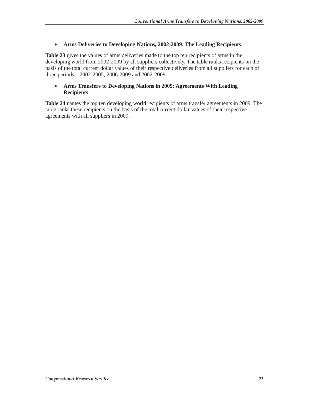#### • **Arms Deliveries to Developing Nations, 2002-2009: The Leading Recipients**

**Table 23** gives the values of arms deliveries made to the top ten recipients of arms in the developing world from 2002-2009 by all suppliers collectively. The table ranks recipients on the basis of the total current dollar values of their respective deliveries from all suppliers for each of three periods—2002-2005, 2006-2009 and 2002-2009.

#### • **Arms Transfers to Developing Nations in 2009: Agreements With Leading Recipients**

**Table 24** names the top ten developing world recipients of arms transfer agreements in 2009. The table ranks these recipients on the basis of the total current dollar values of their respective agreements with all suppliers in 2009.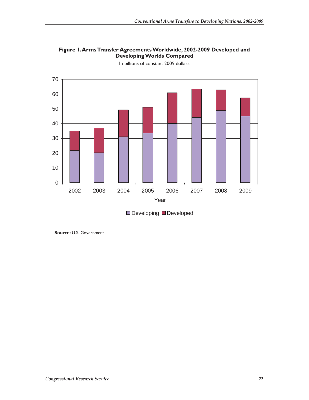

**Figure 1. Arms Transfer Agreements Worldwide, 2002-2009 Developed and Developing Worlds Compared** 

In billions of constant 2009 dollars

**Source:** U.S. Government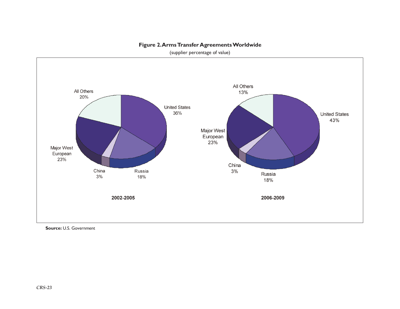

#### **Figure 2. Arms Transfer Agreements Worldwide**

(supplier percentage of value)

**Source:** U.S. Government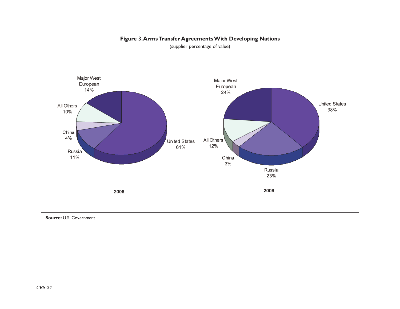

**Figure 3. Arms Transfer Agreements With Developing Nations**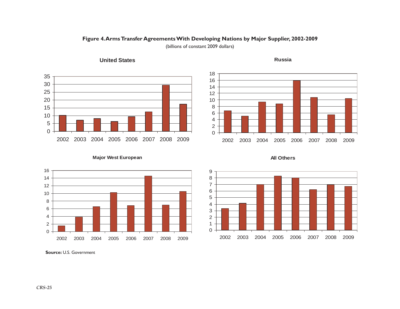



**United States**



**Russia**



**Major West European**





**Source:** U.S. Government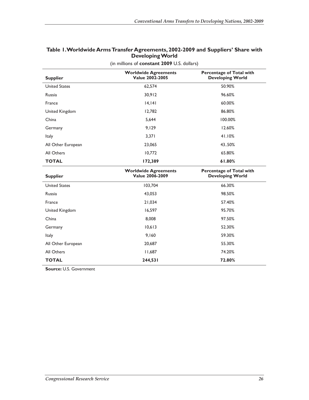| <b>Supplier</b>      | <b>Worldwide Agreements</b><br><b>Value 2002-2005</b> | <b>Percentage of Total with</b><br><b>Developing World</b> |
|----------------------|-------------------------------------------------------|------------------------------------------------------------|
| <b>United States</b> | 62,574                                                | 50.90%                                                     |
| Russia               | 30,912                                                | 96.60%                                                     |
| France               | 14, 141                                               | 60.00%                                                     |
| United Kingdom       | 12,782                                                | 86.80%                                                     |
| China                | 5,644                                                 | 100.00%                                                    |
| Germany              | 9,129                                                 | 12.60%                                                     |
| <b>Italy</b>         | 3,371                                                 | 41.10%                                                     |
| All Other European   | 23,065                                                | 43.50%                                                     |
| All Others           | 10,772                                                | 65.80%                                                     |
| <b>TOTAL</b>         | 172,389                                               | 61.80%                                                     |
| <b>Supplier</b>      | <b>Worldwide Agreements</b><br><b>Value 2006-2009</b> | <b>Percentage of Total with</b><br><b>Developing World</b> |
| <b>United States</b> | 103,704                                               | 66.30%                                                     |
| Russia               | 43,053                                                | 98.50%                                                     |
| France               | 21,034                                                | 57.40%                                                     |
| United Kingdom       | 16,597                                                | 95.70%                                                     |
| China                | 8,008                                                 | 97.50%                                                     |
| Germany              | 10,613                                                | 52.30%                                                     |
| Italy                | 9,160                                                 | 59.30%                                                     |
| All Other European   | 20,687                                                | 55.30%                                                     |
|                      |                                                       |                                                            |
| All Others           | 11,687                                                | 74.20%                                                     |

### **Table 1. Worldwide Arms Transfer Agreements, 2002-2009 and Suppliers' Share with Developing World**

(in millions of **constant 2009** U.S. dollars)

**Source:** U.S. Government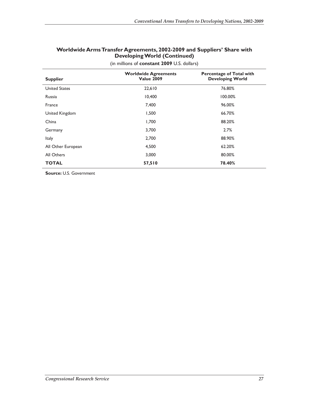| Worldwide Arms Transfer Agreements, 2002-2009 and Suppliers' Share with |  |  |
|-------------------------------------------------------------------------|--|--|
| <b>Developing World (Continued)</b>                                     |  |  |

| <b>Supplier</b>      | <b>Worldwide Agreements</b><br><b>Value 2009</b> | <b>Percentage of Total with</b><br><b>Developing World</b> |
|----------------------|--------------------------------------------------|------------------------------------------------------------|
| <b>United States</b> | 22,610                                           | 76.80%                                                     |
| <b>Russia</b>        | 10,400                                           | 100.00%                                                    |
| France               | 7,400                                            | 96.00%                                                     |
| United Kingdom       | 1,500                                            | 66.70%                                                     |
| China                | 1,700                                            | 88.20%                                                     |
| Germany              | 3,700                                            | 2.7%                                                       |
| <b>Italy</b>         | 2,700                                            | 88.90%                                                     |
| All Other European   | 4,500                                            | 62.20%                                                     |
| All Others           | 3,000                                            | 80.00%                                                     |
| <b>TOTAL</b>         | 57,510                                           | 78.40%                                                     |

(in millions of **constant 2009** U.S. dollars)

**Source:** U.S. Government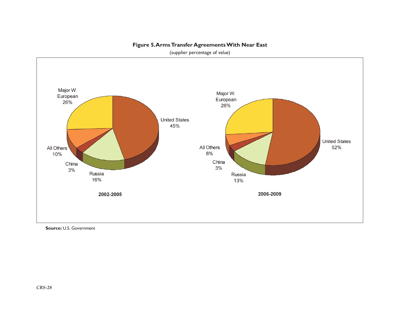

#### **Figure 5. Arms Transfer Agreements With Near East**

(supplier percentage of value)

**Source:** U.S. Government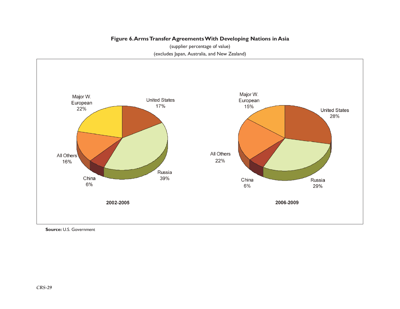### **Figure 6. Arms Transfer Agreements With Developing Nations in Asia**

(supplier percentage of value) (excludes Japan, Australia, and New Zealand)



**Source:** U.S. Government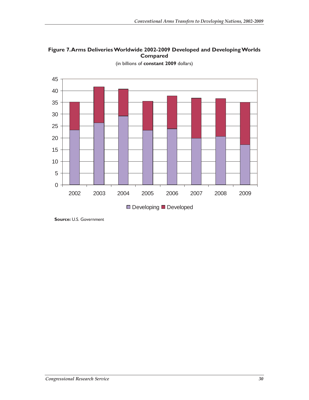



(in billions of **constant 2009** dollars)

**Source:** U.S. Government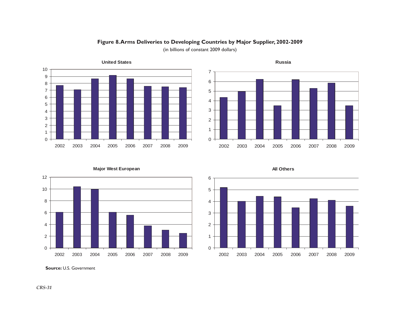

# **Figure 8. Arms Deliveries to Developing Countries by Major Supplier, 2002-2009**



(in billions of constant 2009 dollars)







**Source:** U.S. Government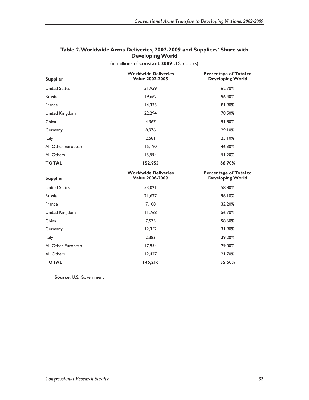| <b>Supplier</b>      | <b>Worldwide Deliveries</b><br><b>Value 2002-2005</b> | Percentage of Total to<br><b>Developing World</b>        |
|----------------------|-------------------------------------------------------|----------------------------------------------------------|
| <b>United States</b> | 51,959                                                | 62.70%                                                   |
| Russia               | 19,662                                                | 96.40%                                                   |
| France               | 14,335                                                | 81.90%                                                   |
| United Kingdom       | 22,294                                                | 78.50%                                                   |
| China                | 4,367                                                 | 91.80%                                                   |
| Germany              | 8,976                                                 | 29.10%                                                   |
| <b>Italy</b>         | 2,581                                                 | 23.10%                                                   |
| All Other European   | 15,190                                                | 46.30%                                                   |
| All Others           | 13,594                                                | 51.20%                                                   |
| <b>TOTAL</b>         | 152,955                                               | 66.70%                                                   |
|                      |                                                       |                                                          |
| <b>Supplier</b>      | <b>Worldwide Deliveries</b><br><b>Value 2006-2009</b> | <b>Percentage of Total to</b><br><b>Developing World</b> |
| <b>United States</b> | 53,021                                                | 58.80%                                                   |
| <b>Russia</b>        | 21,627                                                | 96.10%                                                   |
| France               | 7,108                                                 | 32.20%                                                   |
| United Kingdom       | 11,768                                                | 56.70%                                                   |
| China                | 7,575                                                 | 98.60%                                                   |
| Germany              | 12,352                                                | 31.90%                                                   |
| Italy                | 2,383                                                 | 39.20%                                                   |
| All Other European   | 17,954                                                | 29.00%                                                   |
| All Others           | 12,427                                                | 21.70%                                                   |

#### **Table 2. Worldwide Arms Deliveries, 2002-2009 and Suppliers' Share with Developing World**  (in millions of **constant 2009** U.S. dollars)

**Source:** U.S. Government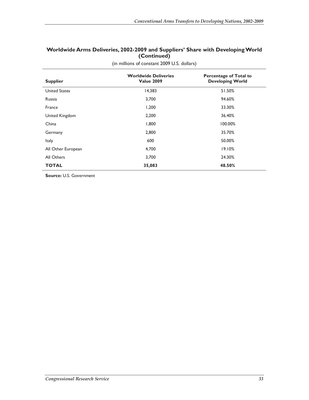#### **Worldwide Arms Deliveries, 2002-2009 and Suppliers' Share with Developing World (Continued)**

| <b>Supplier</b>      | <b>Worldwide Deliveries</b><br><b>Value 2009</b> | <b>Percentage of Total to</b><br><b>Developing World</b> |
|----------------------|--------------------------------------------------|----------------------------------------------------------|
| <b>United States</b> | 14,383                                           | 51.50%                                                   |
| <b>Russia</b>        | 3,700                                            | 94.60%                                                   |
| France               | 1,200                                            | 33.30%                                                   |
| United Kingdom       | 2,200                                            | 36.40%                                                   |
| China                | 1,800                                            | 100.00%                                                  |
| Germany              | 2,800                                            | 35.70%                                                   |
| Italy                | 600                                              | 50.00%                                                   |
| All Other European   | 4,700                                            | 19.10%                                                   |
| All Others           | 3,700                                            | 24.30%                                                   |
| <b>TOTAL</b>         | 35,083                                           | 48.50%                                                   |

(in millions of constant 2009 U.S. dollars)

**Source:** U.S. Government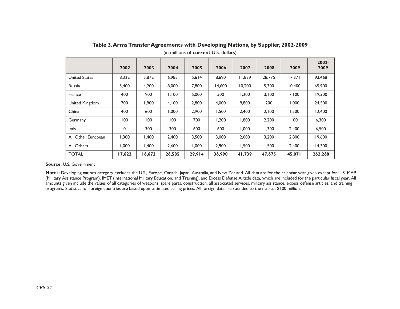|                      | 2002   | 2003   | 2004   | 2005   | 2006   | 2007   | 2008   | 2009   | 2002-<br>2009 |
|----------------------|--------|--------|--------|--------|--------|--------|--------|--------|---------------|
| <b>United States</b> | 8,322  | 5,872  | 6,985  | 5,614  | 8,690  | 11.839 | 28,775 | 17,371 | 93,468        |
| Russia               | 5,400  | 4,200  | 8,000  | 7,800  | 14,600 | 10,200 | 5,300  | 10,400 | 65,900        |
| France               | 400    | 900    | 1,100  | 5,000  | 500    | 1,200  | 3,100  | 7,100  | 19,300        |
| United Kingdom       | 700    | 1,900  | 4,100  | 2,800  | 4,000  | 9,800  | 200    | 1,000  | 24,500        |
| China                | 400    | 600    | 1,000  | 2,900  | 1,500  | 2,400  | 2,100  | 1,500  | 12,400        |
| Germany              | 100    | 100    | 100    | 700    | 1,200  | 1,800  | 2,200  | 100    | 6,300         |
| Italy                | 0      | 300    | 300    | 600    | 600    | 1.000  | 1,300  | 2,400  | 6,500         |
| All Other European   | 1,300  | 1,400  | 2,400  | 3,500  | 3,000  | 2,000  | 3,200  | 2,800  | 19,600        |
| All Others           | 1.000  | 1,400  | 2,600  | 1,000  | 2,900  | 1,500  | 1,500  | 2,400  | 14,300        |
| <b>TOTAL</b>         | 17,622 | 16,672 | 26,585 | 29,914 | 36,990 | 41,739 | 47,675 | 45,071 | 262,268       |

**Table 3. Arms Transfer Agreements with Developing Nations, by Supplier, 2002-2009**  (in millions of **current** U.S. dollars)

**Notes:** Developing nations category excludes the U.S., Europe, Canada, Japan, Australia, and New Zealand. All data are for the calendar year given except for U.S. MAP (Military Assistance Program), IMET (International Military Education, and Training), and Excess Defense Article data, which are included for the particular fiscal year. All amounts given include the values of all categories of weapons, spare parts, construction, all associated services, military assistance, excess defense articles, and training programs. Statistics for foreign countries are based upon estimated selling prices. All foreign data are rounded to the nearest \$100 million.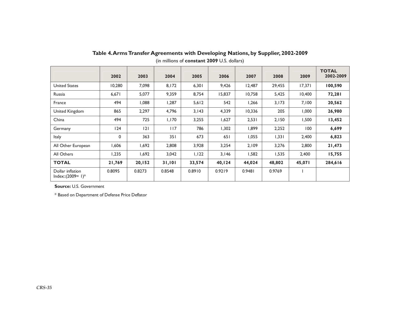|                                         | 2002   | 2003   | 2004   | 2005   | 2006   | 2007   | 2008   | 2009   | <b>TOTAL</b><br>2002-2009 |
|-----------------------------------------|--------|--------|--------|--------|--------|--------|--------|--------|---------------------------|
| <b>United States</b>                    | 10,280 | 7,098  | 8,172  | 6,301  | 9,426  | 12,487 | 29,455 | 17,371 | 100,590                   |
| Russia                                  | 6,671  | 5,077  | 9,359  | 8,754  | 15,837 | 10,758 | 5,425  | 10,400 | 72,281                    |
| France                                  | 494    | 880,1  | 1,287  | 5,612  | 542    | 1,266  | 3,173  | 7,100  | 20,562                    |
| United Kingdom                          | 865    | 2,297  | 4,796  | 3,143  | 4,339  | 10,336 | 205    | 1,000  | 26,980                    |
| China                                   | 494    | 725    | 1,170  | 3,255  | 1,627  | 2,531  | 2,150  | 1,500  | 13,452                    |
| Germany                                 | 124    | 2      | 117    | 786    | 1,302  | 1,899  | 2,252  | 100    | 6,699                     |
| <b>Italy</b>                            | 0      | 363    | 351    | 673    | 651    | 1,055  | 1,331  | 2,400  | 6,823                     |
| All Other European                      | 1,606  | 1,692  | 2,808  | 3,928  | 3,254  | 2,109  | 3,276  | 2,800  | 21,473                    |
| All Others                              | 1,235  | 1,692  | 3,042  | 1,122  | 3,146  | 1,582  | 1,535  | 2,400  | 15,755                    |
| <b>TOTAL</b>                            | 21,769 | 20,152 | 31,101 | 33,574 | 40,124 | 44,024 | 48,802 | 45,071 | 284,616                   |
| Dollar inflation<br>Index:: $(2009=1)*$ | 0.8095 | 0.8273 | 0.8548 | 0.8910 | 0.9219 | 0.9481 | 0.9769 |        |                           |

**Table 4. Arms Transfer Agreements with Developing Nations, by Supplier, 2002-2009**  (in millions of **constant 2009** U.S. dollars)

\* Based on Department of Defense Price Deflator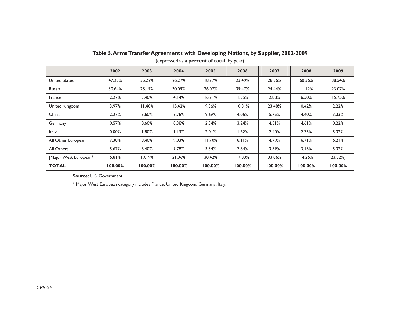|                       | 2002    | 2003    | 2004    | 2005    | 2006    | 2007    | 2008    | 2009    |
|-----------------------|---------|---------|---------|---------|---------|---------|---------|---------|
| United States         | 47.23%  | 35.22%  | 26.27%  | 18.77%  | 23.49%  | 28.36%  | 60.36%  | 38.54%  |
| Russia                | 30.64%  | 25.19%  | 30.09%  | 26.07%  | 39.47%  | 24.44%  | 11.12%  | 23.07%  |
| France                | 2.27%   | 5.40%   | 4.14%   | 16.71%  | I.35%   | 2.88%   | 6.50%   | 15.75%  |
| United Kingdom        | 3.97%   | 11.40%  | 15.42%  | 9.36%   | 10.81%  | 23.48%  | 0.42%   | 2.22%   |
| China                 | 2.27%   | 3.60%   | 3.76%   | 9.69%   | 4.06%   | 5.75%   | 4.40%   | 3.33%   |
| Germany               | 0.57%   | 0.60%   | 0.38%   | 2.34%   | 3.24%   | 4.31%   | 4.61%   | 0.22%   |
| Italy                 | 0.00%   | .80%    | 1.13%   | 2.01%   | 1.62%   | 2.40%   | 2.73%   | 5.32%   |
| All Other European    | 7.38%   | 8.40%   | 9.03%   | 11.70%  | 8.11%   | 4.79%   | 6.71%   | 6.21%   |
| All Others            | 5.67%   | 8.40%   | 9.78%   | 3.34%   | 7.84%   | 3.59%   | 3.15%   | 5.32%   |
| [Major West European* | 6.81%   | 19.19%  | 21.06%  | 30.42%  | 17.03%  | 33.06%  | 14.26%  | 23.52%] |
| <b>TOTAL</b>          | 100.00% | 100.00% | 100.00% | 100.00% | 100.00% | 100.00% | 100.00% | 100.00% |

### **Table 5. Arms Transfer Agreements with Developing Nations, by Supplier, 2002-2009**

(expressed as a **percent of total**, by year)

**Source:** U.S. Government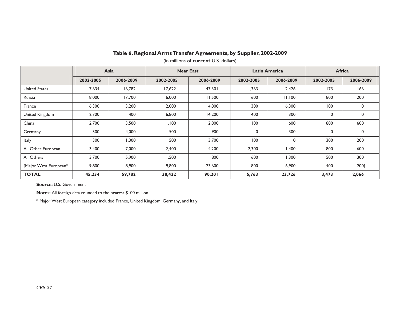|                       |           | Asia      |           | <b>Near East</b> |           | <b>Latin America</b> |           | <b>Africa</b> |  |
|-----------------------|-----------|-----------|-----------|------------------|-----------|----------------------|-----------|---------------|--|
|                       | 2002-2005 | 2006-2009 | 2002-2005 | 2006-2009        | 2002-2005 | 2006-2009            | 2002-2005 | 2006-2009     |  |
| <b>United States</b>  | 7,634     | 16,782    | 17,622    | 47,301           | 1,363     | 2,426                | 173       | 166           |  |
| Russia                | 18,000    | 17,700    | 6,000     | 11,500           | 600       | 11,100               | 800       | 200           |  |
| France                | 6,300     | 3,200     | 2,000     | 4,800            | 300       | 6,300                | 100       | 0             |  |
| United Kingdom        | 2,700     | 400       | 6,800     | 14,200           | 400       | 300                  | 0         | $\mathbf{0}$  |  |
| China                 | 2,700     | 3,500     | 1,100     | 2,800            | 100       | 600                  | 800       | 600           |  |
| Germany               | 500       | 4,000     | 500       | 900              | 0         | 300                  | 0         | 0             |  |
| Italy                 | 300       | 1,300     | 500       | 3,700            | 100       | 0                    | 300       | 200           |  |
| All Other European    | 3,400     | 7,000     | 2,400     | 4,200            | 2,300     | 1,400                | 800       | 600           |  |
| All Others            | 3,700     | 5,900     | 1,500     | 800              | 600       | 1,300                | 500       | 300           |  |
| [Major West European* | 9,800     | 8,900     | 9,800     | 23,600           | 800       | 6,900                | 400       | 200]          |  |
| <b>TOTAL</b>          | 45,234    | 59,782    | 38,422    | 90,201           | 5,763     | 23,726               | 3,473     | 2,066         |  |

#### **Table 6. Regional Arms Transfer Agreements, by Supplier, 2002-2009**

(in millions of **current** U.S. dollars)

**Source:** U.S. Government

**Notes:** All foreign data rounded to the nearest \$100 million.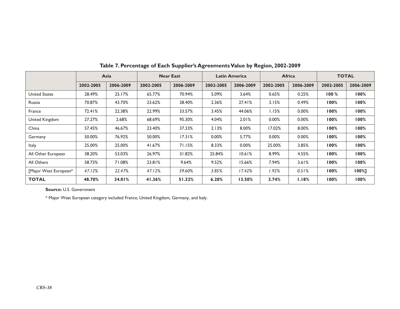|                       |           | Asia      |           | <b>Near East</b> |           | <b>Latin America</b> | <b>Africa</b> |           | <b>TOTAL</b> |           |
|-----------------------|-----------|-----------|-----------|------------------|-----------|----------------------|---------------|-----------|--------------|-----------|
|                       | 2002-2005 | 2006-2009 | 2002-2005 | 2006-2009        | 2002-2005 | 2006-2009            | 2002-2005     | 2006-2009 | 2002-2005    | 2006-2009 |
| <b>United States</b>  | 28.49%    | 25.17%    | 65.77%    | 70.94%           | 5.09%     | 3.64%                | 0.65%         | 0.25%     | 100%         | 100%      |
| Russia                | 70.87%    | 43.70%    | 23.62%    | 28.40%           | 2.36%     | 27.41%               | 3.15%         | 0.49%     | 100%         | 100%      |
| France                | 72.41%    | 22.38%    | 22.99%    | 33.57%           | 3.45%     | 44.06%               | 1.15%         | 0.00%     | 100%         | 100%      |
| United Kingdom        | 27.27%    | 2.68%     | 68.69%    | 95.30%           | 4.04%     | 2.01%                | 0.00%         | 0.00%     | 100%         | 100%      |
| China                 | 57.45%    | 46.67%    | 23.40%    | 37.33%           | 2.13%     | 8.00%                | 17.02%        | 8.00%     | 100%         | 100%      |
| Germany               | 50.00%    | 76.92%    | 50.00%    | 17.31%           | $0.00\%$  | 5.77%                | 0.00%         | 0.00%     | 100%         | 100%      |
| <b>Italy</b>          | 25.00%    | 25.00%    | 41.67%    | 71.15%           | 8.33%     | 0.00%                | 25.00%        | 3.85%     | 100%         | 100%      |
| All Other European    | 38.20%    | 53.03%    | 26.97%    | 31.82%           | 25.84%    | 10.61%               | 8.99%         | 4.55%     | 100%         | 100%      |
| All Others            | 58.73%    | 71.08%    | 23.81%    | 9.64%            | 9.52%     | 15.66%               | 7.94%         | 3.61%     | 100%         | $100\%$   |
| [Major West European* | 47.12%    | 22.47%    | 47.12%    | 59.60%           | 3.85%     | 17.42%               | 1.92%         | 0.51%     | 100%         | 100%1     |
| <b>TOTAL</b>          | 48.70%    | 34.01%    | 41.36%    | 51.32%           | 6.20%     | 13.50%               | 3.74%         | 1.18%     | 100%         | 100%      |

**Table 7. Percentage of Each Supplier's Agreements Value by Region, 2002-2009**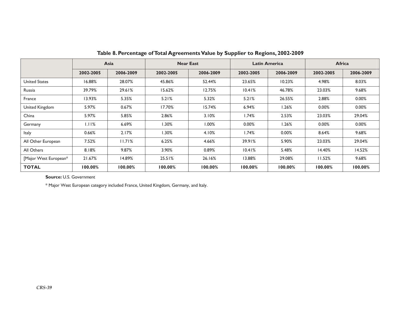|                       |           | Asia      |           | <b>Near East</b> |           | <b>Latin America</b> |           | <b>Africa</b> |  |
|-----------------------|-----------|-----------|-----------|------------------|-----------|----------------------|-----------|---------------|--|
|                       | 2002-2005 | 2006-2009 | 2002-2005 | 2006-2009        | 2002-2005 | 2006-2009            | 2002-2005 | 2006-2009     |  |
| United States         | 16.88%    | 28.07%    | 45.86%    | 52.44%           | 23.65%    | 10.23%               | 4.98%     | 8.03%         |  |
| Russia                | 39.79%    | 29.61%    | 15.62%    | 12.75%           | 10.41%    | 46.78%               | 23.03%    | 9.68%         |  |
| France                | 13.93%    | 5.35%     | 5.21%     | 5.32%            | 5.21%     | 26.55%               | 2.88%     | 0.00%         |  |
| United Kingdom        | 5.97%     | 0.67%     | 17.70%    | 15.74%           | 6.94%     | 1.26%                | $0.00\%$  | 0.00%         |  |
| China                 | 5.97%     | 5.85%     | 2.86%     | 3.10%            | 1.74%     | 2.53%                | 23.03%    | 29.04%        |  |
| Germany               | 1.11%     | 6.69%     | 1.30%     | $1.00\%$         | 0.00%     | 1.26%                | 0.00%     | 0.00%         |  |
| Italy                 | 0.66%     | 2.17%     | l.30%     | 4.10%            | 1.74%     | 0.00%                | 8.64%     | 9.68%         |  |
| All Other European    | 7.52%     | 11.71%    | 6.25%     | 4.66%            | 39.91%    | 5.90%                | 23.03%    | 29.04%        |  |
| All Others            | 8.18%     | 9.87%     | 3.90%     | 0.89%            | 10.41%    | 5.48%                | 14.40%    | 14.52%        |  |
| [Major West European* | 21.67%    | 14.89%    | 25.51%    | 26.16%           | 13.88%    | 29.08%               | 11.52%    | 9.68%         |  |
| <b>TOTAL</b>          | 100.00%   | 100.00%   | 100.00%   | 100.00%          | 100.00%   | 100.00%              | 100.00%   | 100.00%       |  |

 **Table 8. Percentage of Total Agreements Value by Supplier to Regions, 2002-2009**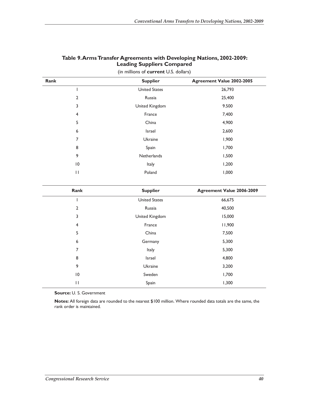| Rank            | <b>Supplier</b>      | Agreement Value 2002-2005 |
|-----------------|----------------------|---------------------------|
|                 | <b>United States</b> | 26,793                    |
| $\overline{2}$  | Russia               | 25,400                    |
| 3               | United Kingdom       | 9.500                     |
| 4               | France               | 7,400                     |
| 5               | China                | 4,900                     |
| 6               | Israel               | 2,600                     |
| 7               | Ukraine              | 1,900                     |
| 8               | Spain                | 1,700                     |
| 9               | Netherlands          | 1,500                     |
| $\overline{10}$ | Italy                | 1,200                     |
| $\mathsf{H}$    | Poland               | 1,000                     |

#### **Table 9. Arms Transfer Agreements with Developing Nations, 2002-2009: Leading Suppliers Compared**

(in millions of **current** U.S. dollars)

| Rank            | <b>Supplier</b>      | Agreement Value 2006-2009 |
|-----------------|----------------------|---------------------------|
|                 | <b>United States</b> | 66,675                    |
| $\overline{2}$  | Russia               | 40,500                    |
| 3               | United Kingdom       | 15,000                    |
| 4               | France               | 11,900                    |
| 5               | China                | 7,500                     |
| 6               | Germany              | 5,300                     |
| $\overline{7}$  | Italy                | 5,300                     |
| 8               | Israel               | 4,800                     |
| 9               | Ukraine              | 3,200                     |
| $\overline{10}$ | Sweden               | 1,700                     |
| $\mathbf{1}$    | Spain                | 1,300                     |

**Source:** U. S. Government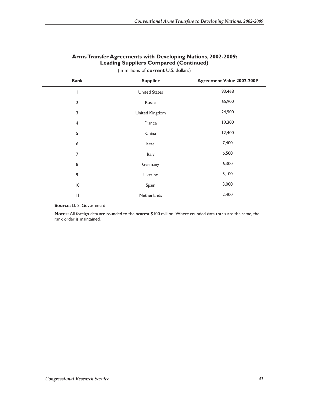| Rank            | <b>Supplier</b>      | Agreement Value 2002-2009 |
|-----------------|----------------------|---------------------------|
|                 | <b>United States</b> | 93,468                    |
| $\overline{2}$  | Russia               | 65,900                    |
| 3               | United Kingdom       | 24,500                    |
| 4               | France               | 19,300                    |
| 5               | China                | 12,400                    |
| 6               | Israel               | 7,400                     |
| 7               | Italy                | 6,500                     |
| 8               | Germany              | 6,300                     |
| 9               | Ukraine              | 5,100                     |
| $\overline{10}$ | Spain                | 3,000                     |
| $\mathbf{H}$    | Netherlands          | 2,400                     |

#### **Arms Transfer Agreements with Developing Nations, 2002-2009: Leading Suppliers Compared (Continued)**

(in millions of **current** U.S. dollars)

**Source:** U. S. Government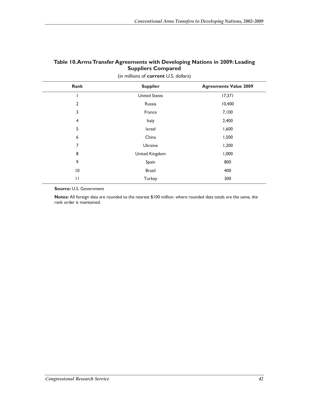#### **Table 10. Arms Transfer Agreements with Developing Nations in 2009: Leading Suppliers Compared**

| Rank            | <b>Supplier</b>      | <b>Agreements Value 2009</b> |
|-----------------|----------------------|------------------------------|
|                 | <b>United States</b> | 17,371                       |
| $\overline{2}$  | Russia               | 10,400                       |
| 3               | France               | 7,100                        |
| 4               | Italy                | 2,400                        |
| 5               | Israel               | 1,600                        |
| 6               | China                | 1,500                        |
| 7               | Ukraine              | 1,200                        |
| 8               | United Kingdom       | 1,000                        |
| 9               | Spain                | 800                          |
| $\overline{10}$ | <b>Brazil</b>        | 400                          |
| $\mathbf{H}$    | Turkey               | 300                          |

(in millions of **current** U.S. dollars)

**Source:** U.S. Government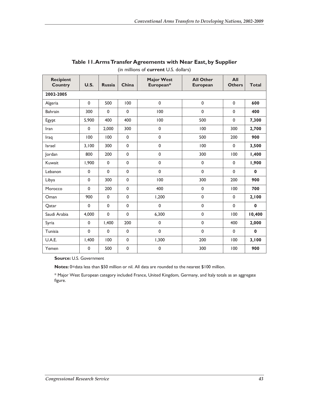| <b>Recipient</b><br><b>Country</b> | U.S.        | <b>Russia</b> | China       | <b>Major West</b><br>European* | <b>All Other</b><br><b>European</b> | All<br><b>Others</b> | <b>Total</b> |
|------------------------------------|-------------|---------------|-------------|--------------------------------|-------------------------------------|----------------------|--------------|
| 2002-2005                          |             |               |             |                                |                                     |                      |              |
| Algeria                            | $\mathbf 0$ | 500           | 100         | $\pmb{0}$                      | $\mathbf 0$                         | $\mathbf 0$          | 600          |
| <b>Bahrain</b>                     | 300         | $\mathbf 0$   | $\mathbf 0$ | 100                            | $\mathbf 0$                         | $\mathbf 0$          | 400          |
| Egypt                              | 5,900       | 400           | 400         | 100                            | 500                                 | $\mathbf 0$          | 7,300        |
| Iran                               | $\mathbf 0$ | 2.000         | 300         | $\pmb{0}$                      | 100                                 | 300                  | 2,700        |
| Iraq                               | 100         | 100           | 0           | $\mathbf 0$                    | 500                                 | 200                  | 900          |
| <b>Israel</b>                      | 3,100       | 300           | 0           | $\pmb{0}$                      | 100                                 | $\mathbf 0$          | 3,500        |
| Jordan                             | 800         | 200           | 0           | 0                              | 300                                 | 100                  | 1,400        |
| Kuwait                             | 1,900       | $\mathbf 0$   | 0           | 0                              | $\pmb{0}$                           | $\mathbf 0$          | 1,900        |
| Lebanon                            | $\mathbf 0$ | $\mathbf 0$   | 0           | $\mathbf 0$                    | $\mathbf 0$                         | $\mathbf{0}$         | $\bf{0}$     |
| Libya                              | $\mathbf 0$ | 300           | 0           | 100                            | 300                                 | 200                  | 900          |
| Morocco                            | $\mathbf 0$ | 200           | $\mathbf 0$ | 400                            | $\mathbf 0$                         | 100                  | 700          |
| Oman                               | 900         | 0             | 0           | 1,200                          | $\mathbf{0}$                        | $\mathbf 0$          | 2,100        |
| Qatar                              | $\mathbf 0$ | $\mathbf 0$   | $\mathbf 0$ | 0                              | $\mathbf 0$                         | $\mathbf{0}$         | $\mathbf 0$  |
| Saudi Arabia                       | 4,000       | $\mathbf 0$   | 0           | 6,300                          | $\mathbf 0$                         | 100                  | 10,400       |
| Syria                              | $\mathbf 0$ | 1,400         | 200         | 0                              | $\mathbf 0$                         | 400                  | 2,000        |
| Tunisia                            | $\mathbf 0$ | $\mathbf 0$   | 0           | 0                              | $\mathbf 0$                         | $\mathbf 0$          | $\mathbf 0$  |
| U.A.E.                             | 1,400       | 100           | 0           | 1,300                          | 200                                 | 100                  | 3,100        |
| Yemen                              | $\mathbf 0$ | 500           | 0           | $\mathbf 0$                    | 300                                 | 100                  | 900          |

## **Table 11. Arms Transfer Agreements with Near East, by Supplier**

(in millions of **current** U.S. dollars)

#### **Source:** U.S. Government

**Notes:** 0=data less than \$50 million or nil. All data are rounded to the nearest \$100 million.

\* Major West European category included France, United Kingdom, Germany, and Italy totals as an aggregate figure.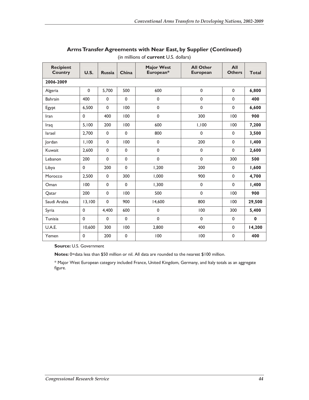| <b>Recipient</b><br><b>Country</b> | <b>U.S.</b>  | <b>Russia</b> | China        | <b>Major West</b><br>European* | <b>All Other</b><br><b>European</b> | All<br><b>Others</b> | Total       |
|------------------------------------|--------------|---------------|--------------|--------------------------------|-------------------------------------|----------------------|-------------|
| 2006-2009                          |              |               |              |                                |                                     |                      |             |
| Algeria                            | $\mathbf 0$  | 5,700         | 500          | 600                            | $\mathbf 0$                         | $\mathbf{0}$         | 6,800       |
| <b>Bahrain</b>                     | 400          | $\mathbf 0$   | $\mathbf 0$  | $\mathbf 0$                    | $\pmb{0}$                           | $\mathbf 0$          | 400         |
| Egypt                              | 6,500        | $\mathbf 0$   | 100          | $\mathbf{0}$                   | $\mathbf 0$                         | $\mathbf{0}$         | 6,600       |
| Iran                               | $\mathbf{0}$ | 400           | 100          | $\mathbf 0$                    | 300                                 | 100                  | 900         |
| Iraq                               | 5,100        | 200           | 100          | 600                            | 1,100                               | 100                  | 7,200       |
| <b>Israel</b>                      | 2,700        | $\mathbf 0$   | $\mathbf{0}$ | 800                            | $\mathbf 0$                         | $\mathbf{0}$         | 3,500       |
| Jordan                             | 1,100        | $\mathbf 0$   | 100          | $\mathbf 0$                    | 200                                 | $\mathbf 0$          | 1,400       |
| Kuwait                             | 2,600        | $\mathbf 0$   | 0            | $\mathbf 0$                    | $\pmb{0}$                           | $\mathbf 0$          | 2,600       |
| Lebanon                            | 200          | $\mathbf 0$   | 0            | $\mathbf 0$                    | $\mathbf 0$                         | 300                  | 500         |
| Libya                              | $\mathbf 0$  | 200           | $\mathbf 0$  | 1,200                          | 200                                 | $\mathbf{0}$         | 1,600       |
| Morocco                            | 2,500        | $\mathbf 0$   | 300          | 1,000                          | 900                                 | $\mathbf{0}$         | 4,700       |
| Oman                               | 100          | $\mathbf 0$   | 0            | 1,300                          | $\mathbf 0$                         | $\mathbf 0$          | 1,400       |
| Qatar                              | 200          | $\mathbf 0$   | 100          | 500                            | $\mathbf 0$                         | 100                  | 900         |
| Saudi Arabia                       | 13,100       | $\mathbf 0$   | 900          | 14,600                         | 800                                 | 100                  | 29,500      |
| Syria                              | $\mathbf 0$  | 4,400         | 600          | $\mathbf 0$                    | 100                                 | 300                  | 5,400       |
| Tunisia                            | $\Omega$     | $\Omega$      | 0            | $\mathbf 0$                    | $\mathbf 0$                         | $\mathbf{0}$         | $\mathbf 0$ |
| U.A.E.                             | 10,600       | 300           | 100          | 2,800                          | 400                                 | 0                    | 14,200      |
| Yemen                              | $\mathbf 0$  | 200           | $\mathbf 0$  | 100                            | 100                                 | $\mathbf 0$          | 400         |

#### **Arms Transfer Agreements with Near East, by Supplier (Continued)**

(in millions of **current** U.S. dollars)

**Source:** U.S. Government

**Notes:** 0=data less than \$50 million or nil. All data are rounded to the nearest \$100 million.

\* Major West European category included France, United Kingdom, Germany, and Italy totals as an aggregate figure.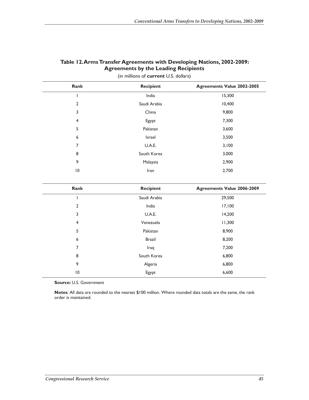| Rank            | <b>Recipient</b> | <b>Agreements Value 2002-2005</b> |
|-----------------|------------------|-----------------------------------|
|                 | India            | 15,300                            |
| $\overline{2}$  | Saudi Arabia     | 10,400                            |
| 3               | China            | 9,800                             |
| 4               | Egypt            | 7,300                             |
| 5               | Pakistan         | 3,600                             |
| 6               | Israel           | 3,500                             |
| 7               | U.A.E.           | 3,100                             |
| 8               | South Korea      | 3,000                             |
| 9               | Malaysia         | 2,900                             |
| $\overline{10}$ | Iran             | 2,700                             |

#### **Table 12. Arms Transfer Agreements with Developing Nations, 2002-2009: Agreements by the Leading Recipients**

| Rank           | <b>Recipient</b> | <b>Agreements Value 2006-2009</b> |
|----------------|------------------|-----------------------------------|
|                | Saudi Arabia     | 29,500                            |
| $\overline{2}$ | India            | 17,100                            |
| 3              | U.A.E.           | 14,200                            |
| 4              | Venezuela        | 11,300                            |
| 5              | Pakistan         | 8,900                             |
| 6              | <b>Brazil</b>    | 8,200                             |
| 7              | Iraq             | 7,200                             |
| 8              | South Korea      | 6,800                             |
| 9              | Algeria          | 6,800                             |
| 10             | Egypt            | 6,600                             |

(in millions of **current** U.S. dollars)

**Source:** U.S. Government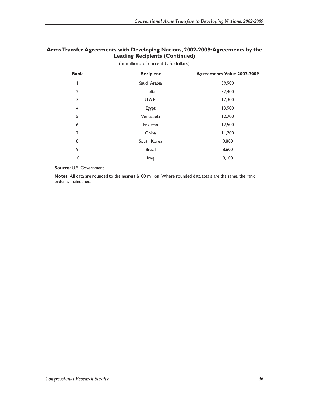#### **Arms Transfer Agreements with Developing Nations, 2002-2009: Agreements by the Leading Recipients (Continued)**

| Rank            | <b>Recipient</b> | <b>Agreements Value 2002-2009</b> |
|-----------------|------------------|-----------------------------------|
|                 | Saudi Arabia     | 39,900                            |
| $\overline{2}$  | India            | 32,400                            |
| 3               | U.A.E.           | 17,300                            |
| $\overline{4}$  | Egypt            | 13,900                            |
| 5               | Venezuela        | 12,700                            |
| 6               | Pakistan         | 12,500                            |
| 7               | China            | 11,700                            |
| 8               | South Korea      | 9,800                             |
| 9               | <b>Brazil</b>    | 8,600                             |
| $\overline{10}$ | Iraq             | 8,100                             |

(in millions of current U.S. dollars)

**Source:** U.S. Government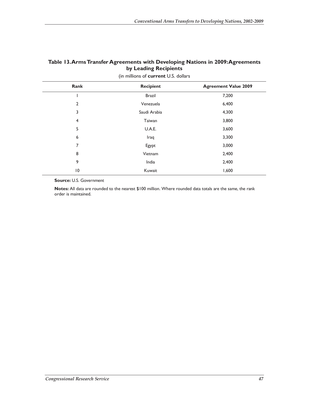#### **Table 13. Arms Transfer Agreements with Developing Nations in 2009: Agreements by Leading Recipients**

|                 | $\lambda$     |                             |
|-----------------|---------------|-----------------------------|
| Rank            | Recipient     | <b>Agreement Value 2009</b> |
|                 | <b>Brazil</b> | 7,200                       |
| $\overline{2}$  | Venezuela     | 6,400                       |
| 3               | Saudi Arabia  | 4,300                       |
| 4               | Taiwan        | 3,800                       |
| 5               | U.A.E.        | 3,600                       |
| 6               | Iraq          | 3,300                       |
| 7               | Egypt         | 3,000                       |
| 8               | Vietnam       | 2,400                       |
| 9               | India         | 2,400                       |
| $\overline{10}$ | Kuwait        | 1,600                       |

(in millions of **current** U.S. dollars

**Source:** U.S. Government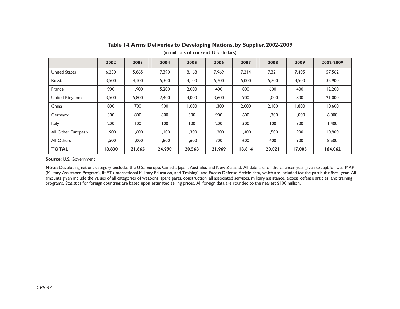|                      | 2002   | 2003        | 2004   | 2005   | 2006   | 2007   | 2008   | 2009   | 2002-2009 |
|----------------------|--------|-------------|--------|--------|--------|--------|--------|--------|-----------|
| <b>United States</b> | 6,230  | 5,865       | 7,390  | 8,168  | 7,969  | 7.214  | 7,321  | 7,405  | 57,562    |
| Russia               | 3,500  | 4,100       | 5,300  | 3,100  | 5,700  | 5,000  | 5,700  | 3,500  | 35,900    |
| France               | 900    | 1,900       | 5,200  | 2,000  | 400    | 800    | 600    | 400    | 12,200    |
| United Kingdom       | 3,500  | 5,800       | 2,400  | 3,000  | 3,600  | 900    | 1,000  | 800    | 21,000    |
| China                | 800    | 700         | 900    | 000,1  | 1,300  | 2,000  | 2,100  | 1,800  | 10,600    |
| Germany              | 300    | 800         | 800    | 300    | 900    | 600    | 1,300  | 1,000  | 6,000     |
| <b>Italy</b>         | 200    | 100         | 100    | 100    | 200    | 300    | 100    | 300    | 1,400     |
| All Other European   | 900,١  | <b>006.</b> | 1,100  | 1,300  | 1,200  | 1,400  | 1,500  | 900    | 10.900    |
| All Others           | 1,500  | 000, 1      | 1,800  | 1,600  | 700    | 600    | 400    | 900    | 8,500     |
| <b>TOTAL</b>         | 18,830 | 21,865      | 24,990 | 20,568 | 21,969 | 18,814 | 20,021 | 17,005 | 164,062   |

#### **Table 14. Arms Deliveries to Developing Nations, by Supplier, 2002-2009**

(in millions of **current** U.S. dollars)

#### **Source:** U.S. Government

**Note:** Developing nations category excludes the U.S., Europe, Canada, Japan, Australia, and New Zealand. All data are for the calendar year given except for U.S. MAP (Military Assistance Program), IMET (International Military Education, and Training), and Excess Defense Article data, which are included for the particular fiscal year. All amounts given include the values of all categories of weapons, spare parts, construction, all associated services, military assistance, excess defense articles, and training programs. Statistics for foreign countries are based upon estimated selling prices. All foreign data are rounded to the nearest \$100 million.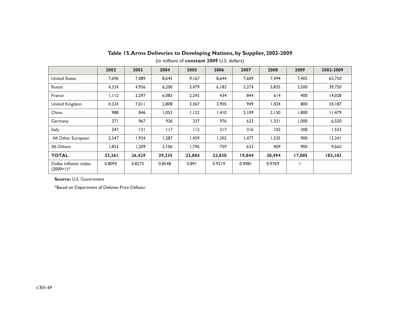|                                        | 2002   | 2003   | 2004   | 2005   | 2006   | 2007   | 2008   | 2009   | 2002-2009 |
|----------------------------------------|--------|--------|--------|--------|--------|--------|--------|--------|-----------|
| <b>United States</b>                   | 7,696  | 7,089  | 8,645  | 9,167  | 8,644  | 7,609  | 7,494  | 7,405  | 63,750    |
| Russia                                 | 4,324  | 4,956  | 6,200  | 3,479  | 6,183  | 5,274  | 5,835  | 3,500  | 39,750    |
| France                                 | 1,112  | 2,297  | 6,083  | 2,245  | 434    | 844    | 614    | 400    | 14,028    |
| United Kingdom                         | 4,324  | 7,011  | 2,808  | 3,367  | 3,905  | 949    | 1,024  | 800    | 24,187    |
| China                                  | 988    | 846    | 1,053  | 1,122  | 1,410  | 2,109  | 2,150  | 1,800  | 11,479    |
| Germany                                | 371    | 967    | 936    | 337    | 976    | 633    | 1,331  | 1,000  | 6,550     |
| Italy                                  | 247    | 2      | 117    | 112    | 217    | 316    | 102    | 300    | 1,533     |
| All Other European                     | 2,347  | 1,934  | 1,287  | 1,459  | 1,302  | 1,477  | 1,535  | 900    | 12,241    |
| All Others                             | 1,853  | 1,209  | 2,106  | 1.796  | 759    | 633    | 409    | 900    | 9,665     |
| <b>TOTAL</b>                           | 23,261 | 26,429 | 29,235 | 23,084 | 23,830 | 19,844 | 20,494 | 17,005 | 183,183   |
| Dollar Inflation index:<br>$(2009=1)*$ | 0.8095 | 0.8273 | 0.8548 | 0.891  | 0.9219 | 0.9481 | 0.9769 |        |           |

**Table 15. Arms Deliveries to Developing Nations, by Supplier, 2002-2009** 

(in millions of **constant 2009** U.S. dollars)

**Source:** U.S. Government

\*Based on Department of Defense Price Deflator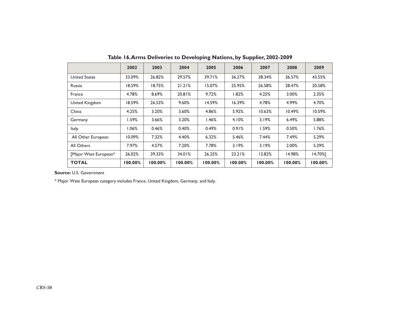|                       | 2002     | 2003    | 2004    | 2005    | 2006    | 2007    | 2008    | 2009    |
|-----------------------|----------|---------|---------|---------|---------|---------|---------|---------|
| <b>United States</b>  | 33.09%   | 26.82%  | 29.57%  | 39.71%  | 36.27%  | 38.34%  | 36.57%  | 43.55%  |
| Russia                | 18.59%   | 18.75%  | 21.21%  | 15.07%  | 25.95%  | 26.58%  | 28.47%  | 20.58%  |
| France                | 4.78%    | 8.69%   | 20.81%  | 9.72%   | 1.82%   | 4.25%   | 3.00%   | 2.35%   |
| United Kingdom        | 18.59%   | 26.53%  | 9.60%   | 14.59%  | 16.39%  | 4.78%   | 4.99%   | 4.70%   |
| China                 | 4.25%    | 3.20%   | 3.60%   | 4.86%   | 5.92%   | 10.63%  | 10.49%  | 10.59%  |
| Germany               | I.59%    | 3.66%   | 3.20%   | l.46%   | 4.10%   | 3.19%   | 6.49%   | 5.88%   |
| Italy                 | $1.06\%$ | 0.46%   | 0.40%   | 0.49%   | 0.91%   | 1.59%   | 0.50%   | 1.76%   |
| All Other European    | 10.09%   | 7.32%   | 4.40%   | 6.32%   | 5.46%   | 7.44%   | 7.49%   | 5.29%   |
| All Others            | 7.97%    | 4.57%   | 7.20%   | 7.78%   | 3.19%   | 3.19%   | 2.00%   | 5.29%   |
| [Major West European* | 26.02%   | 39.33%  | 34.01%  | 26.25%  | 23.21%  | 13.82%  | 14.98%  | 14.70%1 |
| <b>TOTAL</b>          | 100.00%  | 100.00% | 100.00% | 100.00% | 100.00% | 100.00% | 100.00% | 100.00% |

**Table 16. Arms Deliveries to Developing Nations, by Supplier, 2002-2009**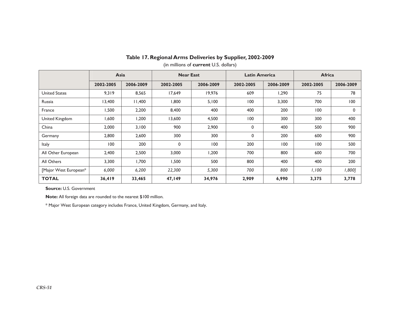#### **Table 17. Regional Arms Deliveries by Supplier, 2002-2009**

|                       | Asia      |           | <b>Near East</b> |           | <b>Latin America</b> |           | <b>Africa</b> |           |  |
|-----------------------|-----------|-----------|------------------|-----------|----------------------|-----------|---------------|-----------|--|
|                       | 2002-2005 | 2006-2009 | 2002-2005        | 2006-2009 | 2002-2005            | 2006-2009 | 2002-2005     | 2006-2009 |  |
| <b>United States</b>  | 9,319     | 8,565     | 17,649           | 19,976    | 609                  | 1,290     | 75            | 78        |  |
| Russia                | 13,400    | 11,400    | 800, ا           | 5,100     | 100                  | 3,300     | 700           | 100       |  |
| France                | 1,500     | 2,200     | 8,400            | 400       | 400                  | 200       | 100           | 0         |  |
| United Kingdom        | 600, ا    | 1,200     | 13,600           | 4,500     | 100                  | 300       | 300           | 400       |  |
| China                 | 2,000     | 3,100     | 900              | 2,900     | 0                    | 400       | 500           | 900       |  |
| Germany               | 2,800     | 2,600     | 300              | 300       | 0                    | 200       | 600           | 900       |  |
| <b>Italy</b>          | 100       | 200       | $\mathbf 0$      | 100       | 200                  | 100       | 100           | 500       |  |
| All Other European    | 2,400     | 2,500     | 3,000            | 1,200     | 700                  | 800       | 600           | 700       |  |
| All Others            | 3,300     | 1.700     | 1,500            | 500       | 800                  | 400       | 400           | 200       |  |
| [Major West European* | 6,000     | 6,200     | 22,300           | 5,300     | 700                  | 800       | 1,100         | 1,800]    |  |
| <b>TOTAL</b>          | 36,419    | 33,465    | 47,149           | 34,976    | 2,909                | 6,990     | 3,375         | 3,778     |  |

(in millions of **current** U.S. dollars)

**Source:** U.S. Government

**Note:** All foreign data are rounded to the nearest \$100 million.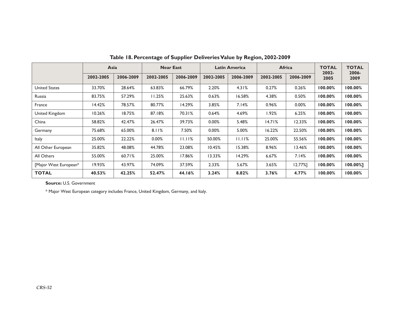|                       | Asia      |           | <b>Near East</b> |           | <b>Latin America</b> |           | <b>Africa</b> |            | <b>TOTAL</b><br>2002- | <b>TOTAL</b><br>2006- |
|-----------------------|-----------|-----------|------------------|-----------|----------------------|-----------|---------------|------------|-----------------------|-----------------------|
|                       | 2002-2005 | 2006-2009 | 2002-2005        | 2006-2009 | 2002-2005            | 2006-2009 | 2002-2005     | 2006-2009  | 2005                  | 2009                  |
| <b>United States</b>  | 33.70%    | 28.64%    | 63.83%           | 66.79%    | 2.20%                | 4.31%     | 0.27%         | 0.26%      | 100.00%               | 100.00%               |
| Russia                | 83.75%    | 57.29%    | 11.25%           | 25.63%    | 0.63%                | 16.58%    | 4.38%         | 0.50%      | 100.00%               | 100.00%               |
| France                | 14.42%    | 78.57%    | 80.77%           | 14.29%    | 3.85%                | 7.14%     | 0.96%         | 0.00%      | 100.00%               | 100.00%               |
| United Kingdom        | 10.26%    | 18.75%    | 87.18%           | 70.31%    | 0.64%                | 4.69%     | l.92%         | 6.25%      | 100.00%               | 100.00%               |
| China                 | 58.82%    | 42.47%    | 26.47%           | 39.73%    | 0.00%                | 5.48%     | 14.71%        | 12.33%     | 100.00%               | 100.00%               |
| Germany               | 75.68%    | 65.00%    | 8.11%            | 7.50%     | 0.00%                | 5.00%     | 16.22%        | 22.50%     | 100.00%               | 100.00%               |
| <b>Italy</b>          | 25.00%    | 22.22%    | 0.00%            | 11.11%    | 50.00%               | 11.11%    | 25.00%        | 55.56%     | 100.00%               | 100.00%               |
| All Other European    | 35.82%    | 48.08%    | 44.78%           | 23.08%    | 10.45%               | 15.38%    | 8.96%         | 13.46%     | 100.00%               | 100.00%               |
| All Others            | 55.00%    | 60.71%    | 25.00%           | 17.86%    | 13.33%               | 14.29%    | 6.67%         | 7.14%      | 100.00%               | 100.00%               |
| [Major West European* | 19.93%    | 43.97%    | 74.09%           | 37.59%    | 2.33%                | 5.67%     | 3.65%         | $12.77%$ ] | 100.00%               | 100.00%1              |
| <b>TOTAL</b>          | 40.53%    | 42.25%    | 52.47%           | 44.16%    | 3.24%                | 8.82%     | 3.76%         | 4.77%      | 100.00%               | 100.00%               |

**Table 18. Percentage of Supplier Deliveries Value by Region, 2002-2009**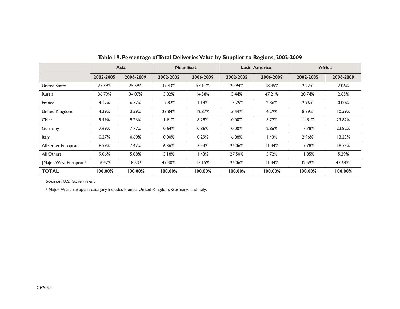|                       | Asia      |           |           | <b>Near East</b> |           | <b>Latin America</b> | Africa    |           |
|-----------------------|-----------|-----------|-----------|------------------|-----------|----------------------|-----------|-----------|
|                       | 2002-2005 | 2006-2009 | 2002-2005 | 2006-2009        | 2002-2005 | 2006-2009            | 2002-2005 | 2006-2009 |
| <b>United States</b>  | 25.59%    | 25.59%    | 37.43%    | 57.11%           | 20.94%    | 18.45%               | 2.22%     | 2.06%     |
| Russia                | 36.79%    | 34.07%    | 3.82%     | 14.58%           | 3.44%     | 47.21%               | 20.74%    | 2.65%     |
| France                | 4.12%     | 6.57%     | 17.82%    | 1.14%            | 13.75%    | 2.86%                | 2.96%     | 0.00%     |
| United Kingdom        | 4.39%     | 3.59%     | 28.84%    | 12.87%           | 3.44%     | 4.29%                | 8.89%     | 10.59%    |
| China                 | 5.49%     | 9.26%     | $1.91\%$  | 8.29%            | 0.00%     | 5.72%                | 14.81%    | 23.82%    |
| Germany               | 7.69%     | 7.77%     | 0.64%     | 0.86%            | 0.00%     | 2.86%                | 17.78%    | 23.82%    |
| <b>Italy</b>          | 0.27%     | 0.60%     | 0.00%     | 0.29%            | 6.88%     | 1.43%                | 2.96%     | 13.23%    |
| All Other European    | 6.59%     | 7.47%     | 6.36%     | 3.43%            | 24.06%    | 11.44%               | 17.78%    | 18.53%    |
| All Others            | 9.06%     | 5.08%     | 3.18%     | 1.43%            | 27.50%    | 5.72%                | 11.85%    | 5.29%     |
| [Major West European* | 16.47%    | 18.53%    | 47.30%    | 15.15%           | 24.06%    | 11.44%               | 32.59%    | 47.64%]   |
| <b>TOTAL</b>          | 100.00%   | 100.00%   | 100.00%   | 100.00%          | 100.00%   | 100.00%              | 100.00%   | 100.00%   |

**Table 19. Percentage of Total Deliveries Value by Supplier to Regions, 2002-2009**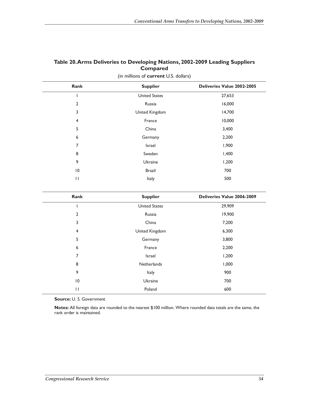| Table 20. Arms Deliveries to Developing Nations, 2002-2009 Leading Suppliers |  |  |  |  |
|------------------------------------------------------------------------------|--|--|--|--|
| <b>Compared</b>                                                              |  |  |  |  |
| (in millions of <b>current</b> U.S. dollars)                                 |  |  |  |  |

| Rank           | <b>Supplier</b>      | Deliveries Value 2002-2005 |
|----------------|----------------------|----------------------------|
|                | <b>United States</b> | 27,653                     |
| $\overline{2}$ | Russia               | 16,000                     |
| 3              | United Kingdom       | 14,700                     |
| 4              | France               | 10,000                     |
| 5              | China                | 3,400                      |
| 6              | Germany              | 2,200                      |
| 7              | Israel               | 1,900                      |
| 8              | Sweden               | 1,400                      |
| 9              | Ukraine              | 1,200                      |
| 10             | <b>Brazil</b>        | 700                        |
| П              | Italy                | 500                        |

| Rank           | <b>Supplier</b>      | Deliveries Value 2006-2009 |
|----------------|----------------------|----------------------------|
|                | <b>United States</b> | 29,909                     |
| 2              | Russia               | 19,900                     |
| 3              | China                | 7,200                      |
| $\overline{4}$ | United Kingdom       | 6,300                      |
| 5              | Germany              | 3,800                      |
| 6              | France               | 2,200                      |
| 7              | Israel               | 1,200                      |
| 8              | Netherlands          | 1,000                      |
| 9              | Italy                | 900                        |
| 10             | Ukraine              | 700                        |
| $\mathsf{H}$   | Poland               | 600                        |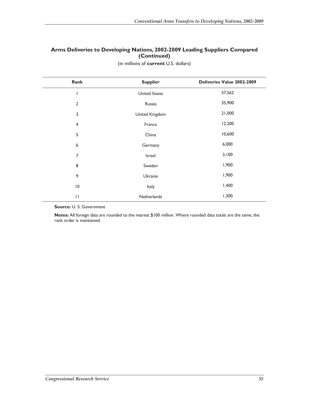#### **Arms Deliveries to Developing Nations, 2002-2009 Leading Suppliers Compared (Continued)**

| Rank                    | <b>Supplier</b>      | Deliveries Value 2002-2009 |
|-------------------------|----------------------|----------------------------|
|                         | <b>United States</b> | 57,562                     |
| $\overline{2}$          | Russia               | 35,900                     |
| 3                       | United Kingdom       | 21,000                     |
| $\overline{\mathbf{4}}$ | France               | 12.200                     |
| 5                       | China                | 10,600                     |
| 6                       | Germany              | 6,000                      |
| 7                       | Israel               | 3,100                      |
| 8                       | Sweden               | 1,900                      |
| 9                       | Ukraine              | 1,900                      |
| 10                      | Italy                | 1,400                      |
| $\mathsf{I}$            | Netherlands          | 1,300                      |

(in millions of **current** U.S. dollars)

**Source:** U. S. Government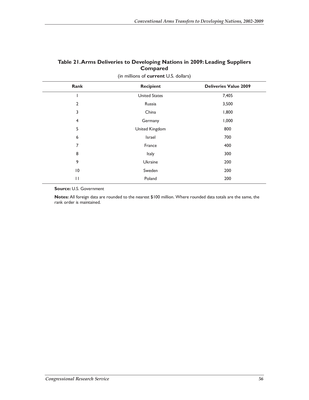| Table 21. Arms Deliveries to Developing Nations in 2009: Leading Suppliers |
|----------------------------------------------------------------------------|
| <b>Compared</b>                                                            |

| Rank            | <b>Recipient</b>     | <b>Deliveries Value 2009</b> |
|-----------------|----------------------|------------------------------|
|                 | <b>United States</b> | 7,405                        |
| 2               | Russia               | 3,500                        |
| 3               | China                | 1,800                        |
| 4               | Germany              | 1,000                        |
| 5               | United Kingdom       | 800                          |
| 6               | Israel               | 700                          |
| 7               | France               | 400                          |
| 8               | Italy                | 300                          |
| 9               | Ukraine              | 200                          |
| $\overline{10}$ | Sweden               | 200                          |
| $\mathsf{H}$    | Poland               | 200                          |

(in millions of **current** U.S. dollars)

**Source:** U.S. Government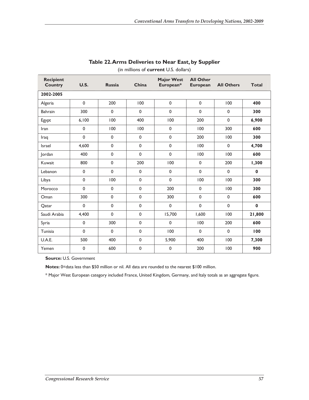| <b>Recipient</b><br><b>Country</b> | <b>U.S.</b> | <b>Russia</b> | China       | <b>Major West</b><br>European* | <b>All Other</b><br><b>European</b> | <b>All Others</b> | <b>Total</b> |
|------------------------------------|-------------|---------------|-------------|--------------------------------|-------------------------------------|-------------------|--------------|
| 2002-2005                          |             |               |             |                                |                                     |                   |              |
| Algeria                            | $\mathbf 0$ | 200           | 100         | $\mathbf 0$                    | $\mathbf 0$                         | 100               | 400          |
| Bahrain                            | 300         | $\mathbf 0$   | $\Omega$    | 0                              | $\mathbf 0$                         | $\mathbf 0$       | 300          |
| Egypt                              | 6,100       | 100           | 400         | 100                            | 200                                 | $\mathbf 0$       | 6,900        |
| Iran                               | $\mathbf 0$ | 100           | 100         | $\mathbf 0$                    | 100                                 | 300               | 600          |
| Iraq                               | $\pmb{0}$   | 0             | $\mathbf 0$ | 0                              | 200                                 | 100               | 300          |
| <b>Israel</b>                      | 4.600       | 0             | $\mathbf 0$ | 0                              | 100                                 | $\mathbf 0$       | 4,700        |
| lordan                             | 400         | 0             | $\mathbf 0$ | 0                              | 100                                 | 100               | 600          |
| Kuwait                             | 800         | 0             | 200         | 100                            | $\pmb{0}$                           | 200               | 1,300        |
| Lebanon                            | 0           | $\mathbf 0$   | $\mathbf 0$ | 0                              | $\mathbf 0$                         | $\mathbf 0$       | $\bf{0}$     |
| Libya                              | $\pmb{0}$   | 100           | $\mathbf 0$ | 0                              | 100                                 | 100               | 300          |
| Morocco                            | 0           | 0             | $\mathbf 0$ | 200                            | $\pmb{0}$                           | 100               | 300          |
| Oman                               | 300         | $\mathbf 0$   | $\mathbf 0$ | 300                            | $\mathbf 0$                         | $\mathbf 0$       | 600          |
| Qatar                              | $\mathbf 0$ | 0             | $\mathbf 0$ | $\mathbf 0$                    | $\pmb{0}$                           | $\mathbf 0$       | $\bf{0}$     |
| Saudi Arabia                       | 4,400       | $\mathbf 0$   | $\pmb{0}$   | 15,700                         | 1.600                               | 100               | 21,800       |
| Syria                              | $\mathbf 0$ | 300           | $\pmb{0}$   | 0                              | 100                                 | 200               | 600          |
| Tunisia                            | $\mathbf 0$ | $\mathbf 0$   | $\mathbf 0$ | 100                            | $\mathbf 0$                         | $\mathbf 0$       | 100          |
| U.A.E.                             | 500         | 400           | $\pmb{0}$   | 5,900                          | 400                                 | 100               | 7,300        |
| Yemen                              | $\pmb{0}$   | 600           | $\pmb{0}$   | 0                              | 200                                 | 100               | 900          |

#### **Table 22. Arms Deliveries to Near East, by Supplier**

(in millions of **current** U.S. dollars)

**Source:** U.S. Government

**Notes:** 0=data less than \$50 million or nil. All data are rounded to the nearest \$100 million.

\* Major West European category included France, United Kingdom, Germany, and Italy totals as an aggregate figure.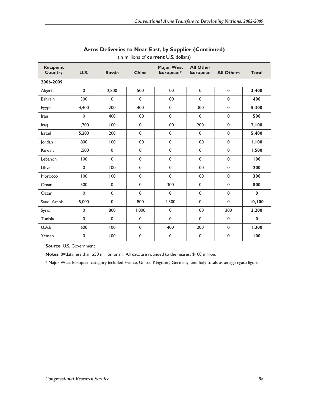| <b>Recipient</b><br><b>Country</b> | U.S.        | <b>Russia</b> | China       | <b>Major West</b><br>European* | <b>All Other</b><br><b>European</b> | <b>All Others</b> | <b>Total</b> |
|------------------------------------|-------------|---------------|-------------|--------------------------------|-------------------------------------|-------------------|--------------|
| 2006-2009                          |             |               |             |                                |                                     |                   |              |
| Algeria                            | $\pmb{0}$   | 2,800         | 500         | 100                            | $\pmb{0}$                           | $\pmb{0}$         | 3,400        |
| Bahrain                            | 300         | $\mathbf 0$   | $\mathbf 0$ | 100                            | $\pmb{0}$                           | $\mathbf 0$       | 400          |
| Egypt                              | 4,400       | 200           | 400         | $\pmb{0}$                      | 300                                 | $\mathbf 0$       | 5,300        |
| Iran                               | $\mathbf 0$ | 400           | 100         | $\mathbf 0$                    | $\mathbf 0$                         | $\mathbf 0$       | 500          |
| Iraq                               | 1,700       | 100           | $\pmb{0}$   | 100                            | 200                                 | 0                 | 2,100        |
| <b>Israel</b>                      | 5,200       | 200           | $\mathbf 0$ | 0                              | $\pmb{0}$                           | $\mathbf 0$       | 5,400        |
| Jordan                             | 800         | 100           | 100         | $\mathbf 0$                    | 100                                 | $\mathbf 0$       | 1,100        |
| Kuwait                             | 1,500       | $\mathbf 0$   | 0           | 0                              | $\mathbf 0$                         | 0                 | 1,500        |
| Lebanon                            | 100         | $\mathbf 0$   | $\mathbf 0$ | $\mathbf 0$                    | $\mathbf 0$                         | $\mathbf 0$       | 100          |
| Libya                              | $\pmb{0}$   | 100           | $\pmb{0}$   | $\pmb{0}$                      | 100                                 | 0                 | 200          |
| Morocco                            | 100         | 100           | $\mathbf 0$ | $\mathbf 0$                    | 100                                 | $\mathbf 0$       | 300          |
| Oman                               | 500         | $\mathbf 0$   | $\mathbf 0$ | 300                            | $\pmb{0}$                           | $\mathbf 0$       | 800          |
| Qatar                              | $\mathbf 0$ | 0             | 0           | $\mathbf 0$                    | $\mathbf 0$                         | $\mathbf 0$       | $\bf{0}$     |
| Saudi Arabia                       | 5,000       | $\mathbf 0$   | 800         | 4,300                          | $\mathbf 0$                         | $\mathbf 0$       | 10,100       |
| Syria                              | 0           | 800           | 1,000       | $\pmb{0}$                      | 100                                 | 300               | 2,200        |
| Tunisia                            | $\mathbf 0$ | $\mathbf{0}$  | $\pmb{0}$   | $\mathbf 0$                    | $\mathbf 0$                         | $\mathbf 0$       | $\bf{0}$     |
| U.A.E.                             | 600         | 100           | 0           | 400                            | 200                                 | $\mathbf 0$       | 1,300        |
| Yemen                              | $\mathbf 0$ | 100           | $\mathbf 0$ | $\mathbf 0$                    | $\pmb{0}$                           | $\mathbf 0$       | 100          |

#### **Arms Deliveries to Near East, by Supplier (Continued)**

(in millions of **current** U.S. dollars)

**Source:** U.S. Government

**Notes:** 0=data less than \$50 million or nil. All data are rounded to the nearest \$100 million.

\* Major West European category included France, United Kingdom, Germany, and Italy totals as an aggregate figure.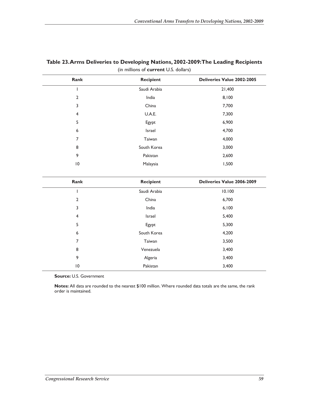| Rank            | <b>Recipient</b> | <b>Deliveries Value 2002-2005</b> |
|-----------------|------------------|-----------------------------------|
|                 | Saudi Arabia     | 21,400                            |
| 2               | India            | 8,100                             |
| 3               | China            | 7,700                             |
| $\overline{4}$  | U.A.E.           | 7,300                             |
| 5               | Egypt            | 6,900                             |
| 6               | Israel           | 4,700                             |
| 7               | Taiwan           | 4,000                             |
| 8               | South Korea      | 3,000                             |
| 9               | Pakistan         | 2,600                             |
| $\overline{10}$ | Malaysia         | 1,500                             |
| Rank            | <b>Recipient</b> | Deliveries Value 2006-2009        |
|                 | Saudi Arabia     | 10.100                            |

2 China 6,700 3 India 6,100 4 Israel 5,400 5 **Egypt** 5,300 6 South Korea 4,200 7 Taiwan 3,500 8 Venezuela 3,400 9 Algeria 3,400 10 Pakistan 2,400

#### **Table 23. Arms Deliveries to Developing Nations, 2002-2009: The Leading Recipients**  (in millions of **current** U.S. dollars)

**Source:** U.S. Government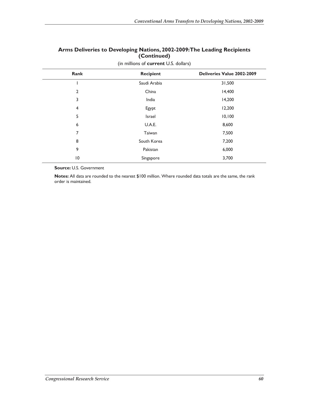#### **Arms Deliveries to Developing Nations, 2002-2009: The Leading Recipients (Continued)**

| Rank            | <b>Recipient</b> | Deliveries Value 2002-2009 |
|-----------------|------------------|----------------------------|
|                 | Saudi Arabia     | 31,500                     |
| $\overline{2}$  | China            | 14,400                     |
| 3               | India            | 14,200                     |
| 4               | Egypt            | 12,200                     |
| 5               | Israel           | 10,100                     |
| 6               | U.A.E.           | 8,600                      |
| 7               | Taiwan           | 7,500                      |
| 8               | South Korea      | 7,200                      |
| 9               | Pakistan         | 6,000                      |
| $\overline{10}$ | Singapore        | 3,700                      |

#### (in millions of **current** U.S. dollars)

**Source:** U.S. Government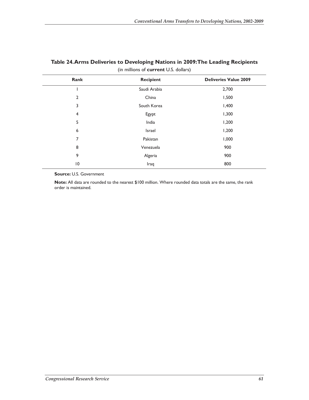|                 | $\sum_{i=1}^{n}$ |                              |
|-----------------|------------------|------------------------------|
| Rank            | <b>Recipient</b> | <b>Deliveries Value 2009</b> |
|                 | Saudi Arabia     | 2,700                        |
| $\overline{2}$  | China            | 1,500                        |
| 3               | South Korea      | 1,400                        |
| 4               | Egypt            | 1,300                        |
| 5               | India            | 1,200                        |
| 6               | Israel           | 1,200                        |
| 7               | Pakistan         | 1,000                        |
| 8               | Venezuela        | 900                          |
| 9               | Algeria          | 900                          |
| $\overline{10}$ | Iraq             | 800                          |
|                 |                  |                              |

#### **Table 24. Arms Deliveries to Developing Nations in 2009: The Leading Recipients**  (in millions of **current** U.S. dollars)

**Source:** U.S. Government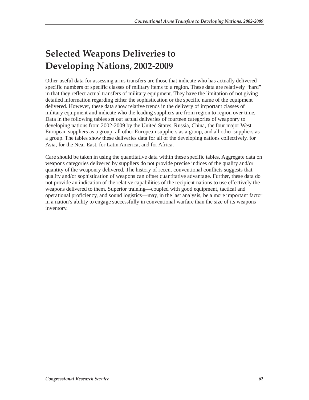# **Selected Weapons Deliveries to Developing Nations, 2002-2009**

Other useful data for assessing arms transfers are those that indicate who has actually delivered specific numbers of specific classes of military items to a region. These data are relatively "hard" in that they reflect actual transfers of military equipment. They have the limitation of not giving detailed information regarding either the sophistication or the specific name of the equipment delivered. However, these data show relative trends in the delivery of important classes of military equipment and indicate who the leading suppliers are from region to region over time. Data in the following tables set out actual deliveries of fourteen categories of weaponry to developing nations from 2002-2009 by the United States, Russia, China, the four major West European suppliers as a group, all other European suppliers as a group, and all other suppliers as a group. The tables show these deliveries data for all of the developing nations collectively, for Asia, for the Near East, for Latin America, and for Africa.

Care should be taken in using the quantitative data within these specific tables. Aggregate data on weapons categories delivered by suppliers do not provide precise indices of the quality and/or quantity of the weaponry delivered. The history of recent conventional conflicts suggests that quality and/or sophistication of weapons can offset quantitative advantage. Further, these data do not provide an indication of the relative capabilities of the recipient nations to use effectively the weapons delivered to them. Superior training—coupled with good equipment, tactical and operational proficiency, and sound logistics—may, in the last analysis, be a more important factor in a nation's ability to engage successfully in conventional warfare than the size of its weapons inventory.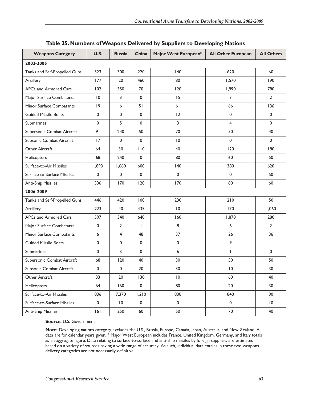| <b>Weapons Category</b>       | U.S.            | <b>Russia</b>   | China                    | Major West European* | <b>All Other European</b> | <b>All Others</b> |  |
|-------------------------------|-----------------|-----------------|--------------------------|----------------------|---------------------------|-------------------|--|
| 2002-2005                     |                 |                 |                          |                      |                           |                   |  |
| Tanks and Self-Propelled Guns | 523             | 300             | 220                      | 140                  | 620                       | 60                |  |
| Artillery                     | 177             | 20              | 460                      | 80                   | 1,570                     | 190               |  |
| APCs and Armored Cars         | 102             | 350             | 70                       | 120                  | 1,990                     | 780               |  |
| Major Surface Combatants      | $\overline{10}$ | 3               | 0                        | 15                   | 3                         | $\mathbf{2}$      |  |
| Minor Surface Combatants      | 9               | 6               | 51                       | 61                   | 66                        | 136               |  |
| <b>Guided Missile Boats</b>   | 0               | 0               | $\mathbf 0$              | 12                   | 0                         | 0                 |  |
| <b>Submarines</b>             | 0               | 5               | $\mathbf 0$              | 3                    | 4                         | 0                 |  |
| Supersonic Combat Aircraft    | 91              | 240             | 50                       | 70                   | 50                        | 40                |  |
| Subsonic Combat Aircraft      | 17              | 0               | 0                        | $\overline{10}$      | 0                         | 0                 |  |
| Other Aircraft                | 64              | 30              | 110                      | 40                   | 120                       | 180               |  |
| Helicopters                   | 68              | 240             | $\mathbf 0$              | 80                   | 60                        | 50                |  |
| Surface-to-Air Missiles       | 1,893           | 1,660           | 600                      | 140                  | 380                       | 620               |  |
| Surface-to-Surface Missiles   | 0               | $\mathbf 0$     | $\mathbf 0$              | 0                    | $\mathbf 0$               | 50                |  |
| Anti-Ship Missiles            | 336             | 170             | 120                      | 170                  | 80                        | 60                |  |
| 2006-2009                     |                 |                 |                          |                      |                           |                   |  |
| Tanks and Self-Propelled Guns | 446             | 420             | 100                      | 230                  | 210                       | 50                |  |
| Artillery                     | 223             | 40              | 435                      | 10                   | 170                       | 1,060             |  |
| APCs and Armored Cars         | 597             | 340             | 640                      | 160                  | 1,870                     | 280               |  |
| Major Surface Combatants      | 0               | $\overline{2}$  | $\overline{\phantom{a}}$ | 8                    | 6                         | 2                 |  |
| Minor Surface Combatants      | 6               | 4               | 48                       | 37                   | 26                        | 36                |  |
| <b>Guided Missile Boats</b>   | 0               | 0               | 0                        | $\mathbf 0$          | 9                         | $\mathbf{I}$      |  |
| Submarines                    | 0               | 3               | $\mathbf 0$              | 6                    |                           | $\mathbf{0}$      |  |
| Supersonic Combat Aircraft    | 68              | 120             | 40                       | 30                   | 50                        | 50                |  |
| Subsonic Combat Aircraft      | 0               | $\mathbf 0$     | 20                       | 30                   | $\overline{10}$           | 30                |  |
| Other Aircraft                | 33              | 20              | 130                      | $\overline{10}$      | 60                        | 40                |  |
| Helicopters                   | 64              | 160             | $\mathsf{O}\xspace$      | 80                   | 20                        | 30                |  |
| Surface-to-Air Missiles       | 836             | 7,370           | 1,210                    | 830                  | 840                       | 90                |  |
| Surface-to-Surface Missiles   | $\pmb{0}$       | $\overline{10}$ | $\pmb{0}$                | $\mathbf 0$          | $\pmb{0}$                 | $\overline{10}$   |  |
| <b>Anti-Ship Missiles</b>     | 6               | 250             | 60                       | 50                   | 70                        | 40                |  |

#### **Table 25. Numbers of Weapons Delivered by Suppliers to Developing Nations**

**Source:** U.S. Government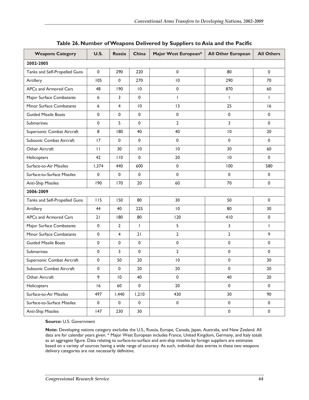| <b>Weapons Category</b>       | <b>U.S.</b>  | <b>Russia</b>       | China           | Major West European* | <b>All Other European</b> | <b>All Others</b> |
|-------------------------------|--------------|---------------------|-----------------|----------------------|---------------------------|-------------------|
| 2002-2005                     |              |                     |                 |                      |                           |                   |
| Tanks and Self-Propelled Guns | $\mathbf 0$  | 290                 | 220             | $\mathbf{0}$         | 80                        | 0                 |
| Artillery                     | 105          | $\mathbf 0$         | 270             | $\overline{0}$       | 290                       | 70                |
| APCs and Armored Cars         | 48           | 190                 | $\overline{10}$ | 0                    | 870                       | 60                |
| Major Surface Combatants      | 6            | 3                   | $\mathbf 0$     | $\mathbf{I}$         | $\mathbf{I}$              | $\mathbf{I}$      |
| Minor Surface Combatants      | 6            | 4                   | 10              | 13                   | 25                        | 16                |
| <b>Guided Missile Boats</b>   | $\mathbf 0$  | $\mathbf 0$         | $\mathbf 0$     | $\mathbf 0$          | $\mathbf 0$               | 0                 |
| <b>Submarines</b>             | $\mathbf{0}$ | 5                   | $\mathbf 0$     | $\overline{2}$       | 3                         | 0                 |
| Supersonic Combat Aircraft    | 8            | 180                 | 40              | 40                   | $\overline{10}$           | 20                |
| Subsonic Combat Aircraft      | 17           | $\mathbf 0$         | $\pmb{0}$       | 0                    | $\mathbf 0$               | 0                 |
| Other Aircraft                | $\mathbf{H}$ | 30                  | 10              | 10                   | 30                        | 60                |
| Helicopters                   | 42           | 110                 | $\mathbf 0$     | 20                   | $\overline{10}$           | $\mathbf{0}$      |
| Surface-to-Air Missiles       | 1,374        | 440                 | 600             | $\mathbf{0}$         | 100                       | 580               |
| Surface-to-Surface Missiles   | 0            | $\mathbf 0$         | $\mathbf 0$     | $\mathbf{0}$         | $\mathbf 0$               | 0                 |
| <b>Anti-Ship Missiles</b>     | 190          | 170                 | 20              | 60                   | 70                        | 0                 |
| 2006-2009                     |              |                     |                 |                      |                           |                   |
| Tanks and Self-Propelled Guns | 115          | 150                 | 80              | 30                   | 50                        | $\mathbf{0}$      |
| Artillery                     | 44           | 40                  | 225             | 10                   | 80                        | 30                |
| APCs and Armored Cars         | 21           | 180                 | 80              | 120                  | 410                       | 0                 |
| Major Surface Combatants      | $\mathbf 0$  | $\overline{2}$      | Т               | 5                    | 3                         | $\mathbf{I}$      |
| Minor Surface Combatants      | $\mathbf 0$  | 4                   | 21              | $\overline{2}$       | $\overline{2}$            | 9                 |
| <b>Guided Missile Boats</b>   | $\pmb{0}$    | $\mathbf 0$         | $\mathbf 0$     | $\mathbf 0$          | $\mathsf 0$               | 0                 |
| Submarines                    | $\mathbf{0}$ | 3                   | $\mathbf 0$     | $\overline{2}$       | 0                         | 0                 |
| Supersonic Combat Aircraft    | $\mathbf 0$  | 50                  | 20              | 10                   | $\mathbf 0$               | 30                |
| Subsonic Combat Aircraft      | $\mathbf{0}$ | $\mathbf 0$         | 20              | 20                   | $\mathbf 0$               | 20                |
| Other Aircraft                | 9            | $\vert 0$           | 40              | 0                    | 40                        | 20                |
| Helicopters                   | 16           | 60                  | $\pmb{0}$       | $20\,$               | $\pmb{0}$                 | $\mathsf{O}$      |
| Surface-to-Air Missiles       | 497          | 1,440               | 1,210           | 430                  | 30                        | 90                |
| Surface-to-Surface Missiles   | $\pmb{0}$    | $\mathsf{O}\xspace$ | $\pmb{0}$       | $\pmb{0}$            | $\pmb{0}$                 | $\mathsf{O}$      |
| Anti-Ship Missiles            | 147          | 230                 | 30              |                      | $\pmb{0}$                 | 0                 |

#### **Table 26. Number of Weapons Delivered by Suppliers to Asia and the Pacific**

**Source:** U.S. Government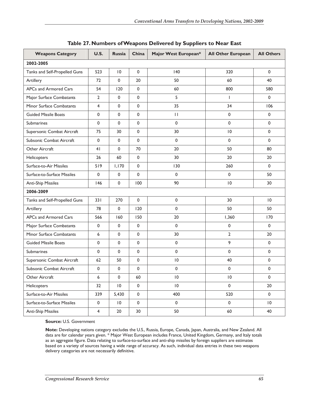| <b>Weapons Category</b>       | U.S.           | <b>Russia</b>   | China       | Major West European* | <b>All Other European</b> | <b>All Others</b> |
|-------------------------------|----------------|-----------------|-------------|----------------------|---------------------------|-------------------|
| 2002-2005                     |                |                 |             |                      |                           |                   |
| Tanks and Self-Propelled Guns | 523            | $\overline{10}$ | 0           | 140                  | 320                       | $\mathbf 0$       |
| Artillery                     | 72             | $\mathbf 0$     | 20          | 50                   | 60                        | 40                |
| APCs and Armored Cars         | 54             | 120             | 0           | 60                   | 800                       | 580               |
| Major Surface Combatants      | $\overline{2}$ | $\mathbf 0$     | $\mathbf 0$ | 5                    | T                         | $\mathbf 0$       |
| Minor Surface Combatants      | 4              | $\mathbf 0$     | 0           | 35                   | 34                        | 106               |
| <b>Guided Missile Boats</b>   | 0              | $\mathbf 0$     | $\mathbf 0$ | $\mathbf{H}$         | 0                         | $\mathbf{0}$      |
| Submarines                    | 0              | $\mathbf 0$     | 0           | $\mathbf 0$          | 0                         | 0                 |
| Supersonic Combat Aircraft    | 75             | 30              | 0           | 30                   | $\overline{10}$           | 0                 |
| Subsonic Combat Aircraft      | 0              | $\mathbf 0$     | 0           | $\mathbf 0$          | $\mathbf 0$               | $\mathbf{0}$      |
| Other Aircraft                | 4 <sub>1</sub> | $\mathbf 0$     | 70          | 20                   | 50                        | 80                |
| Helicopters                   | 26             | 60              | 0           | 30                   | 20                        | 20                |
| Surface-to-Air Missiles       | 519            | 1,170           | 0           | 130                  | 260                       | 0                 |
| Surface-to-Surface Missiles   | 0              | $\mathbf 0$     | $\mathbf 0$ | $\mathbf 0$          | 0                         | 50                |
| <b>Anti-Ship Missiles</b>     | 146            | 0               | 100         | 90                   | $\overline{10}$           | 30                |
| 2006-2009                     |                |                 |             |                      |                           |                   |
| Tanks and Self-Propelled Guns | 331            | 270             | 0           | $\mathsf 0$          | 30                        | 10                |
| Artillery                     | 78             | $\mathbf 0$     | 120         | $\mathbf 0$          | 50                        | 50                |
| APCs and Armored Cars         | 566            | 160             | 150         | 20                   | 1,360                     | 170               |
| Major Surface Combatants      | 0              | $\pmb{0}$       | $\mathbf 0$ | $\mathsf 0$          | $\pmb{0}$                 | $\mathbf 0$       |
| Minor Surface Combatants      | 6              | 0               | 0           | 30                   | $\overline{2}$            | 20                |
| <b>Guided Missile Boats</b>   | 0              | 0               | $\mathbf 0$ | $\mathsf 0$          | 9                         | $\mathbf 0$       |
| <b>Submarines</b>             | $\mathbf{0}$   | $\mathbf 0$     | 0           | $\mathbf 0$          | $\mathbf 0$               | $\mathbf 0$       |
| Supersonic Combat Aircraft    | 62             | 50              | 0           | $\overline{10}$      | 40                        | $\mathbf 0$       |
| Subsonic Combat Aircraft      | 0              | 0               | 0           | 0                    | 0                         | 0                 |
| Other Aircraft                | 6              | $\pmb{0}$       | 60          | $\, 10$              | $\, 10$                   | $\pmb{0}$         |
| Helicopters                   | 32             | $\overline{10}$ | $\mathbf 0$ | $\overline{10}$      | $\pmb{0}$                 | 20                |
| Surface-to-Air Missiles       | 339            | 5,430           | $\pmb{0}$   | 400                  | 520                       | $\mathbf 0$       |
| Surface-to-Surface Missiles   | $\pmb{0}$      | $\overline{10}$ | $\pmb{0}$   | $\pmb{0}$            | $\mathsf 0$               | $\overline{10}$   |
| <b>Anti-Ship Missiles</b>     | $\overline{4}$ | 20              | 30          | 50                   | 60                        | 40                |

#### **Table 27. Numbers of Weapons Delivered by Suppliers to Near East**

**Source:** U.S. Government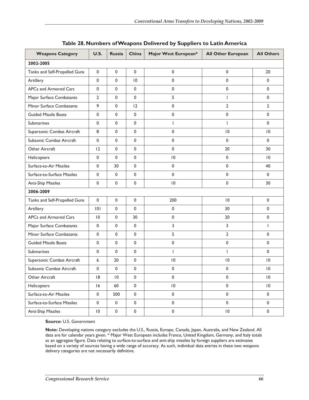| <b>Weapons Category</b>       | <b>U.S.</b>     | <b>Russia</b> | China           | Major West European* | <b>All Other European</b> | <b>All Others</b> |  |
|-------------------------------|-----------------|---------------|-----------------|----------------------|---------------------------|-------------------|--|
| 2002-2005                     |                 |               |                 |                      |                           |                   |  |
| Tanks and Self-Propelled Guns | 0               | $\mathbf 0$   | $\mathbf 0$     | 0                    | 0                         | 20                |  |
| Artillery                     | 0               | $\pmb{0}$     | $\overline{10}$ | 0                    | 0                         | 0                 |  |
| APCs and Armored Cars         | 0               | $\mathbf 0$   | $\mathbf 0$     | 0                    | 0                         | 0                 |  |
| Major Surface Combatants      | $\overline{2}$  | $\pmb{0}$     | $\mathbf 0$     | 5                    | $\mathbf{I}$              | 0                 |  |
| Minor Surface Combatants      | 9               | $\pmb{0}$     | 12              | 0                    | $\overline{2}$            | 2                 |  |
| <b>Guided Missile Boats</b>   | $\mathbf{0}$    | $\mathbf 0$   | $\mathbf 0$     | 0                    | 0                         | 0                 |  |
| <b>Submarines</b>             | 0               | $\pmb{0}$     | 0               | $\overline{1}$       | $\overline{\phantom{a}}$  | 0                 |  |
| Supersonic Combat Aircraft    | 8               | $\mathbf 0$   | 0               | 0                    | 10                        | $\overline{10}$   |  |
| Subsonic Combat Aircraft      | 0               | $\mathbf 0$   | $\mathbf 0$     | 0                    | 0                         | 0                 |  |
| Other Aircraft                | 12              | $\mathbf 0$   | $\mathbf 0$     | 0                    | 20                        | 30                |  |
| Helicopters                   | 0               | $\pmb{0}$     | $\mathbf 0$     | 0                    | 0                         | $\overline{0}$    |  |
| Surface-to-Air Missiles       | $\mathbf 0$     | 30            | $\mathbf 0$     | 0                    | 0                         | 40                |  |
| Surface-to-Surface Missiles   | 0               | $\pmb{0}$     | $\mathbf 0$     | 0                    | 0                         | 0                 |  |
| <b>Anti-Ship Missiles</b>     | 0               | $\mathbf 0$   | 0               | 0                    | 0                         | 30                |  |
| 2006-2009                     |                 |               |                 |                      |                           |                   |  |
| Tanks and Self-Propelled Guns | $\mathbf 0$     | $\pmb{0}$     | 0               | 200                  | 10                        | 0                 |  |
| Artillery                     | 0               | $\pmb{0}$     | $\mathbf 0$     | 0                    | 30                        | 0                 |  |
| APCs and Armored Cars         | $\overline{10}$ | $\pmb{0}$     | 30              | 0                    | 20                        | 0                 |  |
| Major Surface Combatants      | 0               | $\pmb{0}$     | 0               | 3                    | 3                         | ı                 |  |
| Minor Surface Combatants      | 0               | $\pmb{0}$     | $\mathbf 0$     | 5                    | $\overline{2}$            | 0                 |  |
| <b>Guided Missile Boats</b>   | $\mathbf 0$     | $\pmb{0}$     | 0               | 0                    | 0                         | 0                 |  |
| <b>Submarines</b>             | $\mathbf{0}$    | $\pmb{0}$     | $\mathbf 0$     | $\overline{1}$       | $\mathbf{I}$              | 0                 |  |
| Supersonic Combat Aircraft    | 6               | 20            | $\mathbf 0$     | $\overline{10}$      | $ 0\rangle$               | $\overline{0}$    |  |
| Subsonic Combat Aircraft      | 0               | $\pmb{0}$     | 0               | 0                    | 0                         | $\overline{10}$   |  |
| Other Aircraft                | 8               | $\vert 0$     | $\pmb{0}$       | 0                    | $\pmb{0}$                 | $\vert 0$         |  |
| Helicopters                   | 16              | 60            | $\mathbf 0$     | $\, 10$              | $\pmb{0}$                 | $\overline{0}$    |  |
| Surface-to-Air Missiles       | $\pmb{0}$       | 500           | $\pmb{0}$       | $\pmb{0}$            | $\pmb{0}$                 | $\mathbf 0$       |  |
| Surface-to-Surface Missiles   | $\pmb{0}$       | $\pmb{0}$     | $\pmb{0}$       | $\pmb{0}$            | $\pmb{0}$                 | $\mathbf 0$       |  |
| <b>Anti-Ship Missiles</b>     | $\vert 0 \vert$ | $\pmb{0}$     | $\pmb{0}$       | $\pmb{0}$            | $\,$ l $\,$               | $\pmb{0}$         |  |

#### **Table 28. Numbers of Weapons Delivered by Suppliers to Latin America**

**Source:** U.S. Government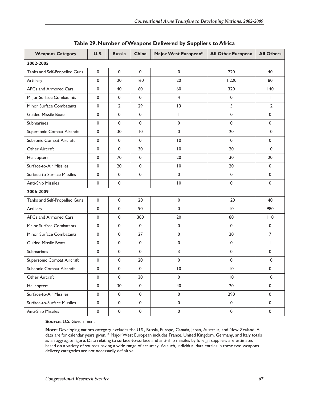| <b>Weapons Category</b>       | <b>U.S.</b>  | <b>Russia</b>  | China        | Major West European* | <b>All Other European</b> | <b>All Others</b>   |
|-------------------------------|--------------|----------------|--------------|----------------------|---------------------------|---------------------|
| 2002-2005                     |              |                |              |                      |                           |                     |
| Tanks and Self-Propelled Guns | 0            | $\mathbf 0$    | $\mathbf 0$  | 0                    | 220                       | 40                  |
| Artillery                     | $\mathbf 0$  | 20             | 160          | 20                   | 1,220                     | 80                  |
| APCs and Armored Cars         | 0            | 40             | 60           | 60                   | 320                       | 40                  |
| Major Surface Combatants      | 0            | $\mathbf 0$    | $\mathsf 0$  | $\overline{4}$       | $\mathbf 0$               | $\mathbf{I}$        |
| Minor Surface Combatants      | 0            | $\overline{2}$ | 29           | 3                    | 5                         | 12                  |
| <b>Guided Missile Boats</b>   | $\mathbf 0$  | $\mathbf{0}$   | $\mathbf{0}$ | L                    | $\mathbf 0$               | $\mathbf 0$         |
| Submarines                    | 0            | $\mathsf 0$    | $\mathsf 0$  | $\mathbf 0$          | $\mathbf 0$               | 0                   |
| Supersonic Combat Aircraft    | 0            | 30             | 10           | $\mathbf 0$          | 20                        | $\overline{10}$     |
| Subsonic Combat Aircraft      | 0            | $\mathbf 0$    | $\mathbf 0$  | $\overline{10}$      | $\mathbf 0$               | $\mathbf 0$         |
| Other Aircraft                | 0            | $\mathsf 0$    | 30           | $\overline{10}$      | 20                        | 10                  |
| Helicopters                   | 0            | 70             | $\mathsf 0$  | 20                   | 30                        | 20                  |
| Surface-to-Air Missiles       | 0            | 20             | $\mathsf 0$  | $\overline{10}$      | 20                        | 0                   |
| Surface-to-Surface Missiles   | 0            | $\mathbf 0$    | $\mathsf 0$  | $\mathbf 0$          | $\mathbf 0$               | 0                   |
| Anti-Ship Missiles            | 0            | $\mathsf 0$    |              | $\overline{10}$      | $\mathbf 0$               | 0                   |
| 2006-2009                     |              |                |              |                      |                           |                     |
| Tanks and Self-Propelled Guns | 0            | $\mathsf 0$    | 20           | $\pmb{0}$            | 120                       | 40                  |
| Artillery                     | $\mathbf 0$  | $\mathbf 0$    | 90           | $\mathbf{0}$         | $\overline{10}$           | 980                 |
| APCs and Armored Cars         | $\mathbf{0}$ | $\mathbf 0$    | 380          | 20                   | 80                        | 110                 |
| Major Surface Combatants      | 0            | $\mathsf 0$    | $\pmb{0}$    | $\mathbf 0$          | $\mathbf 0$               | $\mathbf 0$         |
| Minor Surface Combatants      | 0            | $\mathsf 0$    | 27           | 0                    | 20                        | $\overline{7}$      |
| <b>Guided Missile Boats</b>   | $\mathbf 0$  | $\mathsf 0$    | $\mathsf 0$  | $\pmb{0}$            | $\mathbf 0$               | T                   |
| <b>Submarines</b>             | 0            | $\mathsf 0$    | $\mathbf 0$  | 3                    | $\mathbf 0$               | $\mathbf 0$         |
| Supersonic Combat Aircraft    | $\mathbf 0$  | $\mathbf 0$    | 20           | $\mathbf 0$          | $\mathbf 0$               | $\overline{10}$     |
| Subsonic Combat Aircraft      | 0            | $\mathsf 0$    | $\mathbf 0$  | 10                   | $\overline{10}$           | 0                   |
| Other Aircraft                | 0            | $\pmb{0}$      | 30           | $\pmb{0}$            | $\vert 0$                 | $\, 10$             |
| Helicopters                   | $\pmb{0}$    | 30             | $\pmb{0}$    | 40                   | 20                        | $\mathbf 0$         |
| Surface-to-Air Missiles       | $\pmb{0}$    | $\pmb{0}$      | $\pmb{0}$    | $\pmb{0}$            | 290                       | $\mathsf{O}\xspace$ |
| Surface-to-Surface Missiles   | $\pmb{0}$    | $\pmb{0}$      | $\pmb{0}$    | $\pmb{0}$            | $\mathsf{O}\xspace$       | $\mathsf{O}$        |
| <b>Anti-Ship Missiles</b>     | $\pmb{0}$    | $\pmb{0}$      | $\pmb{0}$    | $\pmb{0}$            | $\pmb{0}$                 | $\mathsf{O}\xspace$ |

| Table 29. Number of Weapons Delivered by Suppliers to Africa |  |  |
|--------------------------------------------------------------|--|--|
|--------------------------------------------------------------|--|--|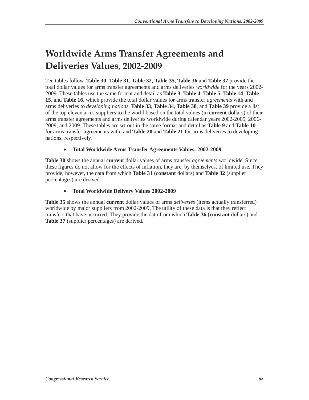# **Worldwide Arms Transfer Agreements and Deliveries Values, 2002-2009**

Ten tables follow. **Table 30**, **Table 31**, **Table 32**, **Table 35**, **Table 36** and **Table 37** provide the total dollar values for arms transfer agreements and arms deliveries *worldwide* for the years 2002- 2009. These tables use the same format and detail as **Table 3**, **Table 4**, **Table 5**, **Table 14**, **Table 15**, and **Table 16**, which provide the total dollar values for arms transfer *agreements* with and arms deliveries to *developing nations*. **Table 33**, **Table 34**, **Table 38**, and **Table 39** provide a list of the top eleven arms suppliers to the world based on the total values (in **current** dollars) of their arms transfer agreements and arms deliveries worldwide during calendar years 2002-2005, 2006- 2009, and 2009. These tables are set out in the same format and detail as **Table 9** and **Table 10** for arms transfer agreements with, and **Table 20** and **Table 21** for arms deliveries to developing nations, respectively.

## • **Total Worldwide Arms Transfer Agreements Values, 2002-2009**

**Table 30** shows the annual **current** dollar values of arms transfer *agreements* worldwide. Since these figures do not allow for the effects of inflation, they are, by themselves, of limited use. They provide, however, the data from which **Table 31** (**constant** dollars) and **Table 32** (supplier percentages) are derived.

## • **Total Worldwide Delivery Values 2002-2009**

**Table 35** shows the annual **current** dollar values of arms *deliveries* (items actually transferred) worldwide by major suppliers from 2002-2009. The utility of these data is that they reflect transfers that have occurred. They provide the data from which **Table 36** (**constant** dollars) and **Table 37** (supplier percentages) are derived.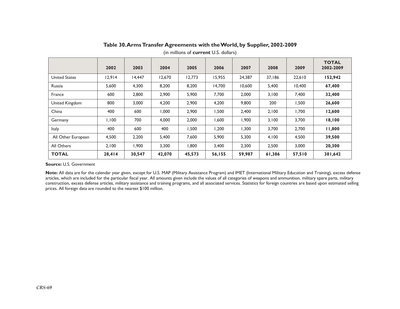|                      | 2002   | 2003   | 2004   | 2005   | 2006   | 2007   | 2008   | 2009   | <b>TOTAL</b><br>2002-2009 |
|----------------------|--------|--------|--------|--------|--------|--------|--------|--------|---------------------------|
| <b>United States</b> | 12.914 | 14,447 | 12,670 | 12.773 | 15,955 | 24,387 | 37,186 | 22,610 | 152,942                   |
| Russia               | 5,600  | 4,300  | 8,200  | 8,200  | 14,700 | 10,600 | 5,400  | 10,400 | 67,400                    |
| France               | 600    | 2,800  | 2,900  | 5,900  | 7,700  | 2,000  | 3,100  | 7,400  | 32,400                    |
| United Kingdom       | 800    | 3,000  | 4,200  | 2,900  | 4,200  | 9,800  | 200    | 1,500  | 26,600                    |
| China                | 400    | 600    | 1,000  | 2,900  | 1,500  | 2,400  | 2,100  | 1,700  | 12,600                    |
| Germany              | 1,100  | 700    | 4,000  | 2,000  | 1,600  | 1,900  | 3,100  | 3,700  | 18,100                    |
| <b>Italy</b>         | 400    | 600    | 400    | 1,500  | 1,200  | 1,300  | 3,700  | 2,700  | 11,800                    |
| All Other European   | 4,500  | 2,200  | 5,400  | 7,600  | 5,900  | 5,300  | 4,100  | 4,500  | 39,500                    |
| All Others           | 2,100  | 1,900  | 3,300  | 008,1  | 3,400  | 2,300  | 2,500  | 3,000  | 20,300                    |
| <b>TOTAL</b>         | 28,414 | 30,547 | 42,070 | 45,573 | 56,155 | 59,987 | 61,386 | 57,510 | 381,642                   |

### **Table 30. Arms Transfer Agreements with the World, by Supplier, 2002-2009**

(in millions of **current** U.S. dollars)

#### **Source:** U.S. Government

Note: All data are for the calendar year given, except for U.S. MAP (Military Assistance Program) and IMET (International Military Education and Training), excess defense articles, which are included for the particular fiscal year. All amounts given include the values of all categories of weapons and ammunition, military spare parts, military construction, excess defense articles, military assistance and training programs, and all associated services. Statistics for foreign countries are based upon estimated selling prices. All foreign data are rounded to the nearest \$100 million.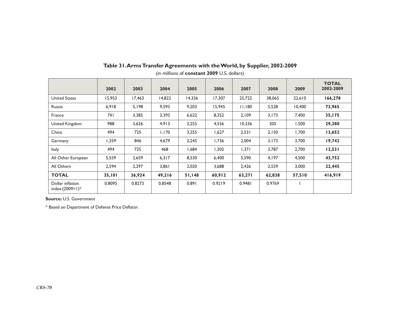|                                         | 2002   | 2003   | 2004   | 2005   | 2006   | 2007   | 2008   | 2009   | <b>TOTAL</b><br>2002-2009 |
|-----------------------------------------|--------|--------|--------|--------|--------|--------|--------|--------|---------------------------|
| <b>United States</b>                    | 15,953 | 17,463 | 14,822 | 14,336 | 17,307 | 25,722 | 38,065 | 22,610 | 166,278                   |
| Russia                                  | 6,918  | 5,198  | 9,593  | 9,203  | 15,945 | 11,180 | 5,528  | 10,400 | 73,965                    |
| France                                  | 74 I   | 3,385  | 3,393  | 6,622  | 8,352  | 2,109  | 3,173  | 7,400  | 35,175                    |
| United Kingdom                          | 988    | 3,626  | 4,913  | 3,255  | 4,556  | 10,336 | 205    | 1,500  | 29,380                    |
| China                                   | 494    | 725    | 1,170  | 3,255  | 1,627  | 2,531  | 2,150  | 1,700  | 13,652                    |
| Germany                                 | 1,359  | 846    | 4,679  | 2,245  | 1,736  | 2,004  | 3,173  | 3,700  | 19,742                    |
| <b>Italy</b>                            | 494    | 725    | 468    | 1,684  | 1,302  | 1,371  | 3.787  | 2,700  | 12,531                    |
| All Other European                      | 5,559  | 2,659  | 6,317  | 8,530  | 6,400  | 5,590  | 4,197  | 4,500  | 43,752                    |
| All Others                              | 2,594  | 2,297  | 3,861  | 2,020  | 3,688  | 2,426  | 2,559  | 3,000  | 22,445                    |
| <b>TOTAL</b>                            | 35,101 | 36,924 | 49,216 | 51,148 | 60,912 | 63,271 | 62,838 | 57,510 | 416,919                   |
| Dollar inflation<br>index: $(2009=1)^*$ | 0.8095 | 0.8273 | 0.8548 | 0.891  | 0.9219 | 0.9481 | 0.9769 |        |                           |

## **Table 31. Arms Transfer Agreements with the World, by Supplier, 2002-2009**

(in millions of **constant 2009** U.S. dollars)

**Source:** U.S. Government

\* Based on Department of Defense Price Deflator.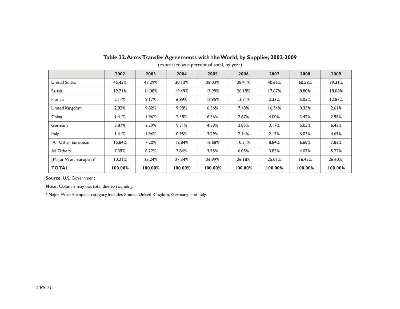|                       | 2002    | 2003    | 2004    | 2005    | 2006    | 2007    | 2008    | 2009    |
|-----------------------|---------|---------|---------|---------|---------|---------|---------|---------|
| <b>United States</b>  | 45.45%  | 47.29%  | 30.12%  | 28.03%  | 28.41%  | 40.65%  | 60.58%  | 39.31%  |
| Russia                | 19.71%  | 14.08%  | 19.49%  | 17.99%  | 26.18%  | 17.67%  | 8.80%   | 18.08%  |
| France                | 2.11%   | 9.17%   | 6.89%   | 12.95%  | 13.71%  | 3.33%   | 5.05%   | 12.87%  |
| United Kingdom        | 2.82%   | 9.82%   | 9.98%   | 6.36%   | 7.48%   | 16.34%  | 0.33%   | 2.61%   |
| China                 | 1.41%   | 1.96%   | 2.38%   | 6.36%   | 2.67%   | 4.00%   | 3.42%   | 2.96%   |
| Germany               | 3.87%   | 2.29%   | 9.51%   | 4.39%   | 2.85%   | 3.17%   | 5.05%   | 6.43%   |
| <b>Italy</b>          | l.41%   | 1.96%   | 0.95%   | 3.29%   | 2.14%   | 2.17%   | 6.03%   | 4.69%   |
| All Other European    | 15.84%  | 7.20%   | 12.84%  | 16.68%  | 10.51%  | 8.84%   | 6.68%   | 7.82%   |
| All Others            | 7.39%   | 6.22%   | 7.84%   | 3.95%   | 6.05%   | 3.83%   | 4.07%   | 5.22%   |
| [Major West European* | 10.21%  | 23.24%  | 27.34%  | 26.99%  | 26.18%  | 25.01%  | 16.45%  | 26.60%] |
| <b>TOTAL</b>          | 100.00% | 100.00% | 100.00% | 100.00% | 100.00% | 100.00% | 100.00% | 100.00% |

## **Table 32. Arms Transfer Agreements with the World, by Supplier, 2002-2009**

(expressed as a percent of total, by year)

**Source:** U.S. Government

**Note:** Columns may not total due to rounding.

\* Major West European category includes France, United Kingdom, Germany, and Italy.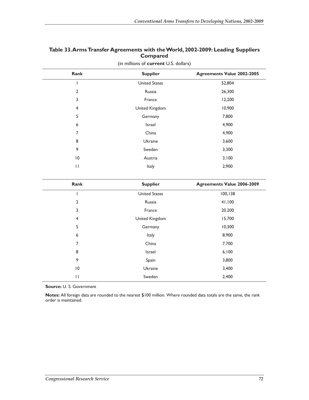## **Table 33. Arms Transfer Agreements with the World, 2002-2009: Leading Suppliers Compared**

| Rank           | <b>Supplier</b>      | <b>Agreements Value 2002-2005</b> |
|----------------|----------------------|-----------------------------------|
|                | <b>United States</b> | 52,804                            |
| $\overline{2}$ | Russia               | 26,300                            |
| 3              | France               | 12,200                            |
| 4              | United Kingdom       | 10,900                            |
| 5              | Germany              | 7,800                             |
| 6              | Israel               | 4,900                             |
| 7              | China                | 4,900                             |
| 8              | Ukraine              | 3,600                             |
| 9              | Sweden               | 3,300                             |
| 10             | Austria              | 3,100                             |
| $\mathbf{H}$   | Italy                | 2,900                             |
|                |                      |                                   |

(in millions of **current** U.S. dollars)

| Rank         | <b>Supplier</b>      | <b>Agreements Value 2006-2009</b> |
|--------------|----------------------|-----------------------------------|
|              | <b>United States</b> | 100, 138                          |
| 2            | Russia               | 41,100                            |
| 3            | France               | 20.200                            |
| 4            | United Kingdom       | 15,700                            |
| 5            | Germany              | 10,300                            |
| 6            | Italy                | 8,900                             |
| 7            | China                | 7,700                             |
| 8            | Israel               | 6,100                             |
| 9            | Spain                | 3,800                             |
| 10           | Ukraine              | 3,400                             |
| $\mathsf{H}$ | Sweden               | 2,400                             |

**Source:** U. S. Government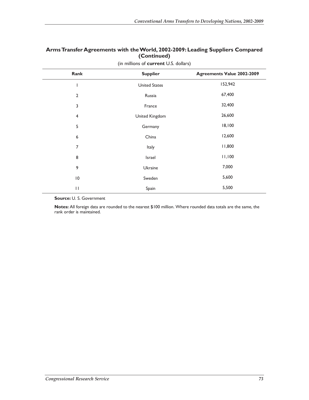## **Arms Transfer Agreements with the World, 2002-2009: Leading Suppliers Compared (Continued)**

| Rank                    | <b>Supplier</b>      | <b>Agreements Value 2002-2009</b> |
|-------------------------|----------------------|-----------------------------------|
|                         | <b>United States</b> | 152,942                           |
| $\overline{2}$          | Russia               | 67,400                            |
| 3                       | France               | 32,400                            |
| $\overline{\mathbf{4}}$ | United Kingdom       | 26,600                            |
| 5                       | Germany              | 18,100                            |
| 6                       | China                | 12,600                            |
| 7                       | Italy                | 11,800                            |
| 8                       | Israel               | 11,100                            |
| 9                       | Ukraine              | 7,000                             |
| $\overline{10}$         | Sweden               | 5,600                             |
| $\mathbf{I}$            | Spain                | 5,500                             |

(in millions of **current** U.S. dollars)

**Source:** U. S. Government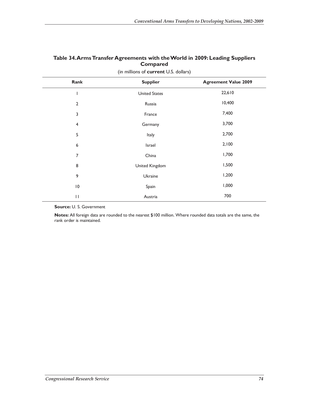| Rank                    | <b>Supplier</b>      | <b>Agreement Value 2009</b> |
|-------------------------|----------------------|-----------------------------|
|                         | <b>United States</b> | 22,610                      |
| $\overline{2}$          | Russia               | 10,400                      |
| 3                       | France               | 7,400                       |
| $\overline{\mathbf{4}}$ | Germany              | 3,700                       |
| 5                       | Italy                | 2,700                       |
| 6                       | Israel               | 2,100                       |
| 7                       | China                | 1,700                       |
| 8                       | United Kingdom       | 1,500                       |
| 9                       | Ukraine              | 1,200                       |
| $\overline{10}$         | Spain                | 1,000                       |
| $\mathbf{H}$            | Austria              | 700                         |

## **Table 34. Arms Transfer Agreements with the World in 2009: Leading Suppliers Compared**  (in millions of **current** U.S. dollars)

**Source:** U. S. Government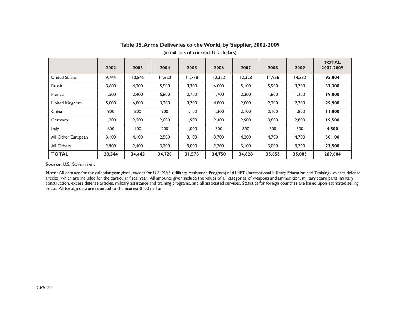|                      | 2002   | 2003   | 2004   | 2005   | 2006   | 2007   | 2008   | 2009   | <b>TOTAL</b><br>2002-2009 |
|----------------------|--------|--------|--------|--------|--------|--------|--------|--------|---------------------------|
| <b>United States</b> | 9,744  | 10,845 | 11,620 | 11.778 | 12,350 | 12,328 | 11,956 | 14,383 | 95,004                    |
| Russia               | 3,600  | 4,200  | 5,500  | 3,300  | 6,000  | 5,100  | 5,900  | 3,700  | 37,300                    |
| France               | 1,500  | 2,400  | 5,600  | 2,700  | 1,700  | 2,300  | 1,600  | 1,200  | 19,000                    |
| United Kingdom       | 5,000  | 6,800  | 3,200  | 3,700  | 4,800  | 2,000  | 2,200  | 2,200  | 29,900                    |
| China                | 900    | 800    | 900    | 1.100  | 1,300  | 2,100  | 2,100  | 1,800  | 11,000                    |
| Germany              | ,200   | 2,500  | 2,000  | 1,900  | 2,400  | 2,900  | 3,800  | 2,800  | 19,500                    |
| <b>Italy</b>         | 600    | 400    | 200    | 000.1  | 300    | 800    | 600    | 600    | 4,500                     |
| All Other European   | 3.100  | 4,100  | 2,500  | 3.100  | 3,700  | 4,200  | 4,700  | 4,700  | 30,100                    |
| All Others           | 2,900  | 2,400  | 3,200  | 3,000  | 2,200  | 3,100  | 3,000  | 3,700  | 23,500                    |
| <b>TOTAL</b>         | 28,544 | 34,445 | 34,720 | 31,578 | 34,750 | 34,828 | 35,856 | 35,083 | 269,804                   |

#### **Table 35. Arms Deliveries to the World, by Supplier, 2002-2009**

(in millions of **current** U.S. dollars)

#### **Source:** U.S. Government

Note: All data are for the calendar year given, except for U.S. MAP (Military Assistance Program) and IMET (International Military Education and Training), excess defense articles, which are included for the particular fiscal year. All amounts given include the values of all categories of weapons and ammunition, military spare parts, military construction, excess defense articles, military assistance and training programs, and all associated services. Statistics for foreign countries are based upon estimated selling prices. All foreign data are rounded to the nearest \$100 million.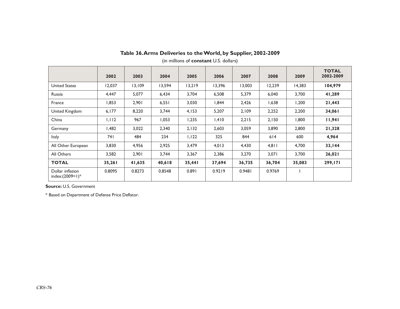|                                        | 2002   | 2003   | 2004   | 2005   | 2006   | 2007   | 2008   | 2009   | <b>TOTAL</b><br>2002-2009 |
|----------------------------------------|--------|--------|--------|--------|--------|--------|--------|--------|---------------------------|
| <b>United States</b>                   | 12,037 | 13,109 | 13,594 | 13,219 | 13,396 | 13,003 | 12,239 | 14,383 | 104,979                   |
| Russia                                 | 4,447  | 5,077  | 6,434  | 3,704  | 6,508  | 5,379  | 6,040  | 3,700  | 41,289                    |
| France                                 | 1,853  | 2,901  | 6,551  | 3,030  | 1,844  | 2,426  | 1,638  | 1,200  | 21,443                    |
| United Kingdom                         | 6,177  | 8,220  | 3,744  | 4,153  | 5,207  | 2,109  | 2,252  | 2,200  | 34,061                    |
| China                                  | 1,112  | 967    | 1,053  | 1,235  | 1,410  | 2,215  | 2,150  | 1,800  | 11,941                    |
| Germany                                | 482, ا | 3,022  | 2,340  | 2,132  | 2,603  | 3,059  | 3,890  | 2,800  | 21,328                    |
| <b>Italy</b>                           | 74 I   | 484    | 234    | 1,122  | 325    | 844    | 614    | 600    | 4,964                     |
| All Other European                     | 3,830  | 4,956  | 2,925  | 3,479  | 4,013  | 4,430  | 4,811  | 4,700  | 33,144                    |
| All Others                             | 3,582  | 2,901  | 3,744  | 3,367  | 2,386  | 3,270  | 3,071  | 3,700  | 26,021                    |
| <b>TOTAL</b>                           | 35,261 | 41,635 | 40,618 | 35,441 | 37,694 | 36,735 | 36,704 | 35,083 | 299,171                   |
| Dollar inflation<br>index: $(2009=1)*$ | 0.8095 | 0.8273 | 0.8548 | 0.891  | 0.9219 | 0.9481 | 0.9769 |        |                           |

## **Table 36. Arms Deliveries to the World, by Supplier, 2002-2009**

(in millions of **constant** U.S. dollars)

**Source:** U.S. Government

\* Based on Department of Defense Price Deflator.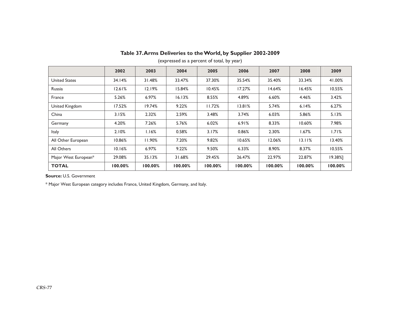|                      | 2002    | 2003    | 2004    | 2005       | 2006    | 2007    | 2008       | 2009       |
|----------------------|---------|---------|---------|------------|---------|---------|------------|------------|
| <b>United States</b> | 34.14%  | 31.48%  | 33.47%  | 37.30%     | 35.54%  | 35.40%  | 33.34%     | 41.00%     |
| Russia               | 12.61%  | 12.19%  | 15.84%  | 10.45%     | 17.27%  | 14.64%  | 16.45%     | 10.55%     |
| France               | 5.26%   | 6.97%   | 16.13%  | 8.55%      | 4.89%   | 6.60%   | 4.46%      | 3.42%      |
| United Kingdom       | 17.52%  | 19.74%  | 9.22%   | 11.72%     | 13.81%  | 5.74%   | 6.14%      | 6.27%      |
| China                | 3.15%   | 2.32%   | 2.59%   | 3.48%      | 3.74%   | 6.03%   | 5.86%      | 5.13%      |
| Germany              | 4.20%   | 7.26%   | 5.76%   | 6.02%      | 6.91%   | 8.33%   | 10.60%     | 7.98%      |
| <b>Italy</b>         | 2.10%   | 1.16%   | 0.58%   | 3.17%      | 0.86%   | 2.30%   | $1.67\%$   | 1.71%      |
| All Other European   | 10.86%  | 11.90%  | 7.20%   | 9.82%      | 10.65%  | 12.06%  | 13.11%     | 13.40%     |
| All Others           | 10.16%  | 6.97%   | 9.22%   | 9.50%      | 6.33%   | 8.90%   | 8.37%      | 10.55%     |
| Major West European* | 29.08%  | 35.13%  | 31.68%  | 29.45%     | 26.47%  | 22.97%  | 22.87%     | $19.38%$ ] |
| <b>TOTAL</b>         | 100.00% | 100.00% | 100.00% | $100.00\%$ | 100.00% | 100.00% | $100.00\%$ | $100.00\%$ |

## **Table 37. Arms Deliveries to the World, by Supplier 2002-2009**

(expressed as a percent of total, by year)

**Source:** U.S. Government

\* Major West European category includes France, United Kingdom, Germany, and Italy.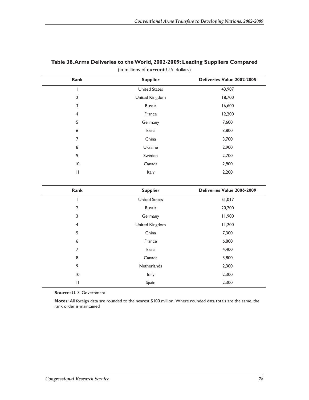| Rank            | <b>Supplier</b>      | Deliveries Value 2002-2005 |
|-----------------|----------------------|----------------------------|
|                 | <b>United States</b> | 43,987                     |
| $\overline{2}$  | United Kingdom       | 18,700                     |
| 3               | Russia               | 16,600                     |
| $\overline{4}$  | France               | 12,200                     |
| 5               | Germany              | 7,600                      |
| 6               | Israel               | 3,800                      |
| 7               | China                | 3,700                      |
| 8               | Ukraine              | 2,900                      |
| 9               | Sweden               | 2,700                      |
| $\overline{10}$ | Canada               | 2,900                      |
| П               | Italy                | 2,200                      |

## **Table 38. Arms Deliveries to the World, 2002-2009: Leading Suppliers Compared**  (in millions of **current** U.S. dollars)

| Rank                    | <b>Supplier</b>      | Deliveries Value 2006-2009 |
|-------------------------|----------------------|----------------------------|
|                         | <b>United States</b> | 51,017                     |
| 2                       | Russia               | 20,700                     |
| 3                       | Germany              | 11.900                     |
| $\overline{\mathbf{4}}$ | United Kingdom       | 11,200                     |
| 5                       | China                | 7,300                      |
| 6                       | France               | 6,800                      |
| 7                       | Israel               | 4,400                      |
| 8                       | Canada               | 3,800                      |
| 9                       | Netherlands          | 2,300                      |
| $\overline{10}$         | Italy                | 2,300                      |
| П                       | Spain                | 2,300                      |

**Source:** U. S. Government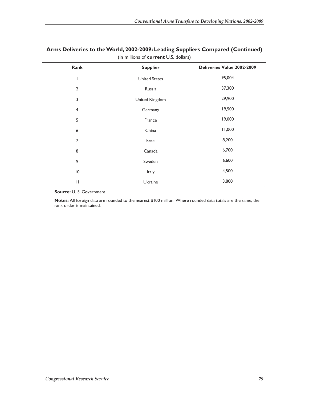| Rank                    | <b>Supplier</b>      | Deliveries Value 2002-2009 |
|-------------------------|----------------------|----------------------------|
|                         | <b>United States</b> | 95,004                     |
| $\overline{2}$          | Russia               | 37,300                     |
| 3                       | United Kingdom       | 29,900                     |
| $\overline{\mathbf{4}}$ | Germany              | 19,500                     |
| 5                       | France               | 19,000                     |
| 6                       | China                | 11,000                     |
| 7                       | Israel               | 8,200                      |
| 8                       | Canada               | 6,700                      |
| 9                       | Sweden               | 6,600                      |
| $\overline{10}$         | Italy                | 4,500                      |
| $\mathsf{I}$            | Ukraine              | 3,800                      |

## **Arms Deliveries to the World, 2002-2009: Leading Suppliers Compared (Continued)**  (in millions of **current** U.S. dollars)

**Source:** U. S. Government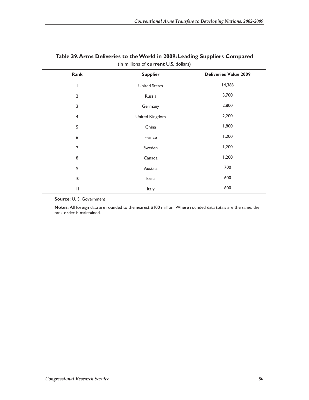| Rank            | <b>Supplier</b>      | <b>Deliveries Value 2009</b> |
|-----------------|----------------------|------------------------------|
| ш               | <b>United States</b> | 14,383                       |
| 2               | Russia               | 3,700                        |
| 3               | Germany              | 2,800                        |
| $\overline{4}$  | United Kingdom       | 2,200                        |
| 5               | China                | 1,800                        |
| 6               | France               | 1,200                        |
| 7               | Sweden               | 1,200                        |
| 8               | Canada               | 1,200                        |
| 9               | Austria              | 700                          |
| $\overline{10}$ | Israel               | 600                          |
| П               | Italy                | 600                          |

## **Table 39. Arms Deliveries to the World in 2009: Leading Suppliers Compared**  (in millions of **current** U.S. dollars)

**Source:** U. S. Government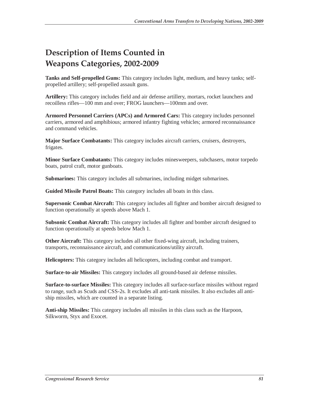# **Description of Items Counted in Weapons Categories, 2002-2009**

**Tanks and Self-propelled Guns:** This category includes light, medium, and heavy tanks; selfpropelled artillery; self-propelled assault guns.

**Artillery:** This category includes field and air defense artillery, mortars, rocket launchers and recoilless rifles—100 mm and over; FROG launchers—100mm and over.

**Armored Personnel Carriers (APCs) and Armored Cars:** This category includes personnel carriers, armored and amphibious; armored infantry fighting vehicles; armored reconnaissance and command vehicles.

**Major Surface Combatants:** This category includes aircraft carriers, cruisers, destroyers, frigates.

**Minor Surface Combatants:** This category includes minesweepers, subchasers, motor torpedo boats, patrol craft, motor gunboats.

**Submarines:** This category includes all submarines, including midget submarines.

**Guided Missile Patrol Boats:** This category includes all boats in this class.

**Supersonic Combat Aircraft:** This category includes all fighter and bomber aircraft designed to function operationally at speeds above Mach 1.

**Subsonic Combat Aircraft:** This category includes all fighter and bomber aircraft designed to function operationally at speeds below Mach 1.

**Other Aircraft:** This category includes all other fixed-wing aircraft, including trainers, transports, reconnaissance aircraft, and communications/utility aircraft.

**Helicopters:** This category includes all helicopters, including combat and transport.

**Surface-to-air Missiles:** This category includes all ground-based air defense missiles.

**Surface-to-surface Missiles:** This category includes all surface-surface missiles without regard to range, such as Scuds and CSS-2s. It excludes all anti-tank missiles. It also excludes all antiship missiles, which are counted in a separate listing.

**Anti-ship Missiles:** This category includes all missiles in this class such as the Harpoon, Silkworm, Styx and Exocet.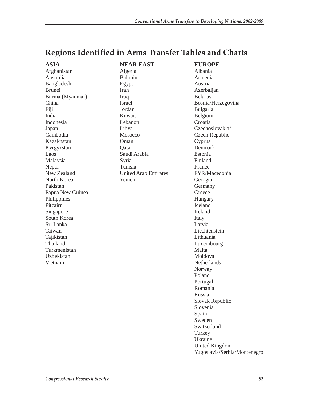# **Regions Identified in Arms Transfer Tables and Charts**

| ASIA             | <b>NEAR EAST</b>            | <b>EUROPE</b>                |
|------------------|-----------------------------|------------------------------|
| Afghanistan      | Algeria                     | Albania                      |
| Australia        | Bahrain                     | Armenia                      |
| Bangladesh       | Egypt                       | Austria                      |
| <b>Brunei</b>    | Iran                        | Azerbaijan                   |
| Burma (Myanmar)  | Iraq                        | <b>Belarus</b>               |
| China            | <b>Israel</b>               | Bosnia/Herzegovina           |
| Fiji             | Jordan                      | Bulgaria                     |
| India            | Kuwait                      | Belgium                      |
| Indonesia        | Lebanon                     | Croatia                      |
| Japan            | Libya                       | Czechoslovakia/              |
| Cambodia         | Morocco                     | Czech Republic               |
| Kazakhstan       | Oman                        | Cyprus                       |
| Kyrgyzstan       | Qatar                       | Denmark                      |
| Laos             | Saudi Arabia                | Estonia                      |
| Malaysia         | Syria                       | Finland                      |
| Nepal            | Tunisia                     | France                       |
| New Zealand      | <b>United Arab Emirates</b> | FYR/Macedonia                |
| North Korea      | Yemen                       | Georgia                      |
| Pakistan         |                             | Germany                      |
| Papua New Guinea |                             | Greece                       |
| Philippines      |                             | Hungary                      |
| Pitcairn         |                             | Iceland                      |
| Singapore        |                             | Ireland                      |
| South Korea      |                             | Italy                        |
| Sri Lanka        |                             | Latvia                       |
| Taiwan           |                             | Liechtenstein                |
| Tajikistan       |                             | Lithuania                    |
| Thailand         |                             | Luxembourg                   |
| Turkmenistan     |                             | Malta                        |
| Uzbekistan       |                             | Moldova                      |
| Vietnam          |                             | Netherlands                  |
|                  |                             | Norway                       |
|                  |                             | Poland                       |
|                  |                             | Portugal                     |
|                  |                             | Romania                      |
|                  |                             | Russia                       |
|                  |                             | Slovak Republic              |
|                  |                             | Slovenia                     |
|                  |                             | Spain                        |
|                  |                             | Sweden                       |
|                  |                             | Switzerland                  |
|                  |                             | Turkey                       |
|                  |                             | Ukraine                      |
|                  |                             | <b>United Kingdom</b>        |
|                  |                             | Yugoslavia/Serbia/Montenegro |
|                  |                             |                              |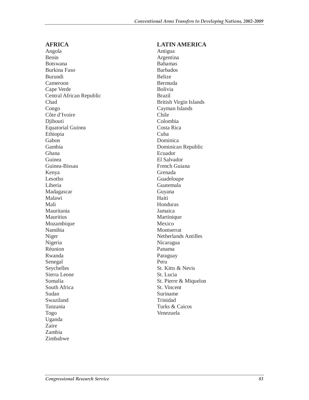## **AFRICA**

Angola Benin Botswana Burkina Faso Burundi Cameroon Cape Verde Central African Republic Chad Congo Côte d'Ivoire Diibouti Equatorial Guinea Ethiopia Gabon Gambia Ghana Guinea Guinea-Bissau Kenya Lesotho Liberia Madagascar Malawi Mali Mauritania Mauritius Mozambique Namibia Niger Nigeria Réunion Rwanda Senegal Seychelles Sierra Leone Somalia South Africa Sudan Swaziland Tanzania Togo Uganda Zaire Zambia Zimbabwe

## **LATIN AMERICA**

Antigua Argentina Bahamas Barbados Belize Bermuda Bolivia Brazil British Virgin Islands Cayman Islands Chile Colombia Costa Rica Cuba Dominica Dominican Republic Ecuador El Salvador French Guiana Grenada Guadeloupe Guatemala Guyana Haiti Honduras Jamaica Martinique Mexico Montserrat Netherlands Antilles Nicaragua Panama Paraguay Peru St. Kitts & Nevis St. Lucia St. Pierre & Miquelon St. Vincent Suriname Trinidad Turks & Caicos Venezuela